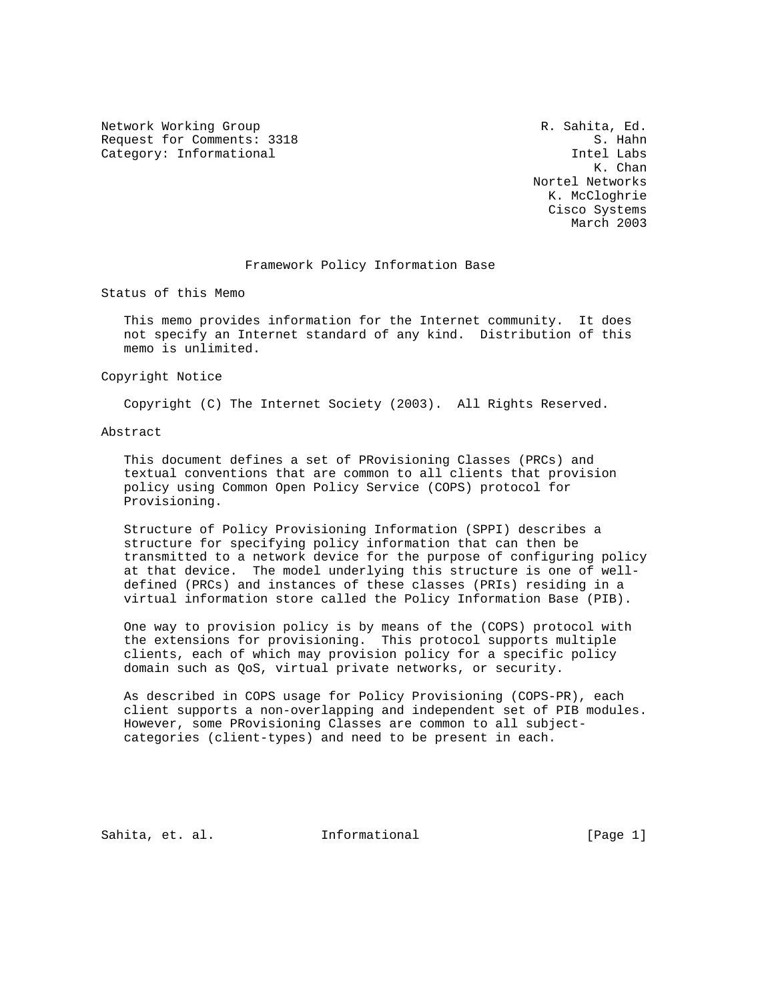Network Working Group **R. Sahita, Ed.** And Metwork Working Group Request for Comments: 3318 S. Hahn Category: Informational intel Labs

 K. Chan Nortel Networks K. McCloghrie Cisco Systems March 2003

#### Framework Policy Information Base

Status of this Memo

 This memo provides information for the Internet community. It does not specify an Internet standard of any kind. Distribution of this memo is unlimited.

Copyright Notice

Copyright (C) The Internet Society (2003). All Rights Reserved.

#### Abstract

 This document defines a set of PRovisioning Classes (PRCs) and textual conventions that are common to all clients that provision policy using Common Open Policy Service (COPS) protocol for Provisioning.

 Structure of Policy Provisioning Information (SPPI) describes a structure for specifying policy information that can then be transmitted to a network device for the purpose of configuring policy at that device. The model underlying this structure is one of well defined (PRCs) and instances of these classes (PRIs) residing in a virtual information store called the Policy Information Base (PIB).

 One way to provision policy is by means of the (COPS) protocol with the extensions for provisioning. This protocol supports multiple clients, each of which may provision policy for a specific policy domain such as QoS, virtual private networks, or security.

 As described in COPS usage for Policy Provisioning (COPS-PR), each client supports a non-overlapping and independent set of PIB modules. However, some PRovisioning Classes are common to all subject categories (client-types) and need to be present in each.

Sahita, et. al. **Informational** [Page 1]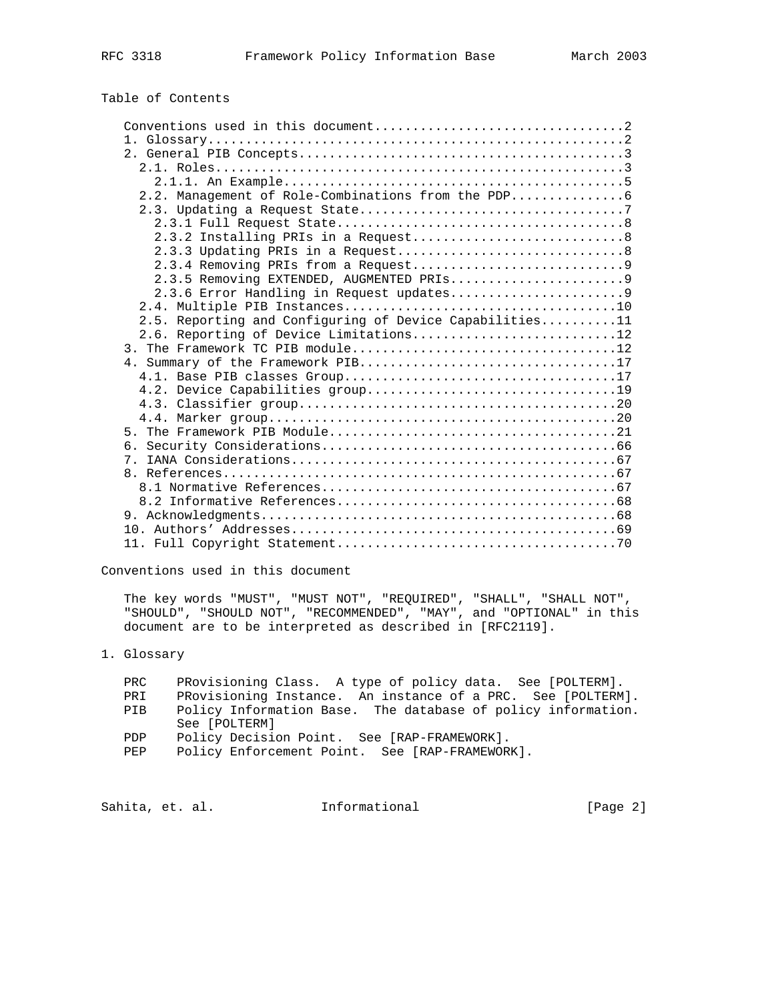# Table of Contents

| 2.5. Reporting and Configuring of Device Capabilities11 |
|---------------------------------------------------------|
| 2.6. Reporting of Device Limitations12                  |
|                                                         |
|                                                         |
|                                                         |
|                                                         |
|                                                         |
|                                                         |
|                                                         |
|                                                         |
|                                                         |
|                                                         |
|                                                         |
|                                                         |
|                                                         |
|                                                         |
|                                                         |

Conventions used in this document

 The key words "MUST", "MUST NOT", "REQUIRED", "SHALL", "SHALL NOT", "SHOULD", "SHOULD NOT", "RECOMMENDED", "MAY", and "OPTIONAL" in this document are to be interpreted as described in [RFC2119].

# 1. Glossary

| PRC        | PRovisioning Class. A type of policy data. See [POLTERM].    |
|------------|--------------------------------------------------------------|
| PRI        | PRovisioning Instance. An instance of a PRC. See [POLTERM].  |
| PIB        | Policy Information Base. The database of policy information. |
|            | See [POLTERM]                                                |
| <b>PDP</b> | Policy Decision Point. See [RAP-FRAMEWORK].                  |
| <b>PEP</b> | Policy Enforcement Point. See [RAP-FRAMEWORK].               |
|            |                                                              |

Sahita, et. al. 10. Informational 1. [Page 2]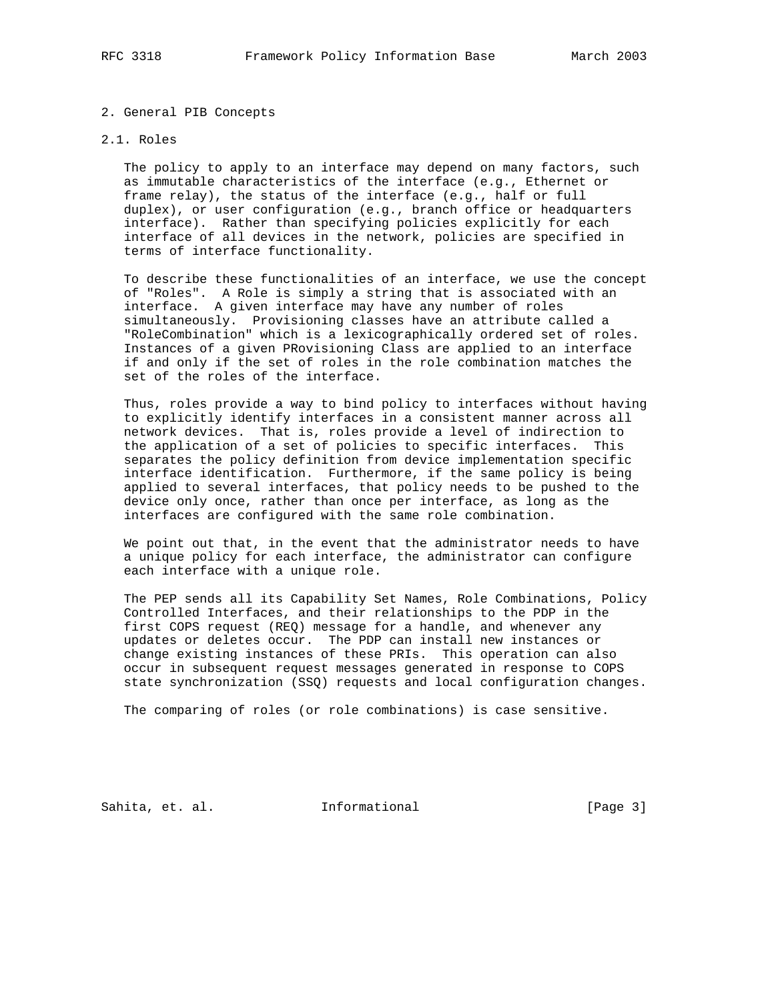#### 2. General PIB Concepts

#### 2.1. Roles

 The policy to apply to an interface may depend on many factors, such as immutable characteristics of the interface (e.g., Ethernet or frame relay), the status of the interface (e.g., half or full duplex), or user configuration (e.g., branch office or headquarters interface). Rather than specifying policies explicitly for each interface of all devices in the network, policies are specified in terms of interface functionality.

 To describe these functionalities of an interface, we use the concept of "Roles". A Role is simply a string that is associated with an interface. A given interface may have any number of roles simultaneously. Provisioning classes have an attribute called a "RoleCombination" which is a lexicographically ordered set of roles. Instances of a given PRovisioning Class are applied to an interface if and only if the set of roles in the role combination matches the set of the roles of the interface.

 Thus, roles provide a way to bind policy to interfaces without having to explicitly identify interfaces in a consistent manner across all network devices. That is, roles provide a level of indirection to the application of a set of policies to specific interfaces. This separates the policy definition from device implementation specific interface identification. Furthermore, if the same policy is being applied to several interfaces, that policy needs to be pushed to the device only once, rather than once per interface, as long as the interfaces are configured with the same role combination.

 We point out that, in the event that the administrator needs to have a unique policy for each interface, the administrator can configure each interface with a unique role.

 The PEP sends all its Capability Set Names, Role Combinations, Policy Controlled Interfaces, and their relationships to the PDP in the first COPS request (REQ) message for a handle, and whenever any updates or deletes occur. The PDP can install new instances or change existing instances of these PRIs. This operation can also occur in subsequent request messages generated in response to COPS state synchronization (SSQ) requests and local configuration changes.

The comparing of roles (or role combinations) is case sensitive.

Sahita, et. al. **Informational** [Page 3]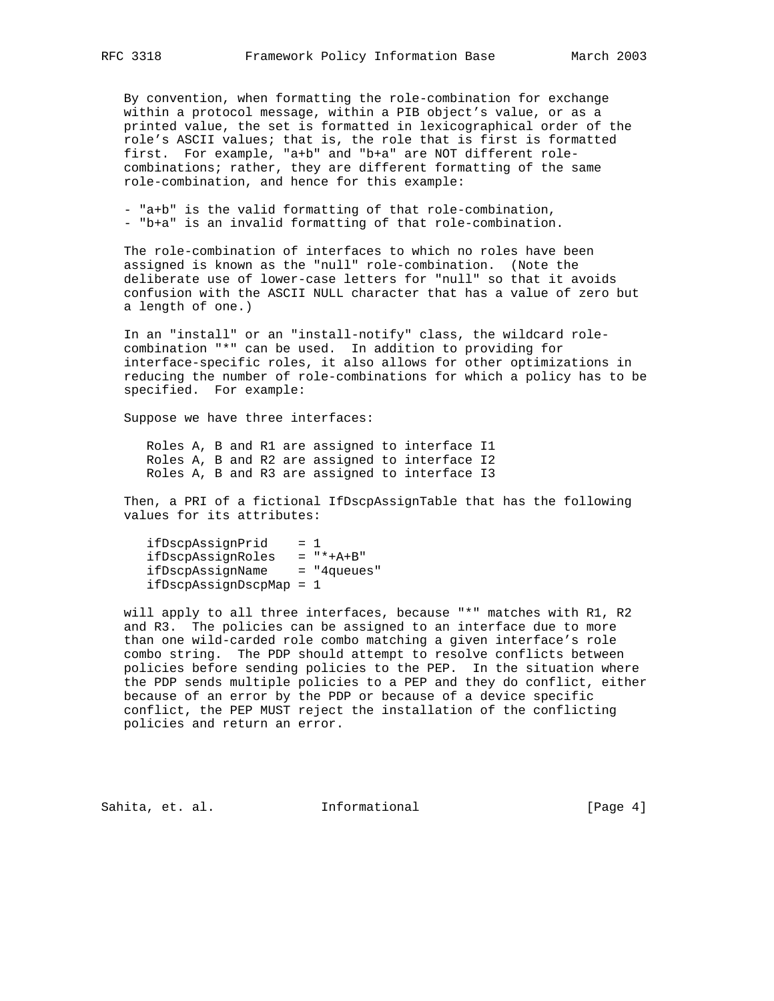By convention, when formatting the role-combination for exchange within a protocol message, within a PIB object's value, or as a printed value, the set is formatted in lexicographical order of the role's ASCII values; that is, the role that is first is formatted first. For example, "a+b" and "b+a" are NOT different role combinations; rather, they are different formatting of the same role-combination, and hence for this example:

 - "a+b" is the valid formatting of that role-combination, - "b+a" is an invalid formatting of that role-combination.

 The role-combination of interfaces to which no roles have been assigned is known as the "null" role-combination. (Note the deliberate use of lower-case letters for "null" so that it avoids confusion with the ASCII NULL character that has a value of zero but a length of one.)

 In an "install" or an "install-notify" class, the wildcard role combination "\*" can be used. In addition to providing for interface-specific roles, it also allows for other optimizations in reducing the number of role-combinations for which a policy has to be specified. For example:

Suppose we have three interfaces:

 Roles A, B and R1 are assigned to interface I1 Roles A, B and R2 are assigned to interface I2 Roles A, B and R3 are assigned to interface I3

 Then, a PRI of a fictional IfDscpAssignTable that has the following values for its attributes:

 ifDscpAssignPrid = 1 ifDscpAssignRoles = "\*+A+B" ifDscpAssignName = "4queues" ifDscpAssignDscpMap = 1

 will apply to all three interfaces, because "\*" matches with R1, R2 and R3. The policies can be assigned to an interface due to more than one wild-carded role combo matching a given interface's role combo string. The PDP should attempt to resolve conflicts between policies before sending policies to the PEP. In the situation where the PDP sends multiple policies to a PEP and they do conflict, either because of an error by the PDP or because of a device specific conflict, the PEP MUST reject the installation of the conflicting policies and return an error.

Sahita, et. al. **Informational** [Page 4]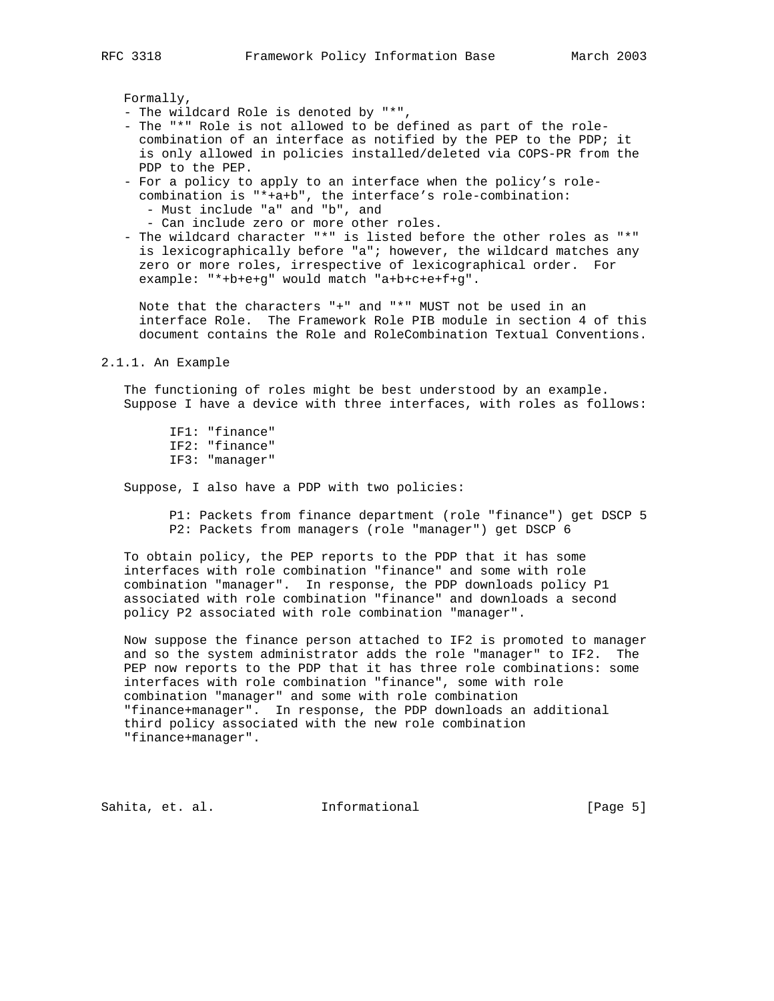Formally,

- The wildcard Role is denoted by "\*",
- The "\*" Role is not allowed to be defined as part of the role combination of an interface as notified by the PEP to the PDP; it is only allowed in policies installed/deleted via COPS-PR from the PDP to the PEP.
- For a policy to apply to an interface when the policy's role combination is "\*+a+b", the interface's role-combination:
	- Must include "a" and "b", and
	- Can include zero or more other roles.
- The wildcard character "\*" is listed before the other roles as "\*" is lexicographically before "a"; however, the wildcard matches any zero or more roles, irrespective of lexicographical order. For example: "\*+b+e+g" would match "a+b+c+e+f+g".

 Note that the characters "+" and "\*" MUST not be used in an interface Role. The Framework Role PIB module in section 4 of this document contains the Role and RoleCombination Textual Conventions.

2.1.1. An Example

 The functioning of roles might be best understood by an example. Suppose I have a device with three interfaces, with roles as follows:

 IF1: "finance" IF2: "finance" IF3: "manager"

Suppose, I also have a PDP with two policies:

 P1: Packets from finance department (role "finance") get DSCP 5 P2: Packets from managers (role "manager") get DSCP 6

 To obtain policy, the PEP reports to the PDP that it has some interfaces with role combination "finance" and some with role combination "manager". In response, the PDP downloads policy P1 associated with role combination "finance" and downloads a second policy P2 associated with role combination "manager".

 Now suppose the finance person attached to IF2 is promoted to manager and so the system administrator adds the role "manager" to IF2. The PEP now reports to the PDP that it has three role combinations: some interfaces with role combination "finance", some with role combination "manager" and some with role combination "finance+manager". In response, the PDP downloads an additional third policy associated with the new role combination "finance+manager".

Sahita, et. al. Informational [Page 5]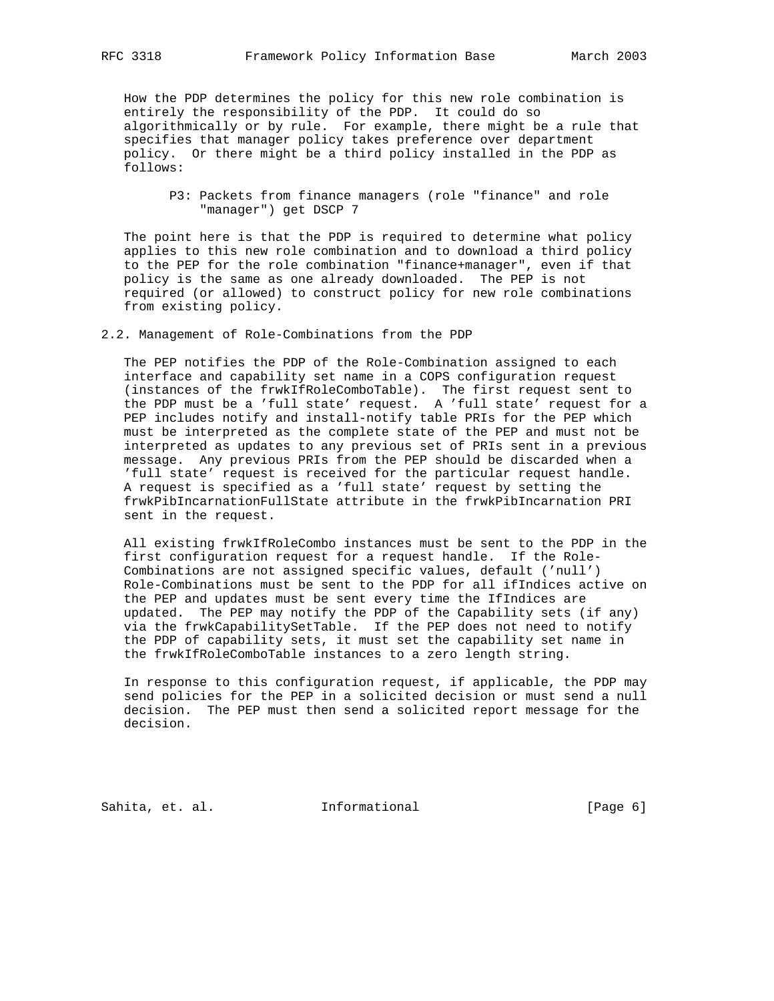How the PDP determines the policy for this new role combination is entirely the responsibility of the PDP. It could do so algorithmically or by rule. For example, there might be a rule that specifies that manager policy takes preference over department policy. Or there might be a third policy installed in the PDP as follows:

 P3: Packets from finance managers (role "finance" and role "manager") get DSCP 7

 The point here is that the PDP is required to determine what policy applies to this new role combination and to download a third policy to the PEP for the role combination "finance+manager", even if that policy is the same as one already downloaded. The PEP is not required (or allowed) to construct policy for new role combinations from existing policy.

2.2. Management of Role-Combinations from the PDP

 The PEP notifies the PDP of the Role-Combination assigned to each interface and capability set name in a COPS configuration request (instances of the frwkIfRoleComboTable). The first request sent to the PDP must be a 'full state' request. A 'full state' request for a PEP includes notify and install-notify table PRIs for the PEP which must be interpreted as the complete state of the PEP and must not be interpreted as updates to any previous set of PRIs sent in a previous message. Any previous PRIs from the PEP should be discarded when a 'full state' request is received for the particular request handle. A request is specified as a 'full state' request by setting the frwkPibIncarnationFullState attribute in the frwkPibIncarnation PRI sent in the request.

 All existing frwkIfRoleCombo instances must be sent to the PDP in the first configuration request for a request handle. If the Role- Combinations are not assigned specific values, default ('null') Role-Combinations must be sent to the PDP for all ifIndices active on the PEP and updates must be sent every time the IfIndices are updated. The PEP may notify the PDP of the Capability sets (if any) via the frwkCapabilitySetTable. If the PEP does not need to notify the PDP of capability sets, it must set the capability set name in the frwkIfRoleComboTable instances to a zero length string.

 In response to this configuration request, if applicable, the PDP may send policies for the PEP in a solicited decision or must send a null decision. The PEP must then send a solicited report message for the decision.

Sahita, et. al. **Informational** [Page 6]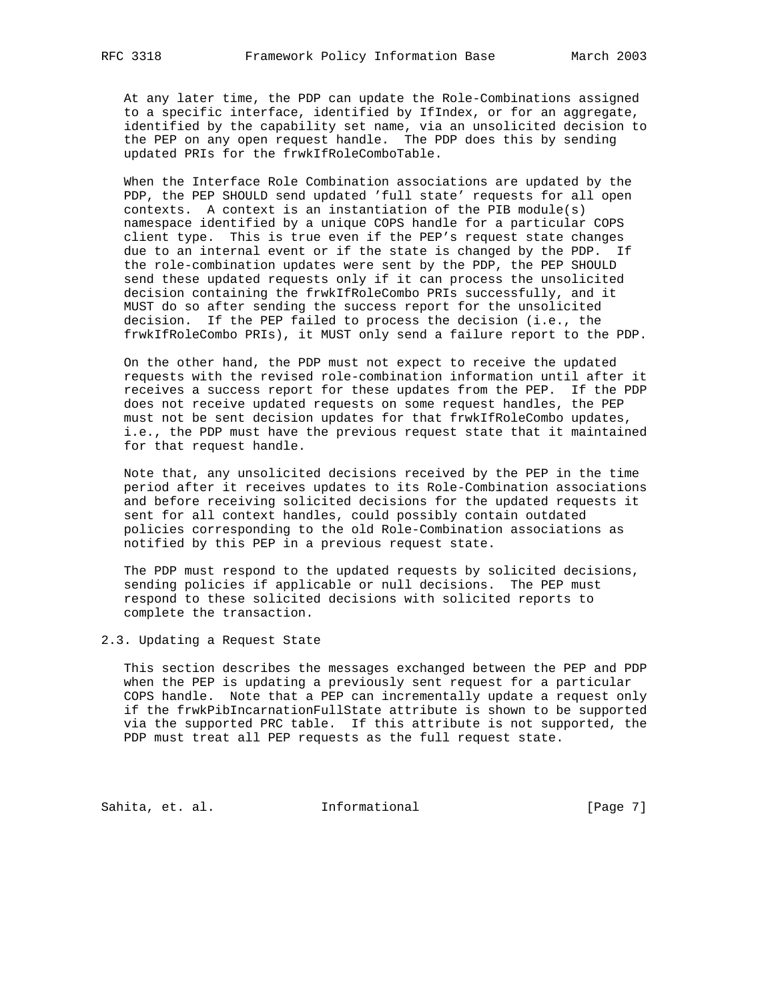At any later time, the PDP can update the Role-Combinations assigned to a specific interface, identified by IfIndex, or for an aggregate, identified by the capability set name, via an unsolicited decision to the PEP on any open request handle. The PDP does this by sending updated PRIs for the frwkIfRoleComboTable.

 When the Interface Role Combination associations are updated by the PDP, the PEP SHOULD send updated 'full state' requests for all open contexts. A context is an instantiation of the PIB module(s) namespace identified by a unique COPS handle for a particular COPS client type. This is true even if the PEP's request state changes due to an internal event or if the state is changed by the PDP. If the role-combination updates were sent by the PDP, the PEP SHOULD send these updated requests only if it can process the unsolicited decision containing the frwkIfRoleCombo PRIs successfully, and it MUST do so after sending the success report for the unsolicited decision. If the PEP failed to process the decision (i.e., the frwkIfRoleCombo PRIs), it MUST only send a failure report to the PDP.

 On the other hand, the PDP must not expect to receive the updated requests with the revised role-combination information until after it receives a success report for these updates from the PEP. If the PDP does not receive updated requests on some request handles, the PEP must not be sent decision updates for that frwkIfRoleCombo updates, i.e., the PDP must have the previous request state that it maintained for that request handle.

 Note that, any unsolicited decisions received by the PEP in the time period after it receives updates to its Role-Combination associations and before receiving solicited decisions for the updated requests it sent for all context handles, could possibly contain outdated policies corresponding to the old Role-Combination associations as notified by this PEP in a previous request state.

 The PDP must respond to the updated requests by solicited decisions, sending policies if applicable or null decisions. The PEP must respond to these solicited decisions with solicited reports to complete the transaction.

2.3. Updating a Request State

 This section describes the messages exchanged between the PEP and PDP when the PEP is updating a previously sent request for a particular COPS handle. Note that a PEP can incrementally update a request only if the frwkPibIncarnationFullState attribute is shown to be supported via the supported PRC table. If this attribute is not supported, the PDP must treat all PEP requests as the full request state.

Sahita, et. al. 1nformational 1999 [Page 7]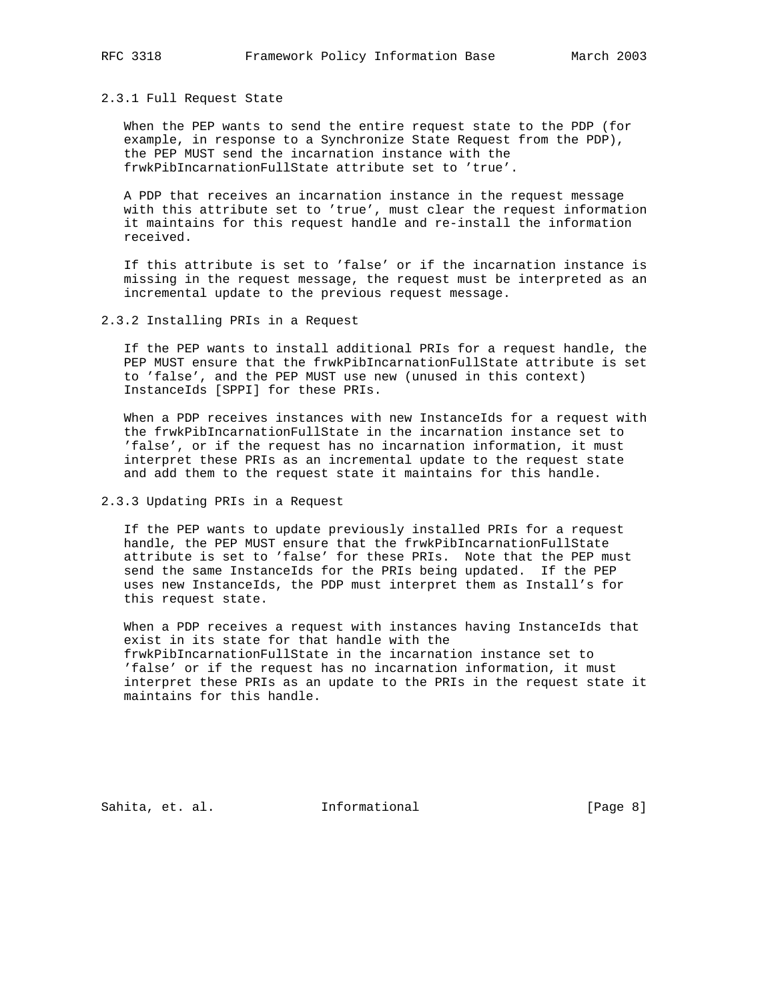#### 2.3.1 Full Request State

 When the PEP wants to send the entire request state to the PDP (for example, in response to a Synchronize State Request from the PDP), the PEP MUST send the incarnation instance with the frwkPibIncarnationFullState attribute set to 'true'.

 A PDP that receives an incarnation instance in the request message with this attribute set to 'true', must clear the request information it maintains for this request handle and re-install the information received.

 If this attribute is set to 'false' or if the incarnation instance is missing in the request message, the request must be interpreted as an incremental update to the previous request message.

#### 2.3.2 Installing PRIs in a Request

 If the PEP wants to install additional PRIs for a request handle, the PEP MUST ensure that the frwkPibIncarnationFullState attribute is set to 'false', and the PEP MUST use new (unused in this context) InstanceIds [SPPI] for these PRIs.

 When a PDP receives instances with new InstanceIds for a request with the frwkPibIncarnationFullState in the incarnation instance set to 'false', or if the request has no incarnation information, it must interpret these PRIs as an incremental update to the request state and add them to the request state it maintains for this handle.

2.3.3 Updating PRIs in a Request

 If the PEP wants to update previously installed PRIs for a request handle, the PEP MUST ensure that the frwkPibIncarnationFullState attribute is set to 'false' for these PRIs. Note that the PEP must send the same InstanceIds for the PRIs being updated. If the PEP uses new InstanceIds, the PDP must interpret them as Install's for this request state.

 When a PDP receives a request with instances having InstanceIds that exist in its state for that handle with the frwkPibIncarnationFullState in the incarnation instance set to 'false' or if the request has no incarnation information, it must interpret these PRIs as an update to the PRIs in the request state it maintains for this handle.

Sahita, et. al. **Informational** [Page 8]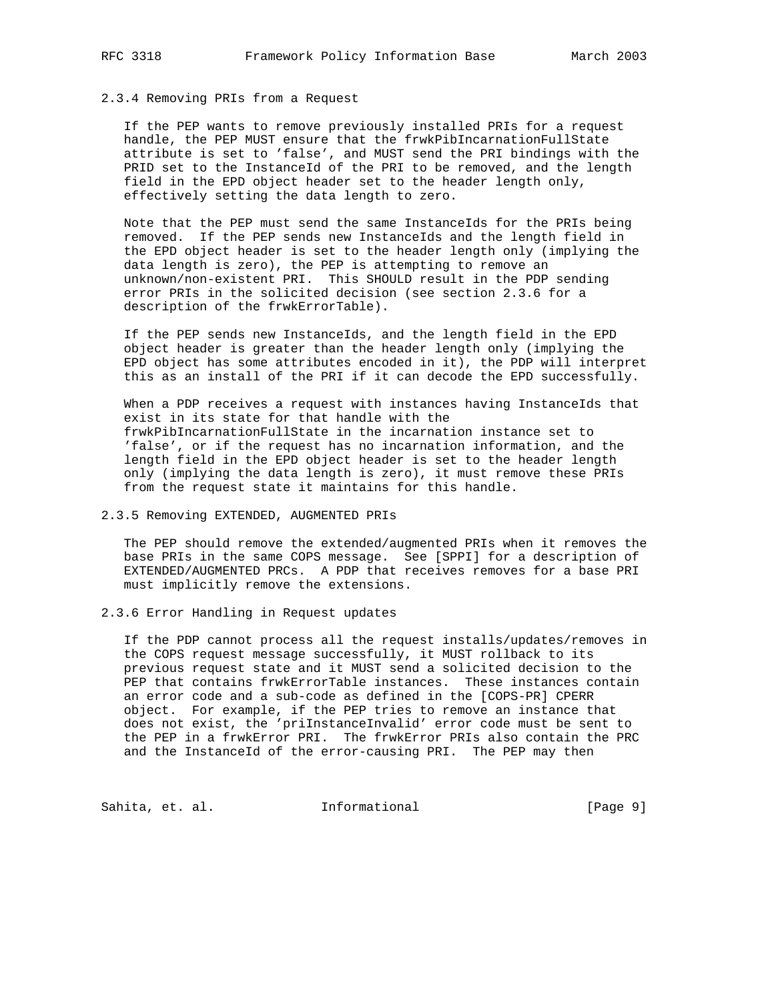#### 2.3.4 Removing PRIs from a Request

 If the PEP wants to remove previously installed PRIs for a request handle, the PEP MUST ensure that the frwkPibIncarnationFullState attribute is set to 'false', and MUST send the PRI bindings with the PRID set to the InstanceId of the PRI to be removed, and the length field in the EPD object header set to the header length only, effectively setting the data length to zero.

 Note that the PEP must send the same InstanceIds for the PRIs being removed. If the PEP sends new InstanceIds and the length field in the EPD object header is set to the header length only (implying the data length is zero), the PEP is attempting to remove an unknown/non-existent PRI. This SHOULD result in the PDP sending error PRIs in the solicited decision (see section 2.3.6 for a description of the frwkErrorTable).

 If the PEP sends new InstanceIds, and the length field in the EPD object header is greater than the header length only (implying the EPD object has some attributes encoded in it), the PDP will interpret this as an install of the PRI if it can decode the EPD successfully.

 When a PDP receives a request with instances having InstanceIds that exist in its state for that handle with the frwkPibIncarnationFullState in the incarnation instance set to 'false', or if the request has no incarnation information, and the length field in the EPD object header is set to the header length only (implying the data length is zero), it must remove these PRIs from the request state it maintains for this handle.

#### 2.3.5 Removing EXTENDED, AUGMENTED PRIs

 The PEP should remove the extended/augmented PRIs when it removes the base PRIs in the same COPS message. See [SPPI] for a description of EXTENDED/AUGMENTED PRCs. A PDP that receives removes for a base PRI must implicitly remove the extensions.

2.3.6 Error Handling in Request updates

 If the PDP cannot process all the request installs/updates/removes in the COPS request message successfully, it MUST rollback to its previous request state and it MUST send a solicited decision to the PEP that contains frwkErrorTable instances. These instances contain an error code and a sub-code as defined in the [COPS-PR] CPERR object. For example, if the PEP tries to remove an instance that does not exist, the 'priInstanceInvalid' error code must be sent to the PEP in a frwkError PRI. The frwkError PRIs also contain the PRC and the InstanceId of the error-causing PRI. The PEP may then

Sahita, et. al. 1nformational 1999 [Page 9]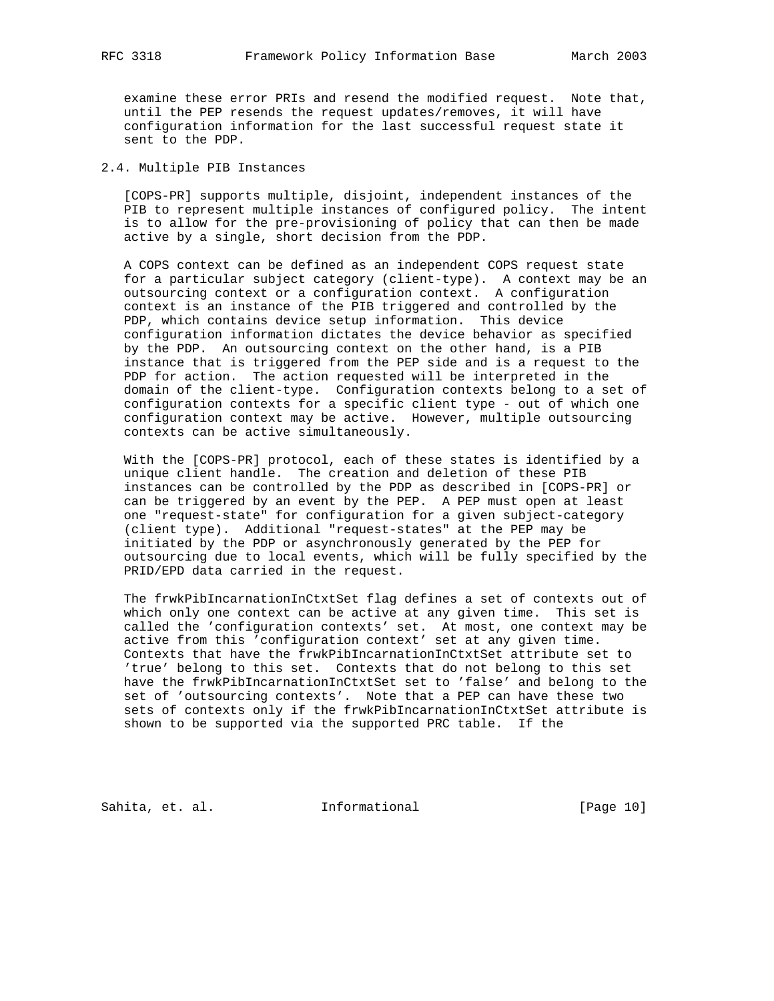examine these error PRIs and resend the modified request. Note that, until the PEP resends the request updates/removes, it will have configuration information for the last successful request state it sent to the PDP.

#### 2.4. Multiple PIB Instances

 [COPS-PR] supports multiple, disjoint, independent instances of the PIB to represent multiple instances of configured policy. The intent is to allow for the pre-provisioning of policy that can then be made active by a single, short decision from the PDP.

 A COPS context can be defined as an independent COPS request state for a particular subject category (client-type). A context may be an outsourcing context or a configuration context. A configuration context is an instance of the PIB triggered and controlled by the PDP, which contains device setup information. This device configuration information dictates the device behavior as specified by the PDP. An outsourcing context on the other hand, is a PIB instance that is triggered from the PEP side and is a request to the PDP for action. The action requested will be interpreted in the domain of the client-type. Configuration contexts belong to a set of configuration contexts for a specific client type - out of which one configuration context may be active. However, multiple outsourcing contexts can be active simultaneously.

 With the [COPS-PR] protocol, each of these states is identified by a unique client handle. The creation and deletion of these PIB instances can be controlled by the PDP as described in [COPS-PR] or can be triggered by an event by the PEP. A PEP must open at least one "request-state" for configuration for a given subject-category (client type). Additional "request-states" at the PEP may be initiated by the PDP or asynchronously generated by the PEP for outsourcing due to local events, which will be fully specified by the PRID/EPD data carried in the request.

 The frwkPibIncarnationInCtxtSet flag defines a set of contexts out of which only one context can be active at any given time. This set is called the 'configuration contexts' set. At most, one context may be active from this 'configuration context' set at any given time. Contexts that have the frwkPibIncarnationInCtxtSet attribute set to 'true' belong to this set. Contexts that do not belong to this set have the frwkPibIncarnationInCtxtSet set to 'false' and belong to the set of 'outsourcing contexts'. Note that a PEP can have these two sets of contexts only if the frwkPibIncarnationInCtxtSet attribute is shown to be supported via the supported PRC table. If the

Sahita, et. al. 1nformational [Page 10]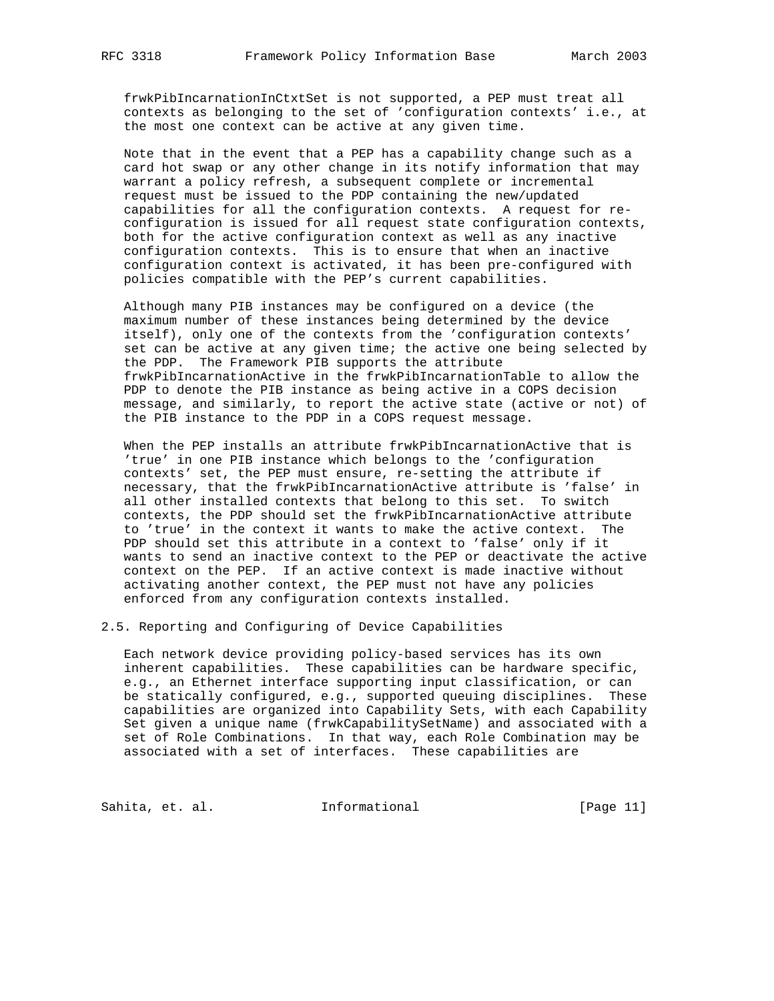frwkPibIncarnationInCtxtSet is not supported, a PEP must treat all contexts as belonging to the set of 'configuration contexts' i.e., at the most one context can be active at any given time.

 Note that in the event that a PEP has a capability change such as a card hot swap or any other change in its notify information that may warrant a policy refresh, a subsequent complete or incremental request must be issued to the PDP containing the new/updated capabilities for all the configuration contexts. A request for re configuration is issued for all request state configuration contexts, both for the active configuration context as well as any inactive configuration contexts. This is to ensure that when an inactive configuration context is activated, it has been pre-configured with policies compatible with the PEP's current capabilities.

 Although many PIB instances may be configured on a device (the maximum number of these instances being determined by the device itself), only one of the contexts from the 'configuration contexts' set can be active at any given time; the active one being selected by the PDP. The Framework PIB supports the attribute frwkPibIncarnationActive in the frwkPibIncarnationTable to allow the PDP to denote the PIB instance as being active in a COPS decision message, and similarly, to report the active state (active or not) of the PIB instance to the PDP in a COPS request message.

 When the PEP installs an attribute frwkPibIncarnationActive that is 'true' in one PIB instance which belongs to the 'configuration contexts' set, the PEP must ensure, re-setting the attribute if necessary, that the frwkPibIncarnationActive attribute is 'false' in all other installed contexts that belong to this set. To switch contexts, the PDP should set the frwkPibIncarnationActive attribute to 'true' in the context it wants to make the active context. The PDP should set this attribute in a context to 'false' only if it wants to send an inactive context to the PEP or deactivate the active context on the PEP. If an active context is made inactive without activating another context, the PEP must not have any policies enforced from any configuration contexts installed.

2.5. Reporting and Configuring of Device Capabilities

 Each network device providing policy-based services has its own inherent capabilities. These capabilities can be hardware specific, e.g., an Ethernet interface supporting input classification, or can be statically configured, e.g., supported queuing disciplines. These capabilities are organized into Capability Sets, with each Capability Set given a unique name (frwkCapabilitySetName) and associated with a set of Role Combinations. In that way, each Role Combination may be associated with a set of interfaces. These capabilities are

Sahita, et. al. 1nformational 1999 [Page 11]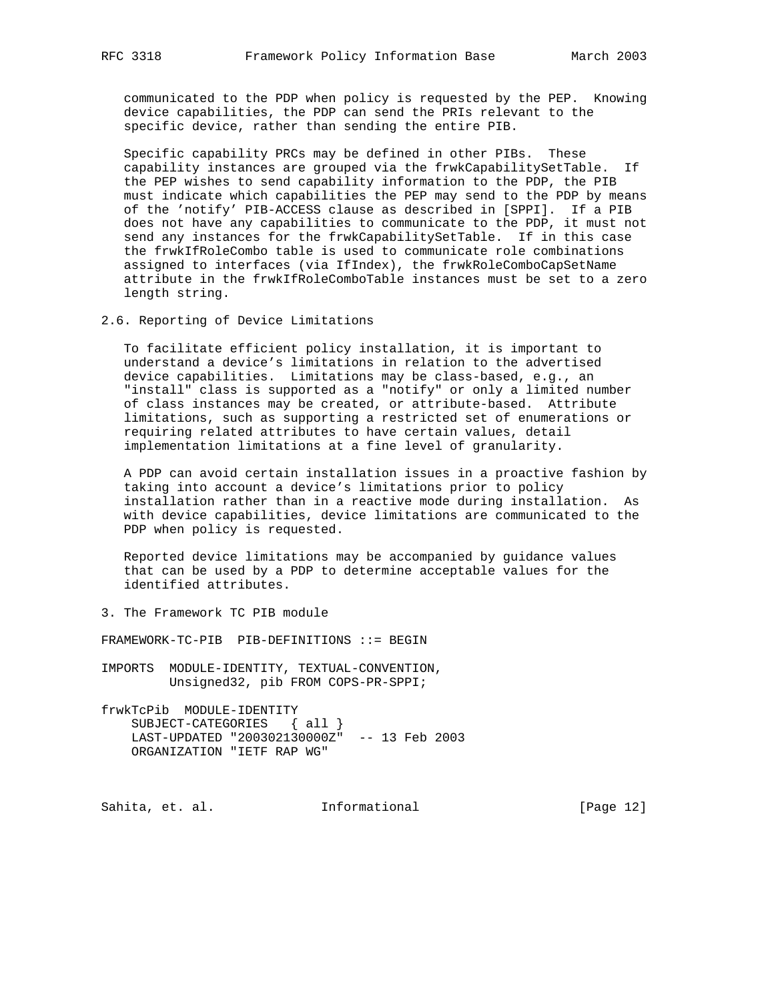communicated to the PDP when policy is requested by the PEP. Knowing device capabilities, the PDP can send the PRIs relevant to the specific device, rather than sending the entire PIB.

 Specific capability PRCs may be defined in other PIBs. These capability instances are grouped via the frwkCapabilitySetTable. If the PEP wishes to send capability information to the PDP, the PIB must indicate which capabilities the PEP may send to the PDP by means of the 'notify' PIB-ACCESS clause as described in [SPPI]. If a PIB does not have any capabilities to communicate to the PDP, it must not send any instances for the frwkCapabilitySetTable. If in this case the frwkIfRoleCombo table is used to communicate role combinations assigned to interfaces (via IfIndex), the frwkRoleComboCapSetName attribute in the frwkIfRoleComboTable instances must be set to a zero length string.

2.6. Reporting of Device Limitations

 To facilitate efficient policy installation, it is important to understand a device's limitations in relation to the advertised device capabilities. Limitations may be class-based, e.g., an "install" class is supported as a "notify" or only a limited number of class instances may be created, or attribute-based. Attribute limitations, such as supporting a restricted set of enumerations or requiring related attributes to have certain values, detail implementation limitations at a fine level of granularity.

 A PDP can avoid certain installation issues in a proactive fashion by taking into account a device's limitations prior to policy installation rather than in a reactive mode during installation. As with device capabilities, device limitations are communicated to the PDP when policy is requested.

 Reported device limitations may be accompanied by guidance values that can be used by a PDP to determine acceptable values for the identified attributes.

3. The Framework TC PIB module

FRAMEWORK-TC-PIB PIB-DEFINITIONS ::= BEGIN

- IMPORTS MODULE-IDENTITY, TEXTUAL-CONVENTION, Unsigned32, pib FROM COPS-PR-SPPI;
- frwkTcPib MODULE-IDENTITY SUBJECT-CATEGORIES { all } LAST-UPDATED "200302130000Z" -- 13 Feb 2003 ORGANIZATION "IETF RAP WG"

Sahita, et. al. 1nformational 1999 [Page 12]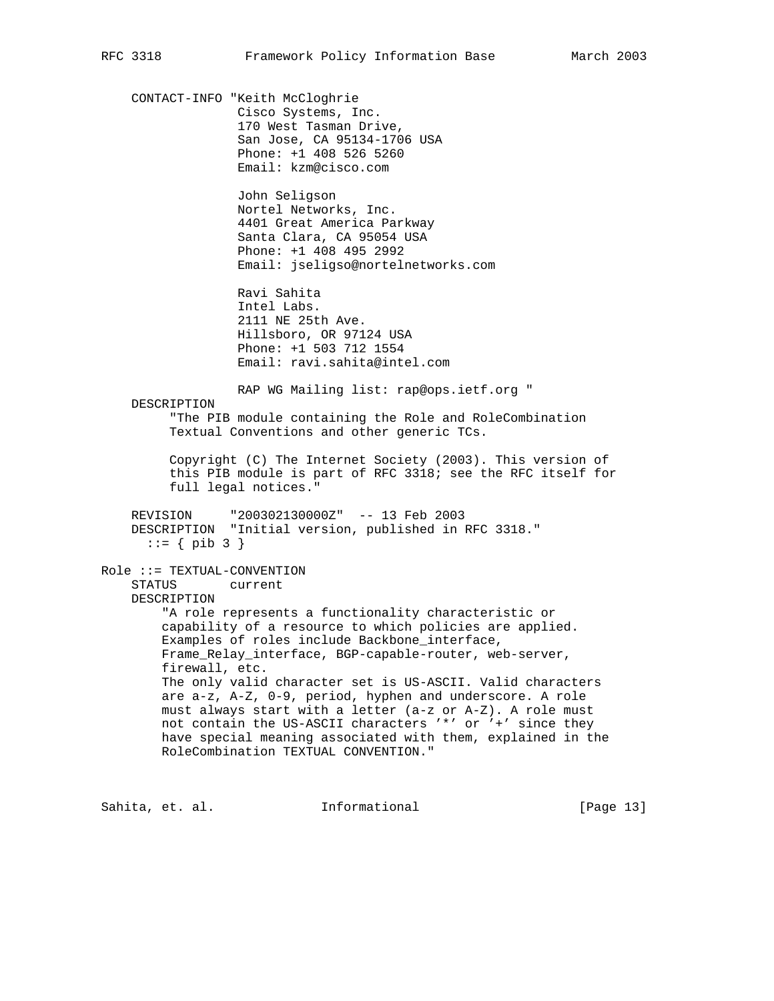CONTACT-INFO "Keith McCloghrie Cisco Systems, Inc. 170 West Tasman Drive, San Jose, CA 95134-1706 USA Phone: +1 408 526 5260 Email: kzm@cisco.com John Seligson Nortel Networks, Inc. 4401 Great America Parkway Santa Clara, CA 95054 USA Phone: +1 408 495 2992 Email: jseligso@nortelnetworks.com Ravi Sahita Intel Labs. 2111 NE 25th Ave. Hillsboro, OR 97124 USA Phone: +1 503 712 1554 Email: ravi.sahita@intel.com RAP WG Mailing list: rap@ops.ietf.org " DESCRIPTION "The PIB module containing the Role and RoleCombination Textual Conventions and other generic TCs. Copyright (C) The Internet Society (2003). This version of this PIB module is part of RFC 3318; see the RFC itself for full legal notices." REVISION "200302130000Z" -- 13 Feb 2003 DESCRIPTION "Initial version, published in RFC 3318."  $::= \{ \text{ pib } 3 \}$ Role ::= TEXTUAL-CONVENTION STATUS current DESCRIPTION "A role represents a functionality characteristic or capability of a resource to which policies are applied. Examples of roles include Backbone\_interface, Frame\_Relay\_interface, BGP-capable-router, web-server, firewall, etc. The only valid character set is US-ASCII. Valid characters are a-z, A-Z, 0-9, period, hyphen and underscore. A role must always start with a letter (a-z or A-Z). A role must not contain the US-ASCII characters '\*' or '+' since they have special meaning associated with them, explained in the RoleCombination TEXTUAL CONVENTION."

Sahita, et. al. **Informational** [Page 13]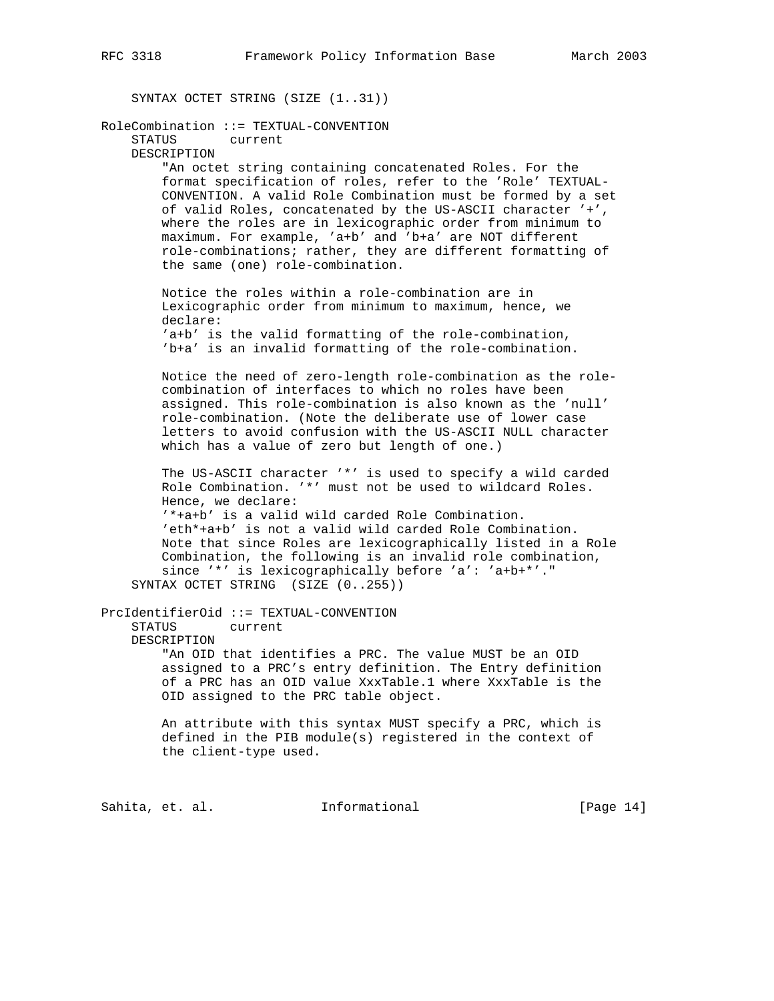SYNTAX OCTET STRING (SIZE (1..31))

RoleCombination ::= TEXTUAL-CONVENTION STATUS current DESCRIPTION "An octet string containing concatenated Roles. For the format specification of roles, refer to the 'Role' TEXTUAL- CONVENTION. A valid Role Combination must be formed by a set of valid Roles, concatenated by the US-ASCII character '+', where the roles are in lexicographic order from minimum to maximum. For example, 'a+b' and 'b+a' are NOT different role-combinations; rather, they are different formatting of the same (one) role-combination. Notice the roles within a role-combination are in Lexicographic order from minimum to maximum, hence, we declare: 'a+b' is the valid formatting of the role-combination, 'b+a' is an invalid formatting of the role-combination. Notice the need of zero-length role-combination as the role combination of interfaces to which no roles have been assigned. This role-combination is also known as the 'null' role-combination. (Note the deliberate use of lower case letters to avoid confusion with the US-ASCII NULL character which has a value of zero but length of one.) The US-ASCII character '\*' is used to specify a wild carded Role Combination. '\*' must not be used to wildcard Roles. Hence, we declare: '\*+a+b' is a valid wild carded Role Combination. 'eth\*+a+b' is not a valid wild carded Role Combination. Note that since Roles are lexicographically listed in a Role Combination, the following is an invalid role combination, since '\*' is lexicographically before 'a': 'a+b+\*'." SYNTAX OCTET STRING (SIZE (0..255)) PrcIdentifierOid ::= TEXTUAL-CONVENTION STATUS current DESCRIPTION "An OID that identifies a PRC. The value MUST be an OID assigned to a PRC's entry definition. The Entry definition of a PRC has an OID value XxxTable.1 where XxxTable is the OID assigned to the PRC table object. An attribute with this syntax MUST specify a PRC, which is defined in the PIB module(s) registered in the context of the client-type used.

Sahita, et. al. **Informational** [Page 14]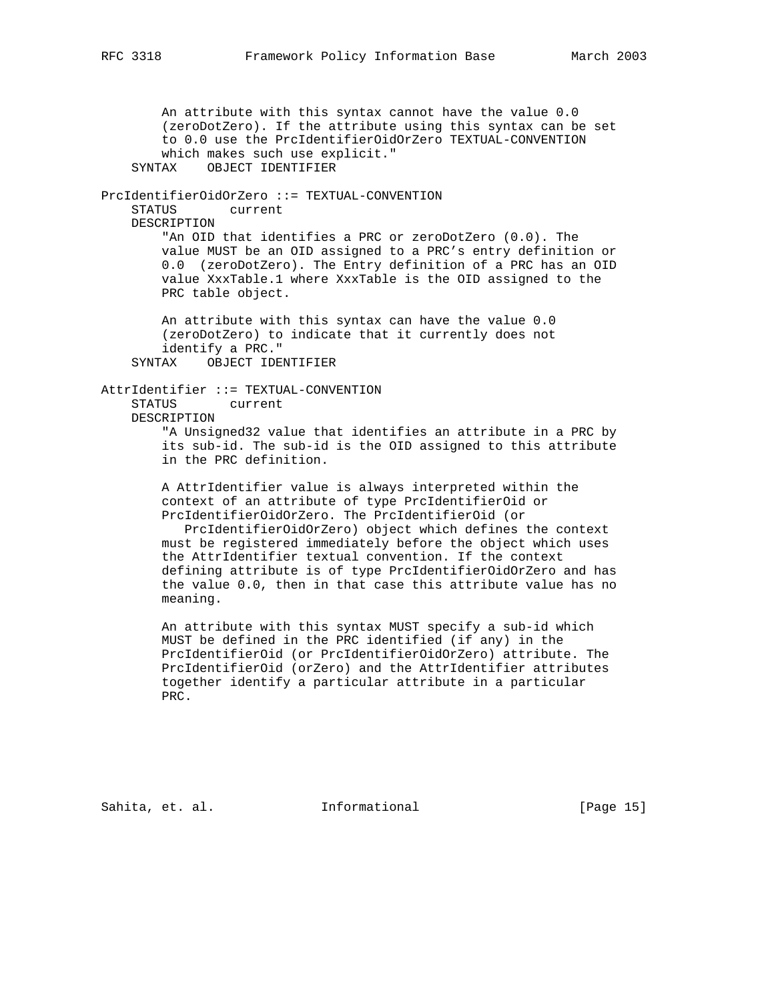An attribute with this syntax cannot have the value 0.0 (zeroDotZero). If the attribute using this syntax can be set to 0.0 use the PrcIdentifierOidOrZero TEXTUAL-CONVENTION which makes such use explicit." SYNTAX OBJECT IDENTIFIER PrcIdentifierOidOrZero ::= TEXTUAL-CONVENTION STATUS current DESCRIPTION "An OID that identifies a PRC or zeroDotZero (0.0). The value MUST be an OID assigned to a PRC's entry definition or 0.0 (zeroDotZero). The Entry definition of a PRC has an OID value XxxTable.1 where XxxTable is the OID assigned to the PRC table object. An attribute with this syntax can have the value 0.0 (zeroDotZero) to indicate that it currently does not identify a PRC." SYNTAX OBJECT IDENTIFIER AttrIdentifier ::= TEXTUAL-CONVENTION STATUS current DESCRIPTION "A Unsigned32 value that identifies an attribute in a PRC by its sub-id. The sub-id is the OID assigned to this attribute in the PRC definition. A AttrIdentifier value is always interpreted within the context of an attribute of type PrcIdentifierOid or PrcIdentifierOidOrZero. The PrcIdentifierOid (or PrcIdentifierOidOrZero) object which defines the context must be registered immediately before the object which uses the AttrIdentifier textual convention. If the context defining attribute is of type PrcIdentifierOidOrZero and has the value 0.0, then in that case this attribute value has no meaning. An attribute with this syntax MUST specify a sub-id which MUST be defined in the PRC identified (if any) in the PrcIdentifierOid (or PrcIdentifierOidOrZero) attribute. The PrcIdentifierOid (orZero) and the AttrIdentifier attributes together identify a particular attribute in a particular

Sahita, et. al. **Informational** [Page 15]

PRC.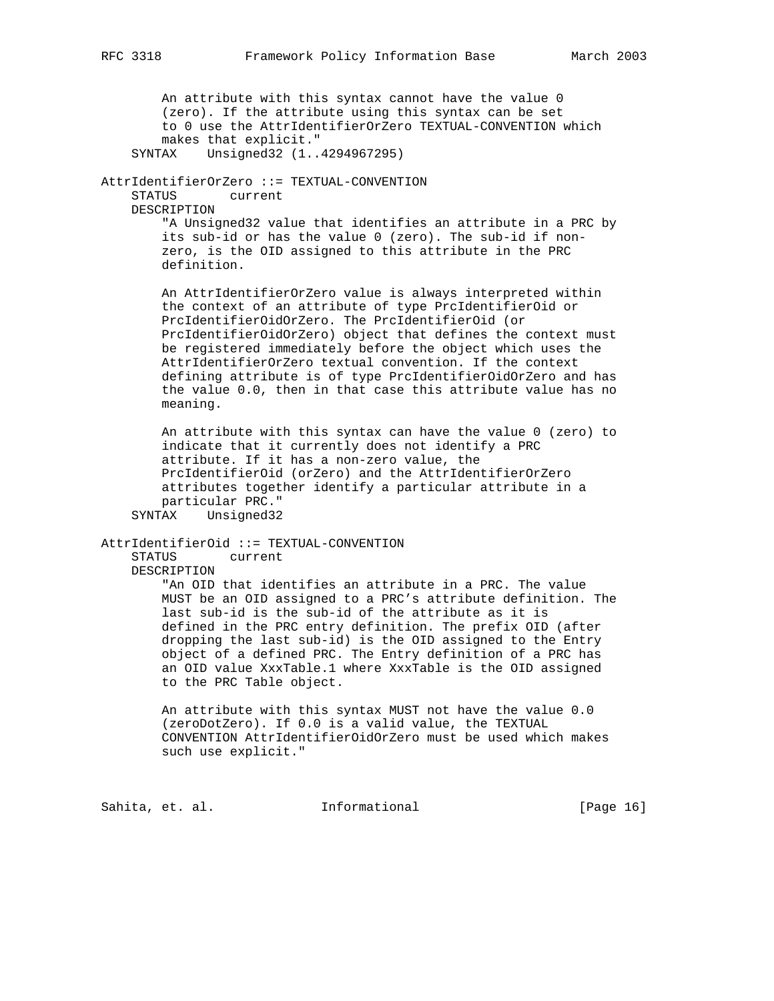An attribute with this syntax cannot have the value 0 (zero). If the attribute using this syntax can be set to 0 use the AttrIdentifierOrZero TEXTUAL-CONVENTION which makes that explicit." SYNTAX Unsigned32 (1..4294967295) AttrIdentifierOrZero ::= TEXTUAL-CONVENTION STATUS current DESCRIPTION "A Unsigned32 value that identifies an attribute in a PRC by its sub-id or has the value 0 (zero). The sub-id if non zero, is the OID assigned to this attribute in the PRC definition. An AttrIdentifierOrZero value is always interpreted within the context of an attribute of type PrcIdentifierOid or PrcIdentifierOidOrZero. The PrcIdentifierOid (or PrcIdentifierOidOrZero) object that defines the context must be registered immediately before the object which uses the AttrIdentifierOrZero textual convention. If the context defining attribute is of type PrcIdentifierOidOrZero and has the value 0.0, then in that case this attribute value has no meaning. An attribute with this syntax can have the value 0 (zero) to indicate that it currently does not identify a PRC attribute. If it has a non-zero value, the PrcIdentifierOid (orZero) and the AttrIdentifierOrZero attributes together identify a particular attribute in a particular PRC." SYNTAX Unsigned32 AttrIdentifierOid ::= TEXTUAL-CONVENTION STATUS current DESCRIPTION "An OID that identifies an attribute in a PRC. The value MUST be an OID assigned to a PRC's attribute definition. The last sub-id is the sub-id of the attribute as it is defined in the PRC entry definition. The prefix OID (after dropping the last sub-id) is the OID assigned to the Entry object of a defined PRC. The Entry definition of a PRC has an OID value XxxTable.1 where XxxTable is the OID assigned to the PRC Table object. An attribute with this syntax MUST not have the value 0.0

 (zeroDotZero). If 0.0 is a valid value, the TEXTUAL CONVENTION AttrIdentifierOidOrZero must be used which makes such use explicit."

Sahita, et. al. **Informational** [Page 16]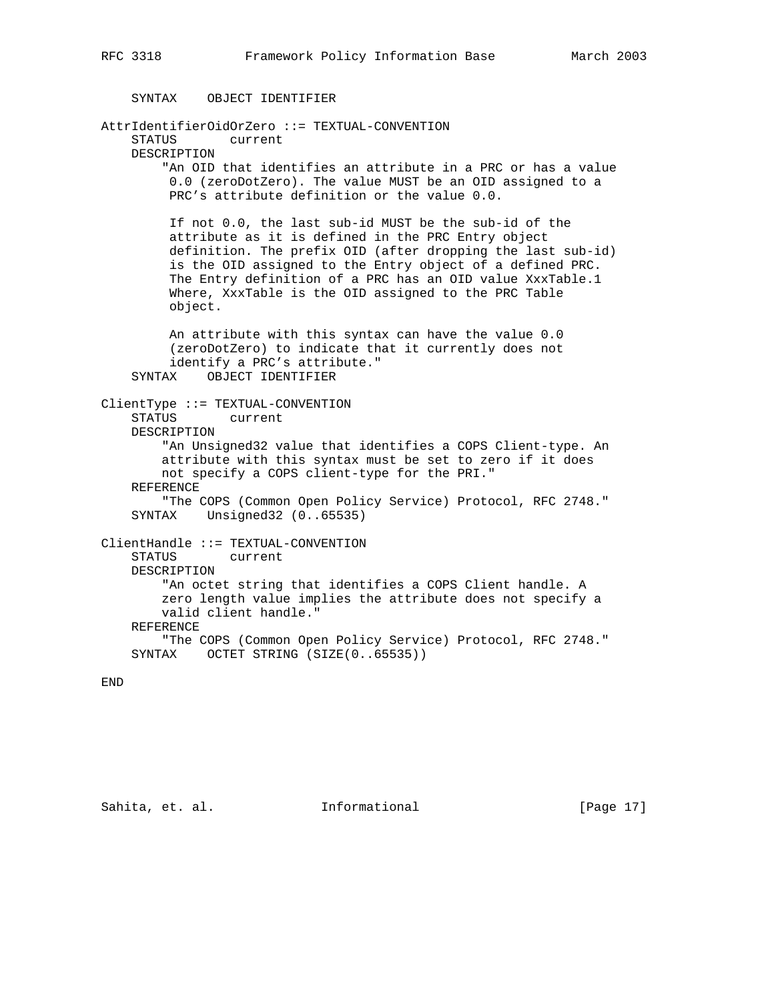```
 SYNTAX OBJECT IDENTIFIER
AttrIdentifierOidOrZero ::= TEXTUAL-CONVENTION
     STATUS current
     DESCRIPTION
         "An OID that identifies an attribute in a PRC or has a value
         0.0 (zeroDotZero). The value MUST be an OID assigned to a
         PRC's attribute definition or the value 0.0.
         If not 0.0, the last sub-id MUST be the sub-id of the
         attribute as it is defined in the PRC Entry object
         definition. The prefix OID (after dropping the last sub-id)
         is the OID assigned to the Entry object of a defined PRC.
         The Entry definition of a PRC has an OID value XxxTable.1
         Where, XxxTable is the OID assigned to the PRC Table
         object.
         An attribute with this syntax can have the value 0.0
         (zeroDotZero) to indicate that it currently does not
         identify a PRC's attribute."
     SYNTAX OBJECT IDENTIFIER
ClientType ::= TEXTUAL-CONVENTION
     STATUS current
    DESCRIPTION
         "An Unsigned32 value that identifies a COPS Client-type. An
         attribute with this syntax must be set to zero if it does
        not specify a COPS client-type for the PRI."
    REFERENCE
         "The COPS (Common Open Policy Service) Protocol, RFC 2748."
     SYNTAX Unsigned32 (0..65535)
ClientHandle ::= TEXTUAL-CONVENTION
     STATUS current
    DESCRIPTION
         "An octet string that identifies a COPS Client handle. A
         zero length value implies the attribute does not specify a
        valid client handle."
    REFERENCE
         "The COPS (Common Open Policy Service) Protocol, RFC 2748."
   SYNTAX OCTET STRING (SIZE(0..65535))
```
END

Sahita, et. al. **Informational** [Page 17]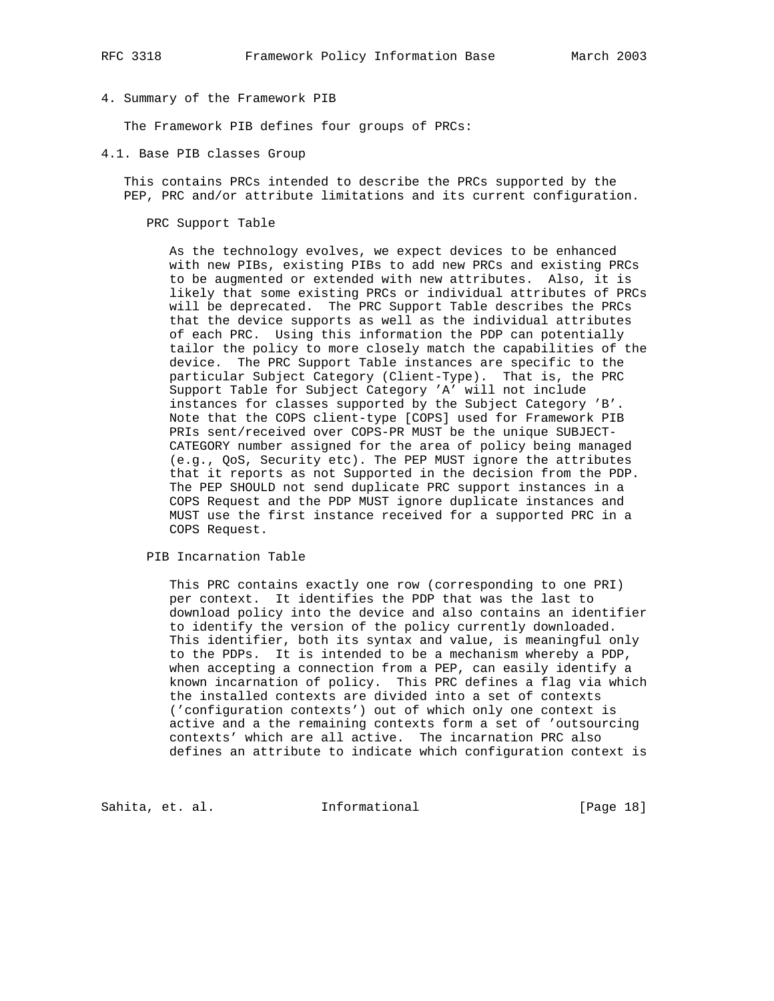- 
- 4. Summary of the Framework PIB

The Framework PIB defines four groups of PRCs:

4.1. Base PIB classes Group

 This contains PRCs intended to describe the PRCs supported by the PEP, PRC and/or attribute limitations and its current configuration.

#### PRC Support Table

 As the technology evolves, we expect devices to be enhanced with new PIBs, existing PIBs to add new PRCs and existing PRCs to be augmented or extended with new attributes. Also, it is likely that some existing PRCs or individual attributes of PRCs will be deprecated. The PRC Support Table describes the PRCs that the device supports as well as the individual attributes of each PRC. Using this information the PDP can potentially tailor the policy to more closely match the capabilities of the device. The PRC Support Table instances are specific to the particular Subject Category (Client-Type). That is, the PRC Support Table for Subject Category 'A' will not include instances for classes supported by the Subject Category 'B'. Note that the COPS client-type [COPS] used for Framework PIB PRIs sent/received over COPS-PR MUST be the unique SUBJECT- CATEGORY number assigned for the area of policy being managed (e.g., QoS, Security etc). The PEP MUST ignore the attributes that it reports as not Supported in the decision from the PDP. The PEP SHOULD not send duplicate PRC support instances in a COPS Request and the PDP MUST ignore duplicate instances and MUST use the first instance received for a supported PRC in a COPS Request.

PIB Incarnation Table

 This PRC contains exactly one row (corresponding to one PRI) per context. It identifies the PDP that was the last to download policy into the device and also contains an identifier to identify the version of the policy currently downloaded. This identifier, both its syntax and value, is meaningful only to the PDPs. It is intended to be a mechanism whereby a PDP, when accepting a connection from a PEP, can easily identify a known incarnation of policy. This PRC defines a flag via which the installed contexts are divided into a set of contexts ('configuration contexts') out of which only one context is active and a the remaining contexts form a set of 'outsourcing contexts' which are all active. The incarnation PRC also defines an attribute to indicate which configuration context is

Sahita, et. al. 1nformational 1999 [Page 18]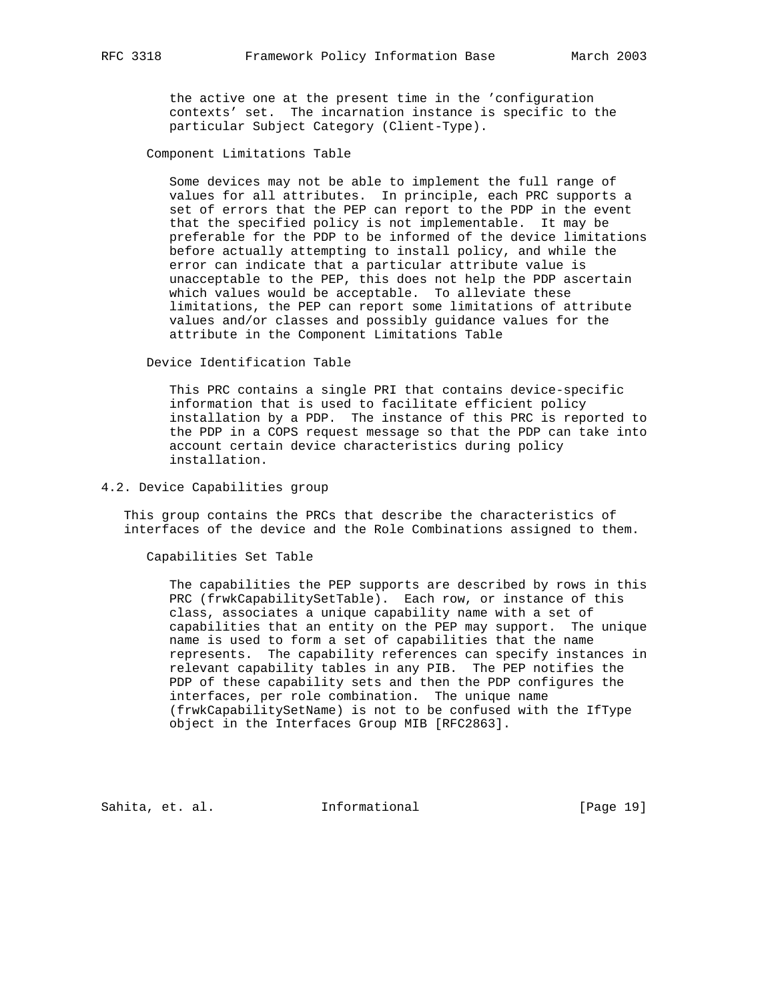the active one at the present time in the 'configuration contexts' set. The incarnation instance is specific to the particular Subject Category (Client-Type).

Component Limitations Table

 Some devices may not be able to implement the full range of values for all attributes. In principle, each PRC supports a set of errors that the PEP can report to the PDP in the event that the specified policy is not implementable. It may be preferable for the PDP to be informed of the device limitations before actually attempting to install policy, and while the error can indicate that a particular attribute value is unacceptable to the PEP, this does not help the PDP ascertain which values would be acceptable. To alleviate these limitations, the PEP can report some limitations of attribute values and/or classes and possibly guidance values for the attribute in the Component Limitations Table

Device Identification Table

 This PRC contains a single PRI that contains device-specific information that is used to facilitate efficient policy installation by a PDP. The instance of this PRC is reported to the PDP in a COPS request message so that the PDP can take into account certain device characteristics during policy installation.

4.2. Device Capabilities group

 This group contains the PRCs that describe the characteristics of interfaces of the device and the Role Combinations assigned to them.

Capabilities Set Table

 The capabilities the PEP supports are described by rows in this PRC (frwkCapabilitySetTable). Each row, or instance of this class, associates a unique capability name with a set of capabilities that an entity on the PEP may support. The unique name is used to form a set of capabilities that the name represents. The capability references can specify instances in relevant capability tables in any PIB. The PEP notifies the PDP of these capability sets and then the PDP configures the interfaces, per role combination. The unique name (frwkCapabilitySetName) is not to be confused with the IfType object in the Interfaces Group MIB [RFC2863].

Sahita, et. al. **Informational** [Page 19]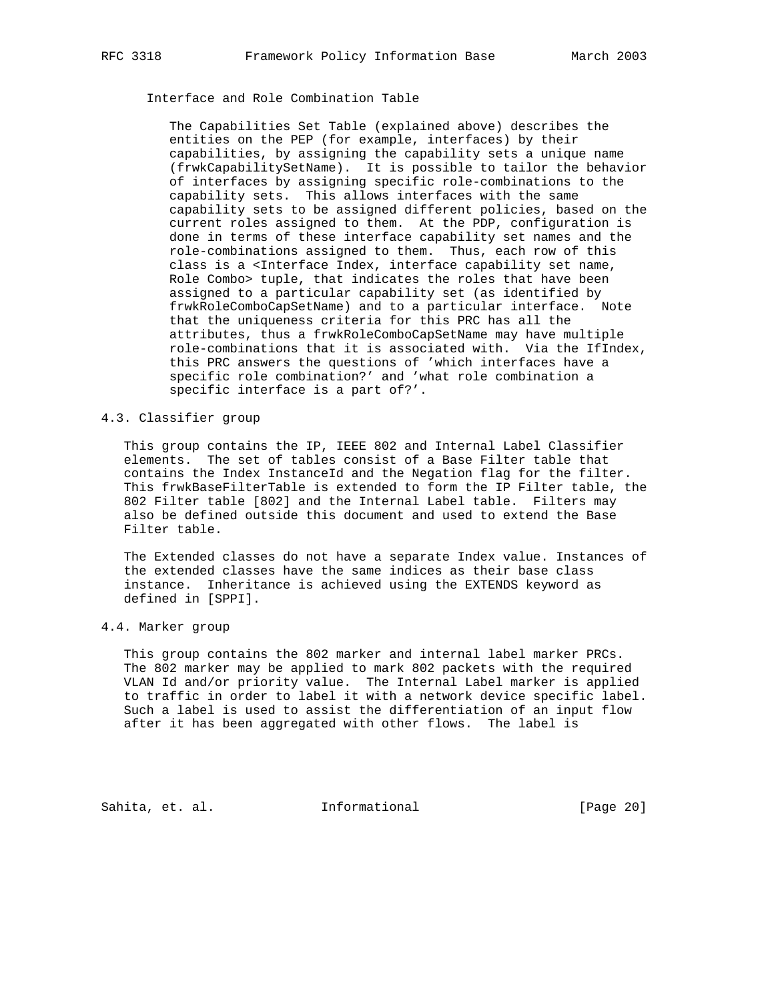# Interface and Role Combination Table

 The Capabilities Set Table (explained above) describes the entities on the PEP (for example, interfaces) by their capabilities, by assigning the capability sets a unique name (frwkCapabilitySetName). It is possible to tailor the behavior of interfaces by assigning specific role-combinations to the capability sets. This allows interfaces with the same capability sets to be assigned different policies, based on the current roles assigned to them. At the PDP, configuration is done in terms of these interface capability set names and the role-combinations assigned to them. Thus, each row of this class is a <Interface Index, interface capability set name, Role Combo> tuple, that indicates the roles that have been assigned to a particular capability set (as identified by frwkRoleComboCapSetName) and to a particular interface. Note that the uniqueness criteria for this PRC has all the attributes, thus a frwkRoleComboCapSetName may have multiple role-combinations that it is associated with. Via the IfIndex, this PRC answers the questions of 'which interfaces have a specific role combination?' and 'what role combination a specific interface is a part of?'.

#### 4.3. Classifier group

 This group contains the IP, IEEE 802 and Internal Label Classifier elements. The set of tables consist of a Base Filter table that contains the Index InstanceId and the Negation flag for the filter. This frwkBaseFilterTable is extended to form the IP Filter table, the 802 Filter table [802] and the Internal Label table. Filters may also be defined outside this document and used to extend the Base Filter table.

 The Extended classes do not have a separate Index value. Instances of the extended classes have the same indices as their base class instance. Inheritance is achieved using the EXTENDS keyword as defined in [SPPI].

#### 4.4. Marker group

 This group contains the 802 marker and internal label marker PRCs. The 802 marker may be applied to mark 802 packets with the required VLAN Id and/or priority value. The Internal Label marker is applied to traffic in order to label it with a network device specific label. Such a label is used to assist the differentiation of an input flow after it has been aggregated with other flows. The label is

Sahita, et. al. 1nformational 1999 [Page 20]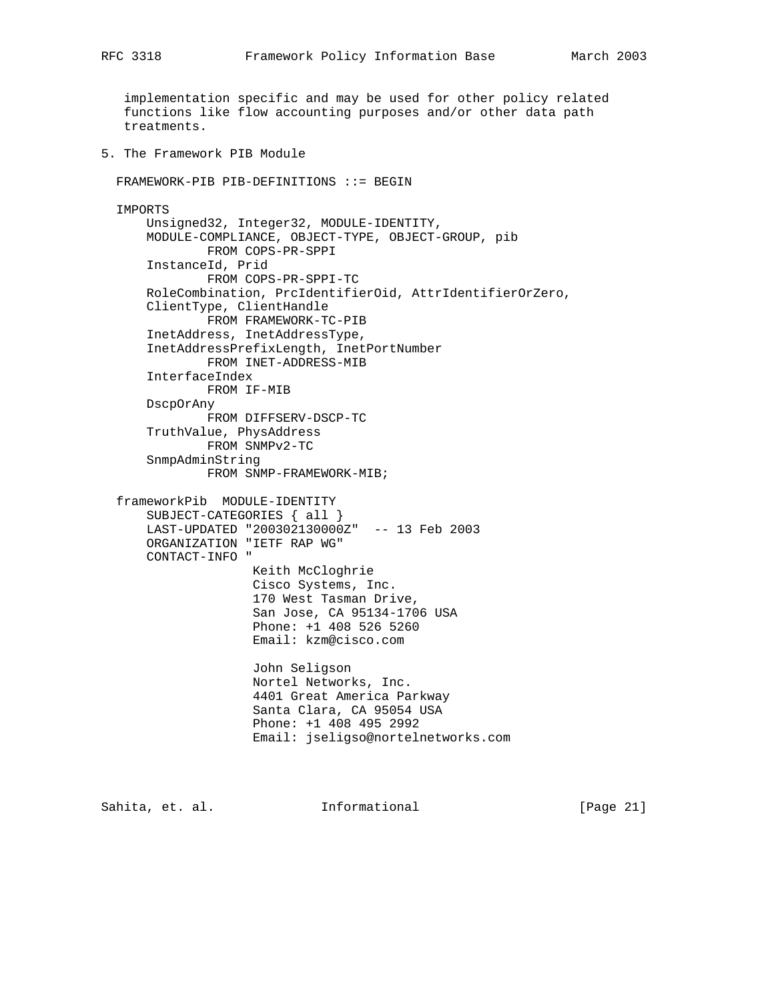implementation specific and may be used for other policy related functions like flow accounting purposes and/or other data path treatments.

5. The Framework PIB Module

```
 FRAMEWORK-PIB PIB-DEFINITIONS ::= BEGIN
 IMPORTS
    Unsigned32, Integer32, MODULE-IDENTITY,
    MODULE-COMPLIANCE, OBJECT-TYPE, OBJECT-GROUP, pib
            FROM COPS-PR-SPPI
     InstanceId, Prid
            FROM COPS-PR-SPPI-TC
     RoleCombination, PrcIdentifierOid, AttrIdentifierOrZero,
     ClientType, ClientHandle
             FROM FRAMEWORK-TC-PIB
     InetAddress, InetAddressType,
     InetAddressPrefixLength, InetPortNumber
            FROM INET-ADDRESS-MIB
     InterfaceIndex
             FROM IF-MIB
     DscpOrAny
             FROM DIFFSERV-DSCP-TC
     TruthValue, PhysAddress
             FROM SNMPv2-TC
     SnmpAdminString
             FROM SNMP-FRAMEWORK-MIB;
 frameworkPib MODULE-IDENTITY
    SUBJECT-CATEGORIES { all }
     LAST-UPDATED "200302130000Z" -- 13 Feb 2003
     ORGANIZATION "IETF RAP WG"
     CONTACT-INFO "
                   Keith McCloghrie
                   Cisco Systems, Inc.
                   170 West Tasman Drive,
                   San Jose, CA 95134-1706 USA
                   Phone: +1 408 526 5260
                   Email: kzm@cisco.com
                   John Seligson
                   Nortel Networks, Inc.
                   4401 Great America Parkway
                   Santa Clara, CA 95054 USA
                   Phone: +1 408 495 2992
                   Email: jseligso@nortelnetworks.com
```
Sahita, et. al. Informational [Page 21]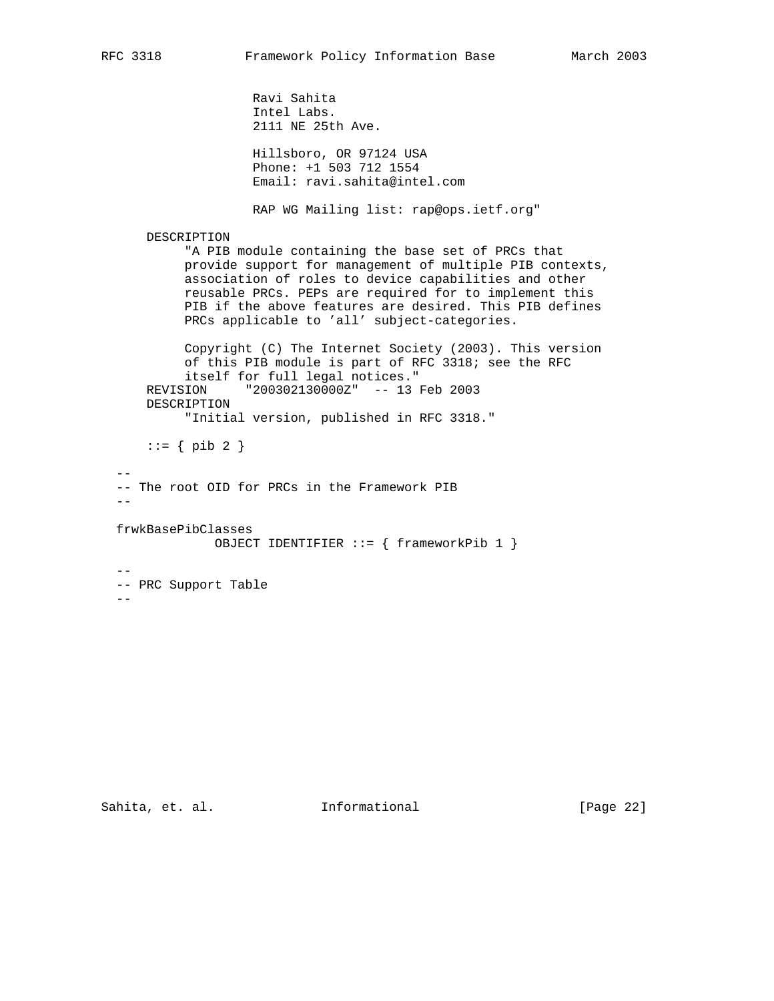```
 Ravi Sahita
                     Intel Labs.
                     2111 NE 25th Ave.
                     Hillsboro, OR 97124 USA
                     Phone: +1 503 712 1554
                     Email: ravi.sahita@intel.com
                     RAP WG Mailing list: rap@ops.ietf.org"
      DESCRIPTION
            "A PIB module containing the base set of PRCs that
           provide support for management of multiple PIB contexts,
            association of roles to device capabilities and other
           reusable PRCs. PEPs are required for to implement this
           PIB if the above features are desired. This PIB defines
           PRCs applicable to 'all' subject-categories.
           Copyright (C) The Internet Society (2003). This version
            of this PIB module is part of RFC 3318; see the RFC
            itself for full legal notices."
      REVISION "200302130000Z" -- 13 Feb 2003
      DESCRIPTION
            "Initial version, published in RFC 3318."
     ::= \{ \text{pib 2 } \}- -- The root OID for PRCs in the Framework PIB
- frwkBasePibClasses
               OBJECT IDENTIFIER ::= { frameworkPib 1 }
 - - -- PRC Support Table
 -
```
Sahita, et. al. 1nformational [Page 22]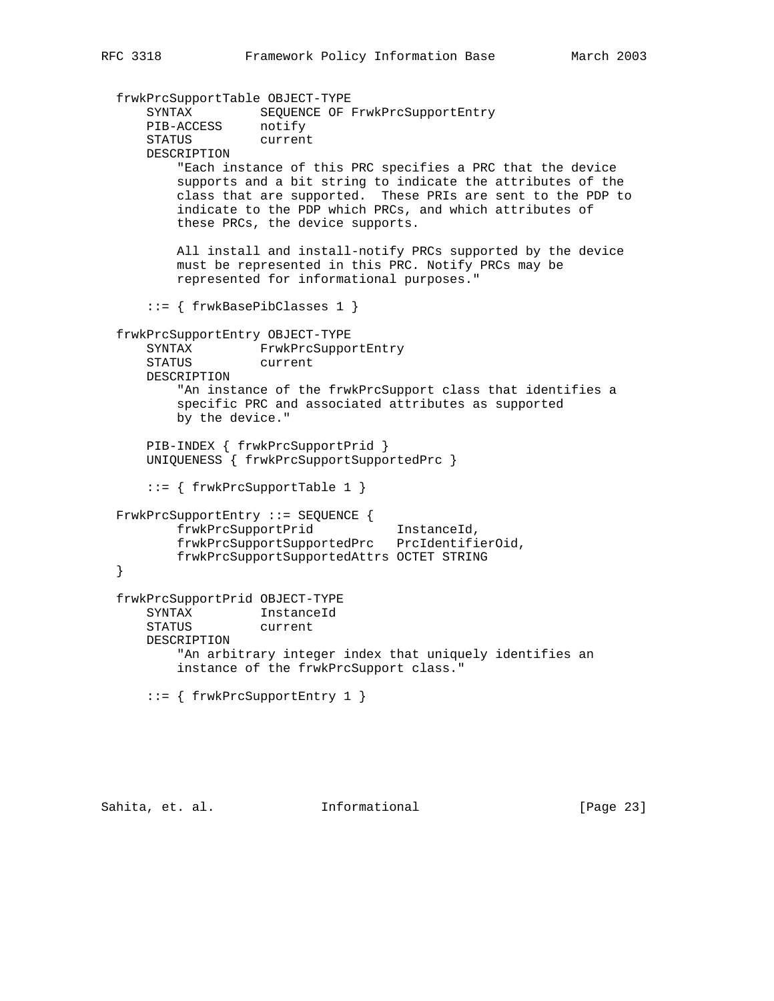```
 frwkPrcSupportTable OBJECT-TYPE
 SYNTAX SEQUENCE OF FrwkPrcSupportEntry
 PIB-ACCESS notify
      STATUS current
      DESCRIPTION
          "Each instance of this PRC specifies a PRC that the device
          supports and a bit string to indicate the attributes of the
          class that are supported. These PRIs are sent to the PDP to
          indicate to the PDP which PRCs, and which attributes of
          these PRCs, the device supports.
          All install and install-notify PRCs supported by the device
          must be represented in this PRC. Notify PRCs may be
          represented for informational purposes."
      ::= { frwkBasePibClasses 1 }
  frwkPrcSupportEntry OBJECT-TYPE
      SYNTAX FrwkPrcSupportEntry
      STATUS current
      DESCRIPTION
          "An instance of the frwkPrcSupport class that identifies a
          specific PRC and associated attributes as supported
          by the device."
      PIB-INDEX { frwkPrcSupportPrid }
      UNIQUENESS { frwkPrcSupportSupportedPrc }
      ::= { frwkPrcSupportTable 1 }
  FrwkPrcSupportEntry ::= SEQUENCE {
          frwkPrcSupportPrid InstanceId,
          frwkPrcSupportSupportedPrc PrcIdentifierOid,
          frwkPrcSupportSupportedAttrs OCTET STRING
  }
  frwkPrcSupportPrid OBJECT-TYPE
      SYNTAX InstanceId
      STATUS current
      DESCRIPTION
          "An arbitrary integer index that uniquely identifies an
          instance of the frwkPrcSupport class."
      ::= { frwkPrcSupportEntry 1 }
```
Sahita, et. al. **Informational** [Page 23]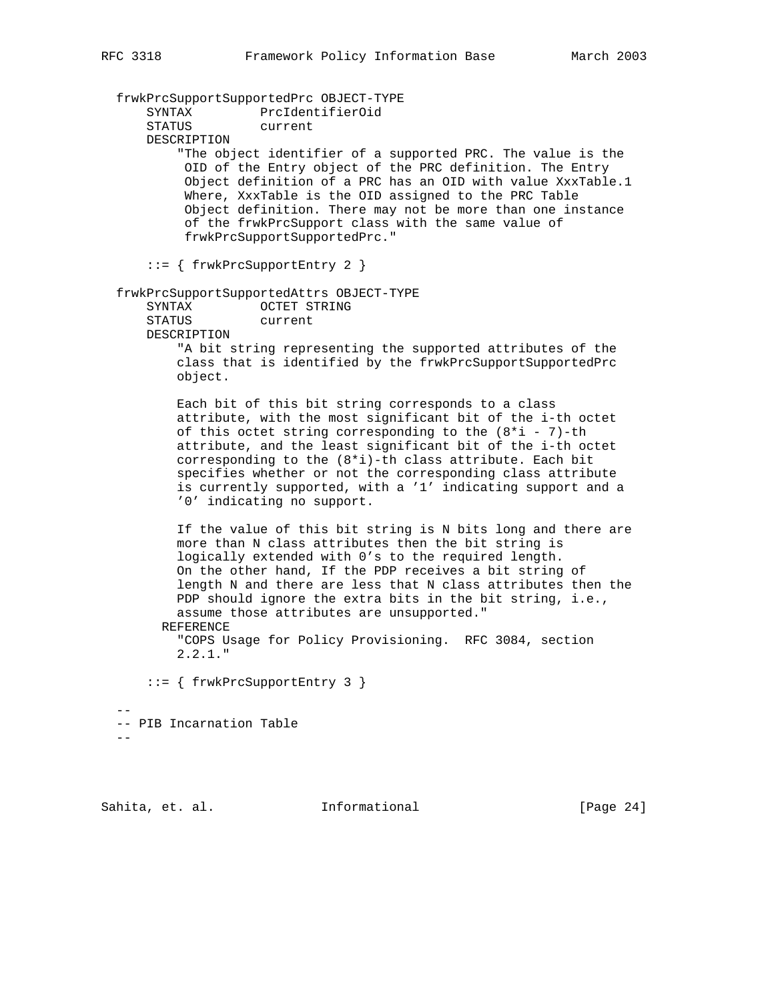frwkPrcSupportSupportedPrc OBJECT-TYPE SYNTAX PrcIdentifierOid STATUS current DESCRIPTION "The object identifier of a supported PRC. The value is the OID of the Entry object of the PRC definition. The Entry Object definition of a PRC has an OID with value XxxTable.1 Where, XxxTable is the OID assigned to the PRC Table Object definition. There may not be more than one instance of the frwkPrcSupport class with the same value of frwkPrcSupportSupportedPrc." ::= { frwkPrcSupportEntry 2 } frwkPrcSupportSupportedAttrs OBJECT-TYPE SYNTAX OCTET STRING STATUS current DESCRIPTION "A bit string representing the supported attributes of the class that is identified by the frwkPrcSupportSupportedPrc object. Each bit of this bit string corresponds to a class attribute, with the most significant bit of the i-th octet of this octet string corresponding to the  $(8 * i - 7)$ -th attribute, and the least significant bit of the i-th octet corresponding to the (8\*i)-th class attribute. Each bit specifies whether or not the corresponding class attribute is currently supported, with a '1' indicating support and a '0' indicating no support. If the value of this bit string is N bits long and there are more than N class attributes then the bit string is logically extended with 0's to the required length. On the other hand, If the PDP receives a bit string of length N and there are less that N class attributes then the PDP should ignore the extra bits in the bit string, i.e., assume those attributes are unsupported." REFERENCE "COPS Usage for Policy Provisioning. RFC 3084, section 2.2.1." ::= { frwkPrcSupportEntry 3 }  $-$  -- PIB Incarnation Table  $-$ 

Sahita, et. al. **Informational** [Page 24]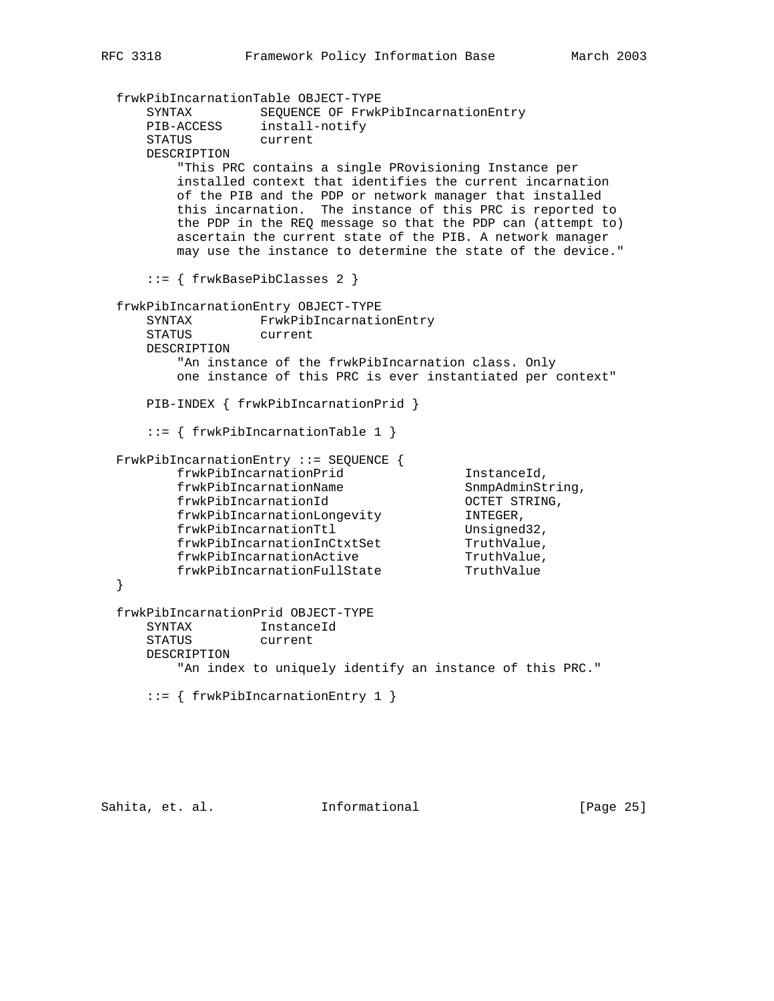```
 frwkPibIncarnationTable OBJECT-TYPE
 SYNTAX SEQUENCE OF FrwkPibIncarnationEntry
 PIB-ACCESS install-notify
 STATUS current
      DESCRIPTION
          "This PRC contains a single PRovisioning Instance per
          installed context that identifies the current incarnation
         of the PIB and the PDP or network manager that installed
         this incarnation. The instance of this PRC is reported to
         the PDP in the REQ message so that the PDP can (attempt to)
         ascertain the current state of the PIB. A network manager
         may use the instance to determine the state of the device."
      ::= { frwkBasePibClasses 2 }
  frwkPibIncarnationEntry OBJECT-TYPE
      SYNTAX FrwkPibIncarnationEntry
      STATUS current
      DESCRIPTION
         "An instance of the frwkPibIncarnation class. Only
          one instance of this PRC is ever instantiated per context"
      PIB-INDEX { frwkPibIncarnationPrid }
      ::= { frwkPibIncarnationTable 1 }
  FrwkPibIncarnationEntry ::= SEQUENCE {
         frwkPibIncarnationPrid 1nstanceId,<br>frwkPibIncarnationName 5nmpAdminString,
frwkPibIncarnationName ShmpAdminString,
 frwkPibIncarnationId OCTET STRING,
        IIWKPIDINCarnationId<br>frwkPibIncarnationLongevity INTEGER,<br>frwkPibIncarnationTtl Unsigned32,
frwkPibIncarnationTtl Unsigned32,
 frwkPibIncarnationInCtxtSet TruthValue,
frwkPibIncarnationActive TruthValue,
frwkPibIncarnationFullState TruthValue
  }
  frwkPibIncarnationPrid OBJECT-TYPE
      SYNTAX InstanceId
      STATUS current
      DESCRIPTION
         "An index to uniquely identify an instance of this PRC."
      ::= { frwkPibIncarnationEntry 1 }
```
Sahita, et. al. 1nformational 1999 [Page 25]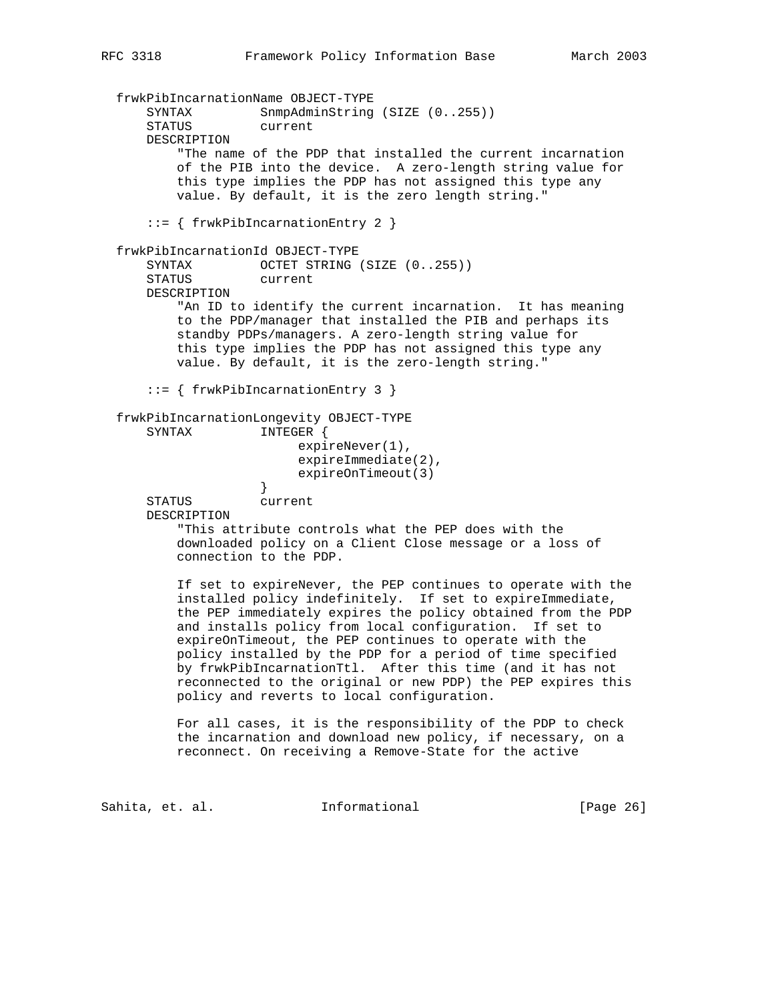frwkPibIncarnationName OBJECT-TYPE SYNTAX SnmpAdminString (SIZE (0..255)) STATUS current DESCRIPTION "The name of the PDP that installed the current incarnation of the PIB into the device. A zero-length string value for this type implies the PDP has not assigned this type any value. By default, it is the zero length string." ::= { frwkPibIncarnationEntry 2 } frwkPibIncarnationId OBJECT-TYPE SYNTAX OCTET STRING (SIZE (0..255)) STATUS current DESCRIPTION "An ID to identify the current incarnation. It has meaning to the PDP/manager that installed the PIB and perhaps its standby PDPs/managers. A zero-length string value for this type implies the PDP has not assigned this type any value. By default, it is the zero-length string." ::= { frwkPibIncarnationEntry 3 } frwkPibIncarnationLongevity OBJECT-TYPE SYNTAX INTEGER { expireNever(1), expireImmediate(2), expireOnTimeout(3)<br>} } STATUS current DESCRIPTION "This attribute controls what the PEP does with the downloaded policy on a Client Close message or a loss of connection to the PDP. If set to expireNever, the PEP continues to operate with the installed policy indefinitely. If set to expireImmediate, the PEP immediately expires the policy obtained from the PDP and installs policy from local configuration. If set to expireOnTimeout, the PEP continues to operate with the policy installed by the PDP for a period of time specified by frwkPibIncarnationTtl. After this time (and it has not reconnected to the original or new PDP) the PEP expires this policy and reverts to local configuration. For all cases, it is the responsibility of the PDP to check

 the incarnation and download new policy, if necessary, on a reconnect. On receiving a Remove-State for the active

Sahita, et. al. 1nformational 1999 [Page 26]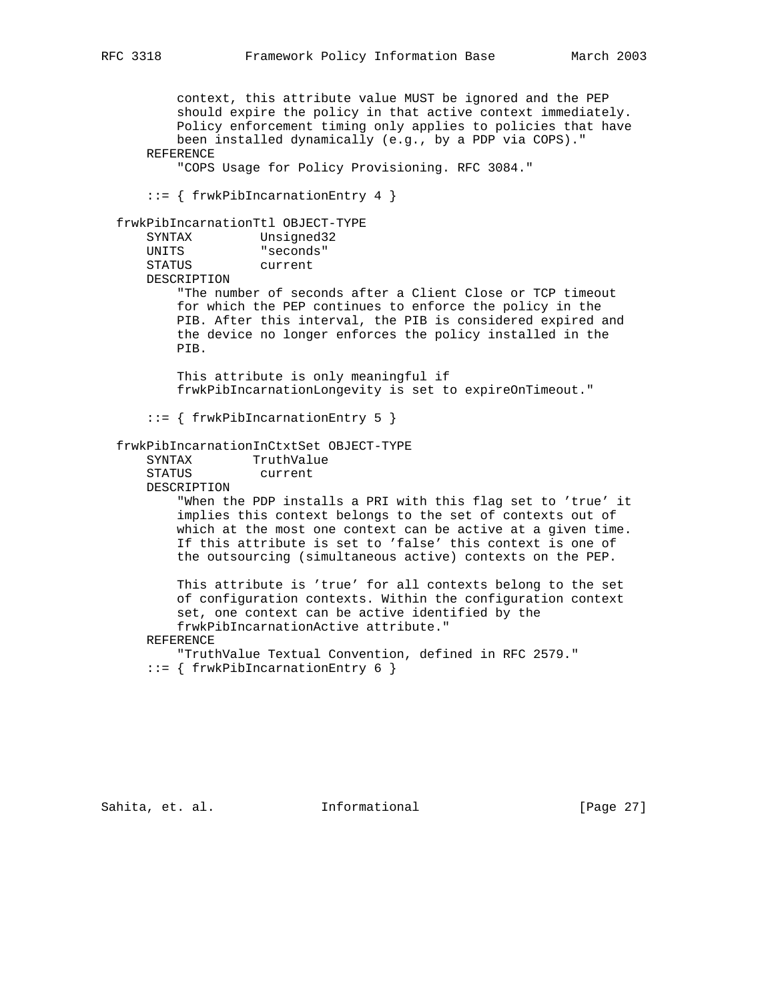context, this attribute value MUST be ignored and the PEP should expire the policy in that active context immediately. Policy enforcement timing only applies to policies that have been installed dynamically (e.g., by a PDP via COPS)." REFERENCE "COPS Usage for Policy Provisioning. RFC 3084." ::= { frwkPibIncarnationEntry 4 } frwkPibIncarnationTtl OBJECT-TYPE SYNTAX Unsigned32 UNITS "seconds" STATUS current DESCRIPTION "The number of seconds after a Client Close or TCP timeout for which the PEP continues to enforce the policy in the PIB. After this interval, the PIB is considered expired and the device no longer enforces the policy installed in the PIB. This attribute is only meaningful if frwkPibIncarnationLongevity is set to expireOnTimeout." ::= { frwkPibIncarnationEntry 5 } frwkPibIncarnationInCtxtSet OBJECT-TYPE SYNTAX TruthValue STATUS current DESCRIPTION "When the PDP installs a PRI with this flag set to 'true' it implies this context belongs to the set of contexts out of which at the most one context can be active at a given time. If this attribute is set to 'false' this context is one of the outsourcing (simultaneous active) contexts on the PEP. This attribute is 'true' for all contexts belong to the set of configuration contexts. Within the configuration context set, one context can be active identified by the frwkPibIncarnationActive attribute." REFERENCE "TruthValue Textual Convention, defined in RFC 2579." ::= { frwkPibIncarnationEntry 6 }

Sahita, et. al. **Informational** [Page 27]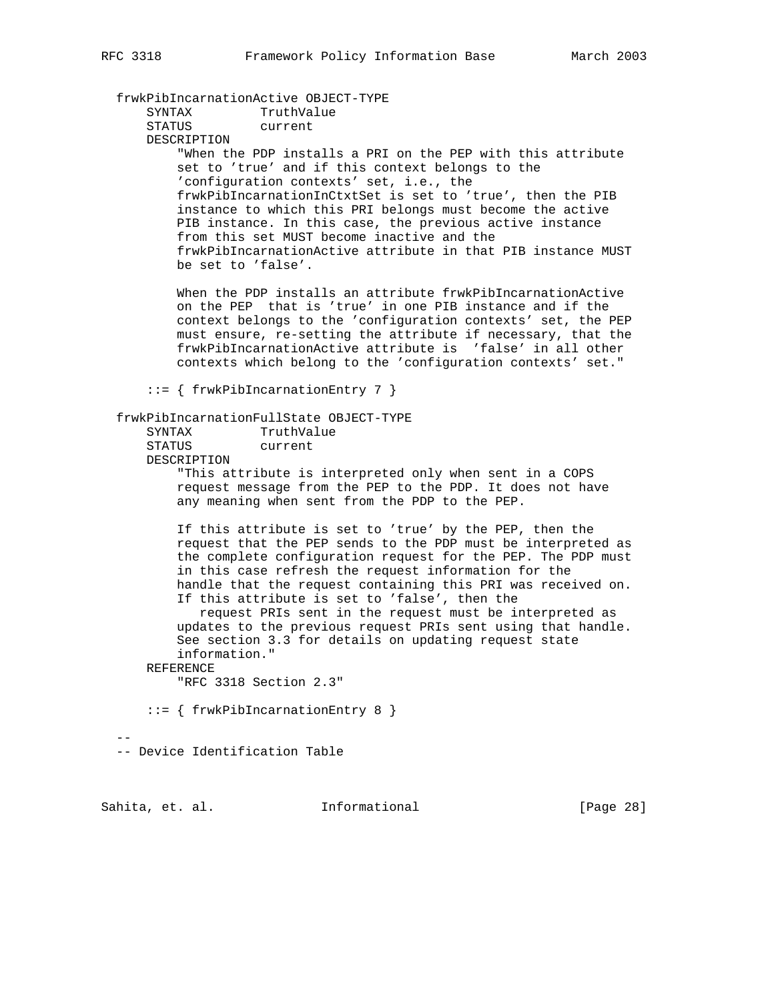frwkPibIncarnationActive OBJECT-TYPE

 SYNTAX TruthValue STATUS current DESCRIPTION "When the PDP installs a PRI on the PEP with this attribute set to 'true' and if this context belongs to the 'configuration contexts' set, i.e., the frwkPibIncarnationInCtxtSet is set to 'true', then the PIB instance to which this PRI belongs must become the active PIB instance. In this case, the previous active instance from this set MUST become inactive and the frwkPibIncarnationActive attribute in that PIB instance MUST be set to 'false'.

> When the PDP installs an attribute frwkPibIncarnationActive on the PEP that is 'true' in one PIB instance and if the context belongs to the 'configuration contexts' set, the PEP must ensure, re-setting the attribute if necessary, that the frwkPibIncarnationActive attribute is 'false' in all other contexts which belong to the 'configuration contexts' set."

::= { frwkPibIncarnationEntry 7 }

#### frwkPibIncarnationFullState OBJECT-TYPE

| SYNTAX      | TruthValue |
|-------------|------------|
| STATUS      | current    |
| DESCRIPTION |            |

 "This attribute is interpreted only when sent in a COPS request message from the PEP to the PDP. It does not have any meaning when sent from the PDP to the PEP.

 If this attribute is set to 'true' by the PEP, then the request that the PEP sends to the PDP must be interpreted as the complete configuration request for the PEP. The PDP must in this case refresh the request information for the handle that the request containing this PRI was received on. If this attribute is set to 'false', then the

 request PRIs sent in the request must be interpreted as updates to the previous request PRIs sent using that handle. See section 3.3 for details on updating request state information."

REFERENCE

"RFC 3318 Section 2.3"

::= { frwkPibIncarnationEntry 8 }

 $-$ 

-- Device Identification Table

Sahita, et. al. **Informational** [Page 28]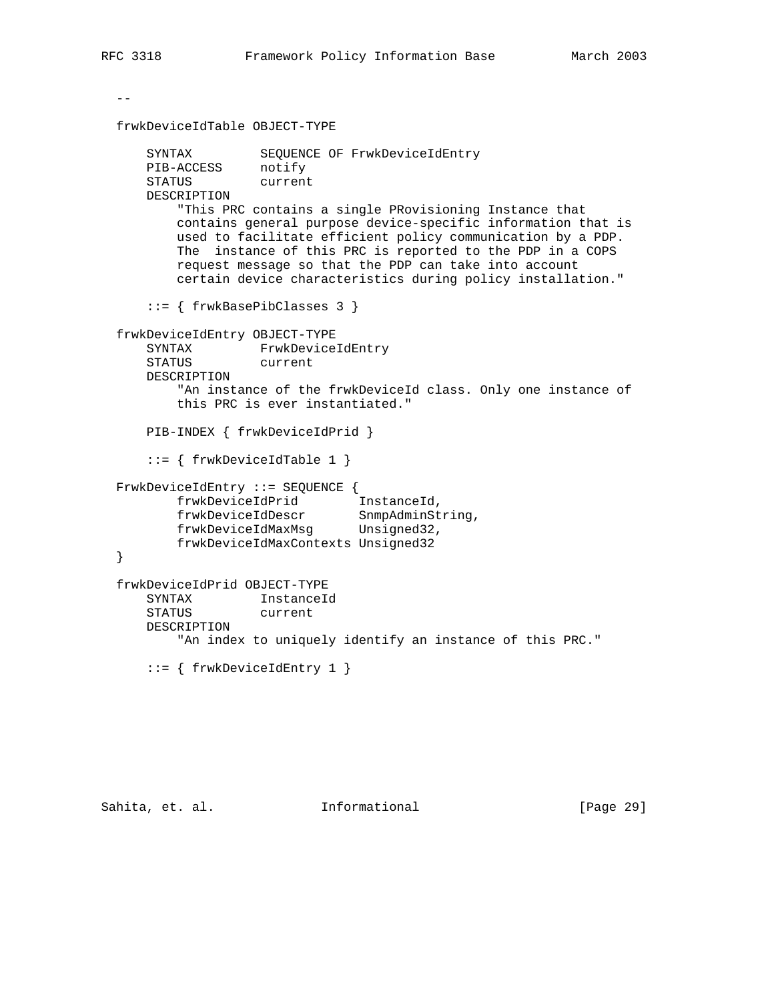request message so that the PDP can take into account

certain device characteristics during policy installation."

```
- frwkDeviceIdTable OBJECT-TYPE
 SYNTAX SEQUENCE OF FrwkDeviceIdEntry
 PIB-ACCESS notify
 STATUS current
      DESCRIPTION
          "This PRC contains a single PRovisioning Instance that
          contains general purpose device-specific information that is
         used to facilitate efficient policy communication by a PDP.
          The instance of this PRC is reported to the PDP in a COPS
```
::= { frwkBasePibClasses 3 }

```
 frwkDeviceIdEntry OBJECT-TYPE
      SYNTAX FrwkDeviceIdEntry
      STATUS current
      DESCRIPTION
          "An instance of the frwkDeviceId class. Only one instance of
         this PRC is ever instantiated."
      PIB-INDEX { frwkDeviceIdPrid }
      ::= { frwkDeviceIdTable 1 }
  FrwkDeviceIdEntry ::= SEQUENCE {
         frwkDeviceIdPrid InstanceId,
 frwkDeviceIdDescr SnmpAdminString,
 frwkDeviceIdMaxMsg Unsigned32,
         frwkDeviceIdMaxContexts Unsigned32
  }
  frwkDeviceIdPrid OBJECT-TYPE
      SYNTAX InstanceId
      STATUS current
      DESCRIPTION
         "An index to uniquely identify an instance of this PRC."
      ::= { frwkDeviceIdEntry 1 }
```
Sahita, et. al. **Informational** [Page 29]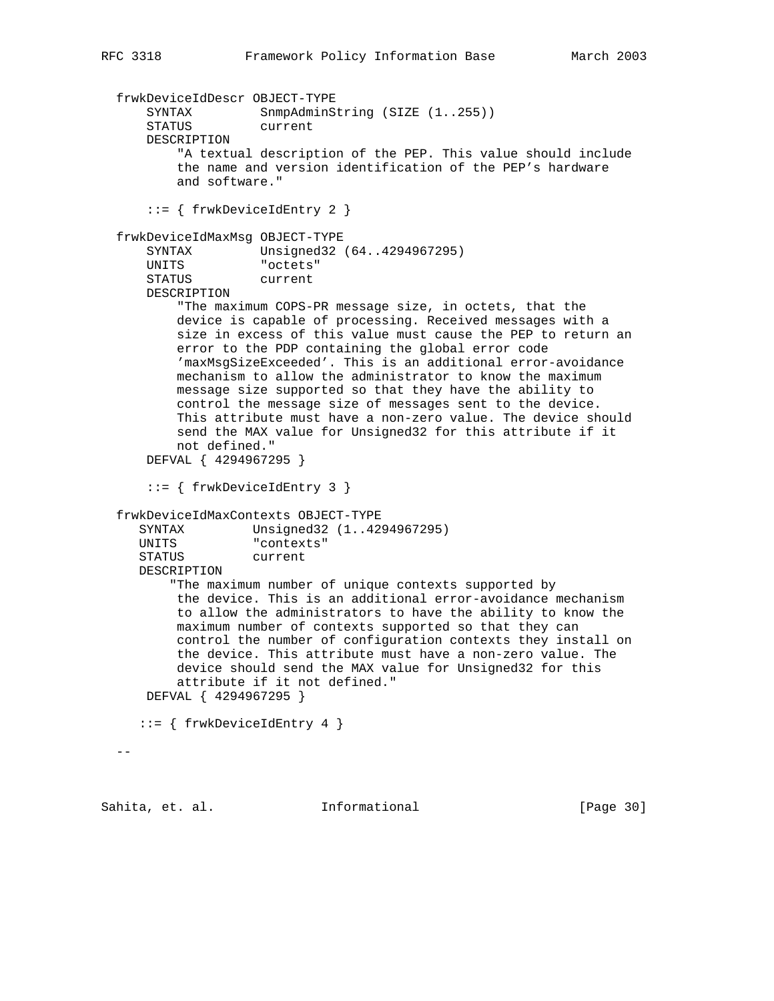```
 frwkDeviceIdDescr OBJECT-TYPE
SYNTAX SnmpAdminString (SIZE (1..255))
 STATUS current
      DESCRIPTION
          "A textual description of the PEP. This value should include
          the name and version identification of the PEP's hardware
          and software."
      ::= { frwkDeviceIdEntry 2 }
  frwkDeviceIdMaxMsg OBJECT-TYPE
      SYNTAX Unsigned32 (64..4294967295)
      UNITS "octets"
     STATUS current
      DESCRIPTION
          "The maximum COPS-PR message size, in octets, that the
          device is capable of processing. Received messages with a
          size in excess of this value must cause the PEP to return an
          error to the PDP containing the global error code
          'maxMsgSizeExceeded'. This is an additional error-avoidance
          mechanism to allow the administrator to know the maximum
          message size supported so that they have the ability to
          control the message size of messages sent to the device.
          This attribute must have a non-zero value. The device should
          send the MAX value for Unsigned32 for this attribute if it
          not defined."
      DEFVAL { 4294967295 }
      ::= { frwkDeviceIdEntry 3 }
  frwkDeviceIdMaxContexts OBJECT-TYPE
     SYNTAX Unsigned32 (1..4294967295)
     UNITS "contexts"
     STATUS current
     DESCRIPTION
         "The maximum number of unique contexts supported by
          the device. This is an additional error-avoidance mechanism
          to allow the administrators to have the ability to know the
          maximum number of contexts supported so that they can
          control the number of configuration contexts they install on
          the device. This attribute must have a non-zero value. The
          device should send the MAX value for Unsigned32 for this
          attribute if it not defined."
      DEFVAL { 4294967295 }
     ::= { frwkDeviceIdEntry 4 }
 -
```
Sahita, et. al. **Informational** [Page 30]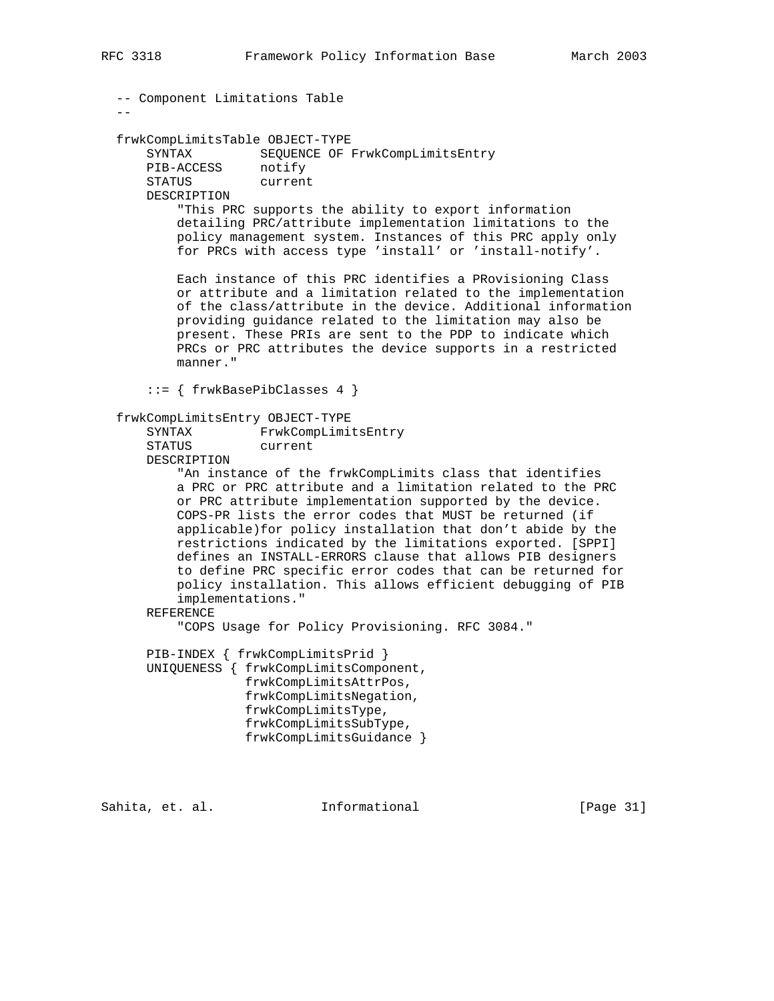```
 -- Component Limitations Table
- frwkCompLimitsTable OBJECT-TYPE
    SYNTAX SEQUENCE OF FrwkCompLimitsEntry<br>PIB-ACCESS notify
    PIB-ACCESS notify<br>STATUS current
    STATUS
     DESCRIPTION
         "This PRC supports the ability to export information
         detailing PRC/attribute implementation limitations to the
         policy management system. Instances of this PRC apply only
         for PRCs with access type 'install' or 'install-notify'.
         Each instance of this PRC identifies a PRovisioning Class
         or attribute and a limitation related to the implementation
         of the class/attribute in the device. Additional information
         providing guidance related to the limitation may also be
         present. These PRIs are sent to the PDP to indicate which
         PRCs or PRC attributes the device supports in a restricted
         manner."
     ::= { frwkBasePibClasses 4 }
 frwkCompLimitsEntry OBJECT-TYPE
     SYNTAX FrwkCompLimitsEntry
     STATUS current
     DESCRIPTION
         "An instance of the frwkCompLimits class that identifies
         a PRC or PRC attribute and a limitation related to the PRC
         or PRC attribute implementation supported by the device.
         COPS-PR lists the error codes that MUST be returned (if
         applicable)for policy installation that don't abide by the
         restrictions indicated by the limitations exported. [SPPI]
         defines an INSTALL-ERRORS clause that allows PIB designers
         to define PRC specific error codes that can be returned for
         policy installation. This allows efficient debugging of PIB
         implementations."
     REFERENCE
         "COPS Usage for Policy Provisioning. RFC 3084."
     PIB-INDEX { frwkCompLimitsPrid }
     UNIQUENESS { frwkCompLimitsComponent,
                  frwkCompLimitsAttrPos,
                  frwkCompLimitsNegation,
                  frwkCompLimitsType,
                  frwkCompLimitsSubType,
                  frwkCompLimitsGuidance }
```
Sahita, et. al. **Informational** [Page 31]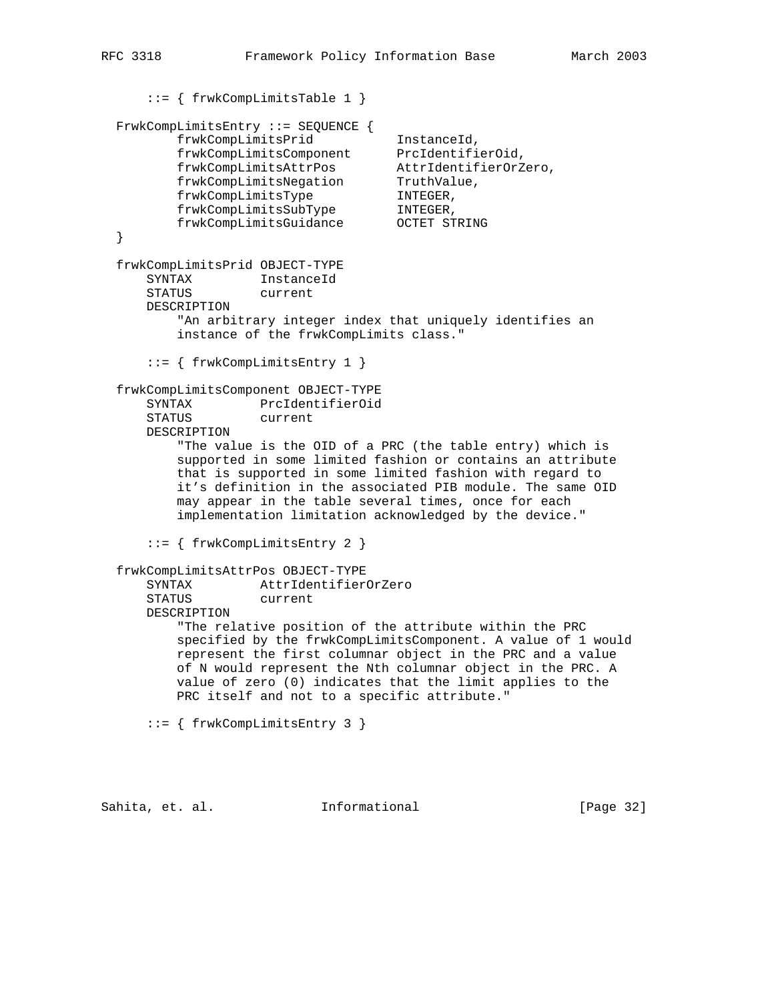```
 ::= { frwkCompLimitsTable 1 }
  FrwkCompLimitsEntry ::= SEQUENCE {
 frwkCompLimitsPrid InstanceId,
 frwkCompLimitsComponent PrcIdentifierOid,
 frwkCompLimitsAttrPos AttrIdentifierOrZero,
 frwkCompLimitsNegation TruthValue,
 frwkCompLimitsType INTEGER,
 frwkCompLimitsSubType INTEGER,
 frwkCompLimitsGuidance OCTET STRING
  }
  frwkCompLimitsPrid OBJECT-TYPE
      SYNTAX InstanceId
      STATUS current
      DESCRIPTION
          "An arbitrary integer index that uniquely identifies an
          instance of the frwkCompLimits class."
      ::= { frwkCompLimitsEntry 1 }
  frwkCompLimitsComponent OBJECT-TYPE
      SYNTAX PrcIdentifierOid
      STATUS current
      DESCRIPTION
          "The value is the OID of a PRC (the table entry) which is
          supported in some limited fashion or contains an attribute
          that is supported in some limited fashion with regard to
          it's definition in the associated PIB module. The same OID
          may appear in the table several times, once for each
          implementation limitation acknowledged by the device."
      ::= { frwkCompLimitsEntry 2 }
  frwkCompLimitsAttrPos OBJECT-TYPE
      SYNTAX AttrIdentifierOrZero
                  current
      DESCRIPTION
          "The relative position of the attribute within the PRC
          specified by the frwkCompLimitsComponent. A value of 1 would
          represent the first columnar object in the PRC and a value
          of N would represent the Nth columnar object in the PRC. A
          value of zero (0) indicates that the limit applies to the
          PRC itself and not to a specific attribute."
      ::= { frwkCompLimitsEntry 3 }
```
Sahita, et. al. **Informational** [Page 32]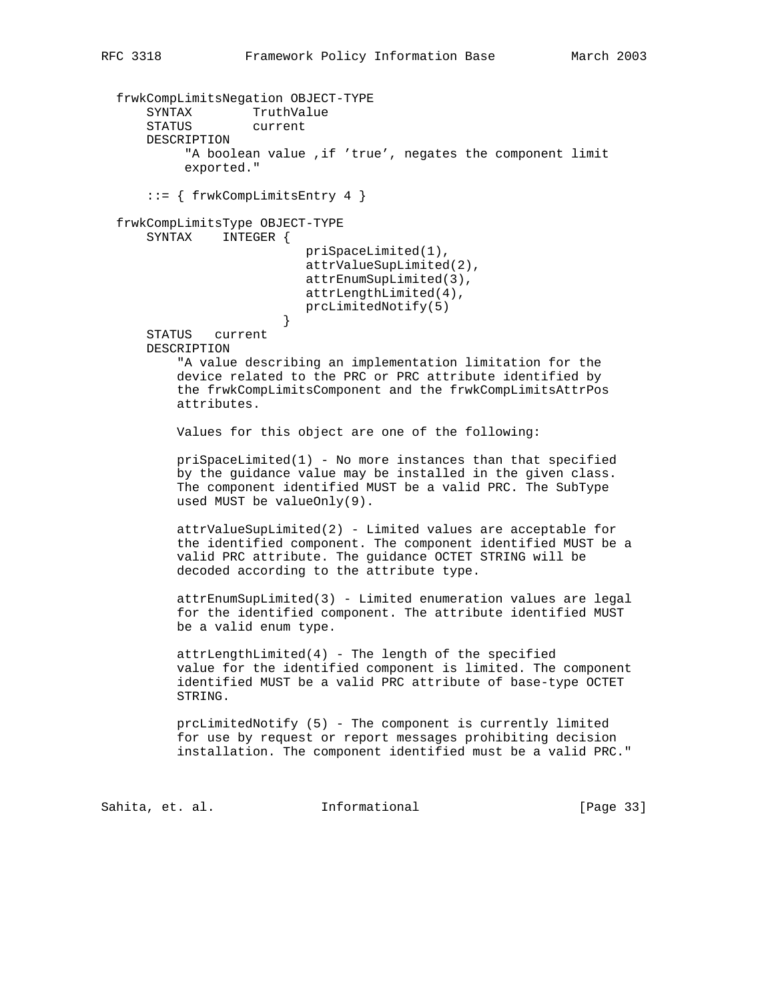```
 frwkCompLimitsNegation OBJECT-TYPE
      SYNTAX TruthValue
      STATUS current
      DESCRIPTION
           "A boolean value ,if 'true', negates the component limit
           exported."
       ::= { frwkCompLimitsEntry 4 }
  frwkCompLimitsType OBJECT-TYPE
      SYNTAX INTEGER {
                           priSpaceLimited(1),
                           attrValueSupLimited(2),
                           attrEnumSupLimited(3),
                           attrLengthLimited(4),
                           prcLimitedNotify(5)
 }
      STATUS current
      DESCRIPTION
          "A value describing an implementation limitation for the
          device related to the PRC or PRC attribute identified by
          the frwkCompLimitsComponent and the frwkCompLimitsAttrPos
          attributes.
          Values for this object are one of the following:
         priSpaceLimited(1) - No more instances than that specified by the guidance value may be installed in the given class.
          The component identified MUST be a valid PRC. The SubType
          used MUST be valueOnly(9).
          attrValueSupLimited(2) - Limited values are acceptable for
          the identified component. The component identified MUST be a
          valid PRC attribute. The guidance OCTET STRING will be
          decoded according to the attribute type.
          attrEnumSupLimited(3) - Limited enumeration values are legal
          for the identified component. The attribute identified MUST
          be a valid enum type.
          attrLengthLimited(4) - The length of the specified
          value for the identified component is limited. The component
          identified MUST be a valid PRC attribute of base-type OCTET
          STRING.
          prcLimitedNotify (5) - The component is currently limited
          for use by request or report messages prohibiting decision
          installation. The component identified must be a valid PRC."
```
Sahita, et. al. **Informational** [Page 33]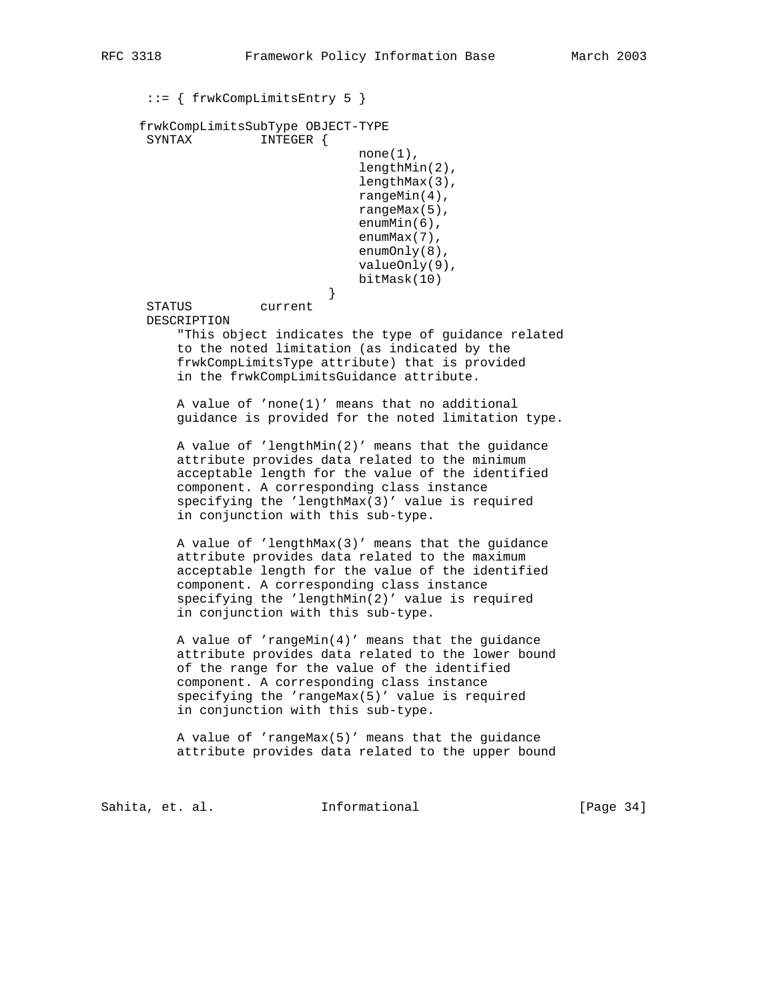::= { frwkCompLimitsEntry 5 }

 frwkCompLimitsSubType OBJECT-TYPE INTEGER {

```
none(1),
 lengthMin(2),
 lengthMax(3),
 rangeMin(4),
 rangeMax(5),
 enumMin(6),
 enumMax(7),
 enumOnly(8),
 valueOnly(9),
 bitMask(10)
```
 } STATUS current DESCRIPTION

> "This object indicates the type of guidance related to the noted limitation (as indicated by the frwkCompLimitsType attribute) that is provided in the frwkCompLimitsGuidance attribute.

> A value of 'none(1)' means that no additional guidance is provided for the noted limitation type.

 A value of 'lengthMin(2)' means that the guidance attribute provides data related to the minimum acceptable length for the value of the identified component. A corresponding class instance specifying the 'lengthMax(3)' value is required in conjunction with this sub-type.

 A value of 'lengthMax(3)' means that the guidance attribute provides data related to the maximum acceptable length for the value of the identified component. A corresponding class instance specifying the 'lengthMin(2)' value is required in conjunction with this sub-type.

 A value of 'rangeMin(4)' means that the guidance attribute provides data related to the lower bound of the range for the value of the identified component. A corresponding class instance specifying the 'rangeMax(5)' value is required in conjunction with this sub-type.

 A value of 'rangeMax(5)' means that the guidance attribute provides data related to the upper bound

Sahita, et. al. **Informational** [Page 34]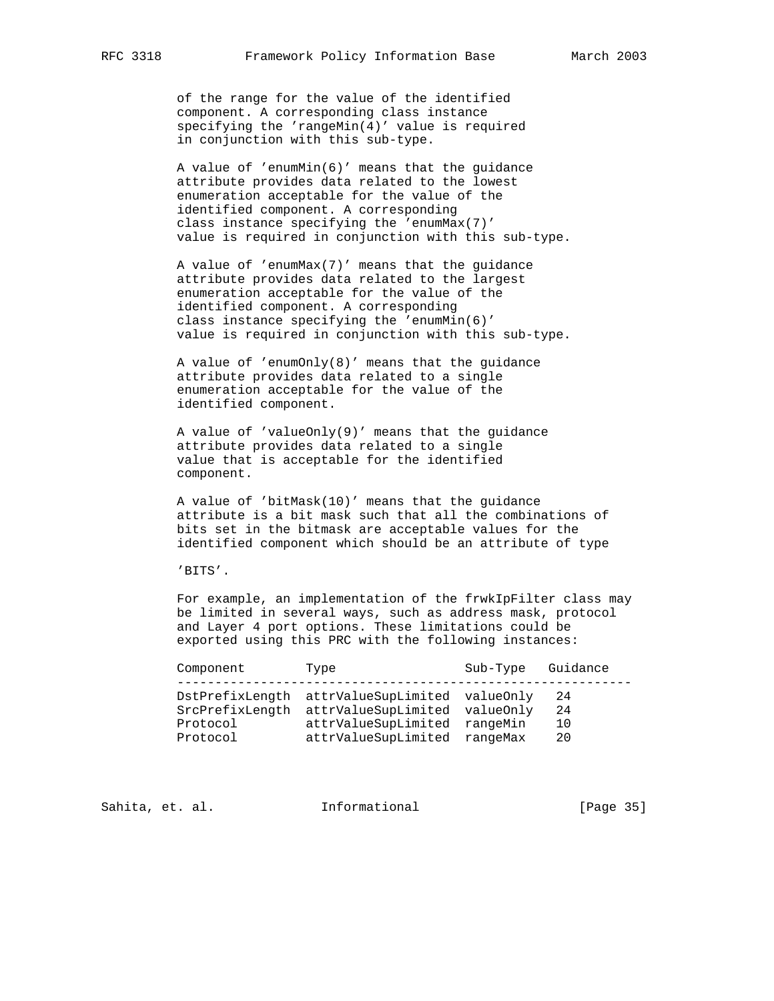of the range for the value of the identified component. A corresponding class instance specifying the 'rangeMin(4)' value is required in conjunction with this sub-type.

 A value of 'enumMin(6)' means that the guidance attribute provides data related to the lowest enumeration acceptable for the value of the identified component. A corresponding class instance specifying the 'enumMax(7)' value is required in conjunction with this sub-type.

 A value of 'enumMax(7)' means that the guidance attribute provides data related to the largest enumeration acceptable for the value of the identified component. A corresponding class instance specifying the 'enumMin(6)' value is required in conjunction with this sub-type.

 A value of 'enumOnly(8)' means that the guidance attribute provides data related to a single enumeration acceptable for the value of the identified component.

 A value of 'valueOnly(9)' means that the guidance attribute provides data related to a single value that is acceptable for the identified component.

 A value of 'bitMask(10)' means that the guidance attribute is a bit mask such that all the combinations of bits set in the bitmask are acceptable values for the identified component which should be an attribute of type

'BITS'.

 For example, an implementation of the frwkIpFilter class may be limited in several ways, such as address mask, protocol and Layer 4 port options. These limitations could be exported using this PRC with the following instances:

| Component                               | Type                                                                                                                                           | Sub-Type | Guidance             |
|-----------------------------------------|------------------------------------------------------------------------------------------------------------------------------------------------|----------|----------------------|
| SrcPrefixLength<br>Protocol<br>Protocol | DstPrefixLength attrValueSupLimited valueOnly<br>attrValueSupLimited valueOnly<br>attrValueSupLimited rangeMin<br>attrValueSupLimited rangeMax |          | 24<br>24<br>10<br>20 |

Sahita, et. al. **Informational** [Page 35]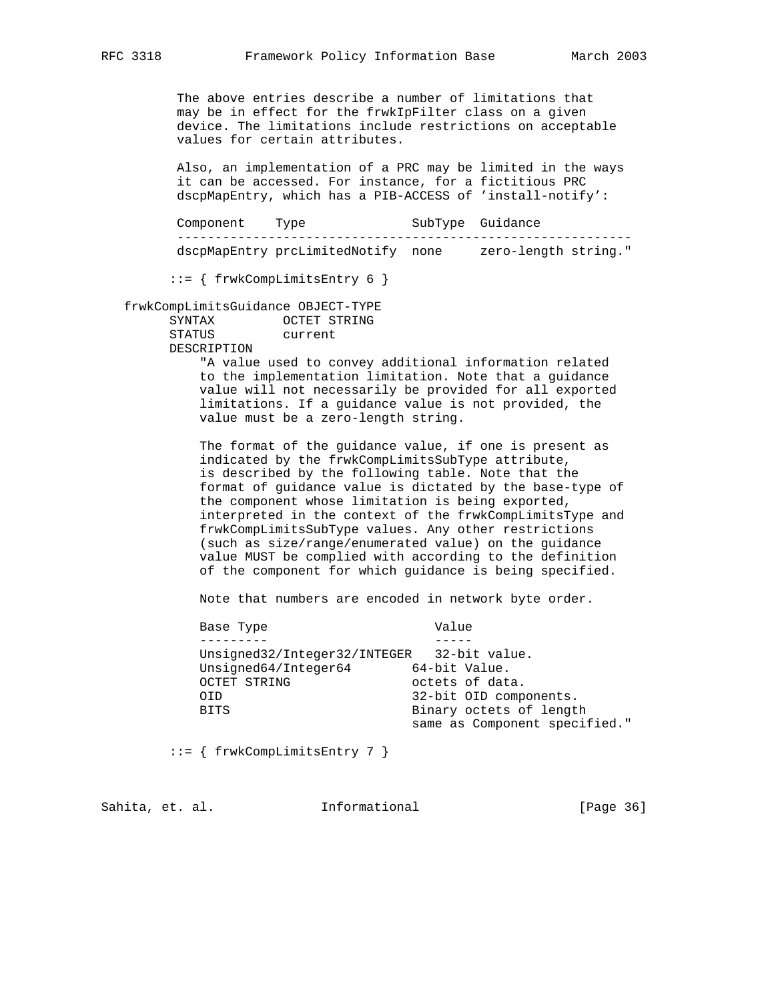The above entries describe a number of limitations that may be in effect for the frwkIpFilter class on a given device. The limitations include restrictions on acceptable values for certain attributes.

 Also, an implementation of a PRC may be limited in the ways it can be accessed. For instance, for a fictitious PRC dscpMapEntry, which has a PIB-ACCESS of 'install-notify':

 Component Type SubType Guidance ----------------------------------------------------------- dscpMapEntry prcLimitedNotify none zero-length string."

::= { frwkCompLimitsEntry 6 }

 frwkCompLimitsGuidance OBJECT-TYPE SYNTAX OCTET STRING STATUS current DESCRIPTION

> "A value used to convey additional information related to the implementation limitation. Note that a guidance value will not necessarily be provided for all exported limitations. If a guidance value is not provided, the value must be a zero-length string.

 The format of the guidance value, if one is present as indicated by the frwkCompLimitsSubType attribute, is described by the following table. Note that the format of guidance value is dictated by the base-type of the component whose limitation is being exported, interpreted in the context of the frwkCompLimitsType and frwkCompLimitsSubType values. Any other restrictions (such as size/range/enumerated value) on the guidance value MUST be complied with according to the definition of the component for which guidance is being specified.

Note that numbers are encoded in network byte order.

| Base Type                                  | Value |                               |
|--------------------------------------------|-------|-------------------------------|
|                                            |       |                               |
| Unsigned32/Integer32/INTEGER 32-bit value. |       |                               |
| Unsigned64/Integer64                       |       | 64-bit Value.                 |
| OCTET STRING                               |       | octets of data.               |
| OID.                                       |       | 32-bit OID components.        |
| BITS                                       |       | Binary octets of length       |
|                                            |       | same as Component specified." |

::= { frwkCompLimitsEntry 7 }

Sahita, et. al. **Informational** [Page 36]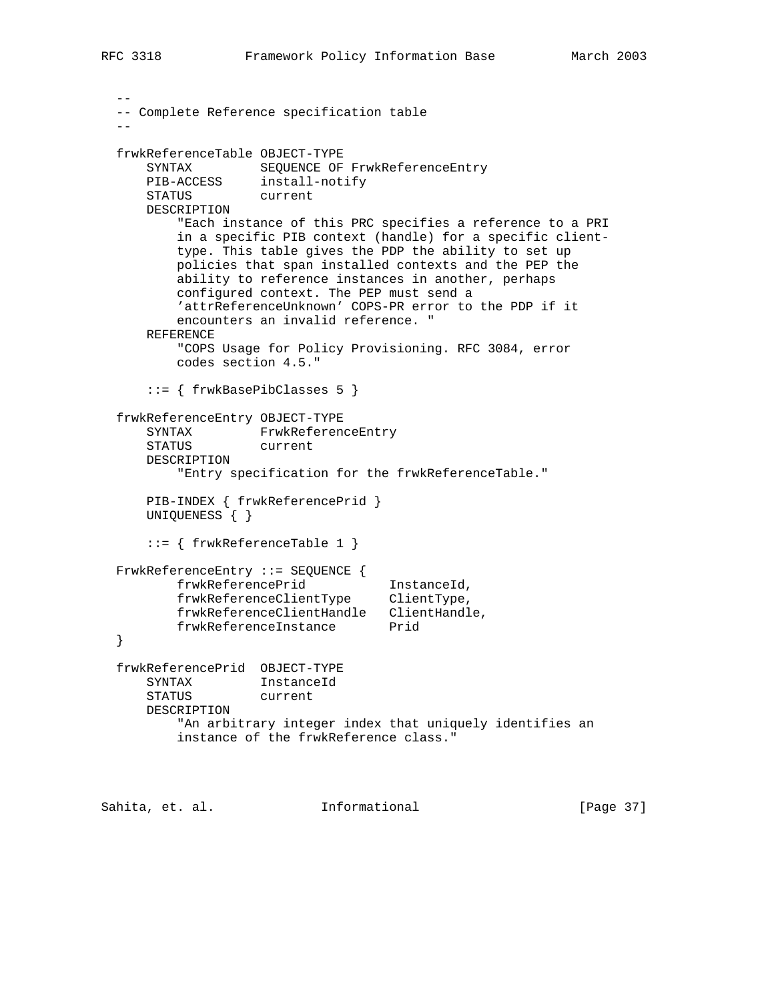```
- -- Complete Reference specification table
- frwkReferenceTable OBJECT-TYPE
     SYNTAX SEQUENCE OF FrwkReferenceEntry
      PIB-ACCESS install-notify
      STATUS current
      DESCRIPTION
          "Each instance of this PRC specifies a reference to a PRI
          in a specific PIB context (handle) for a specific client-
          type. This table gives the PDP the ability to set up
          policies that span installed contexts and the PEP the
          ability to reference instances in another, perhaps
          configured context. The PEP must send a
          'attrReferenceUnknown' COPS-PR error to the PDP if it
          encounters an invalid reference. "
      REFERENCE
          "COPS Usage for Policy Provisioning. RFC 3084, error
          codes section 4.5."
      ::= { frwkBasePibClasses 5 }
  frwkReferenceEntry OBJECT-TYPE
      SYNTAX FrwkReferenceEntry
      STATUS current
      DESCRIPTION
          "Entry specification for the frwkReferenceTable."
      PIB-INDEX { frwkReferencePrid }
      UNIQUENESS { }
      ::= { frwkReferenceTable 1 }
  FrwkReferenceEntry ::= SEQUENCE {
 frwkReferencePrid InstanceId,
 frwkReferenceClientType ClientType,
 frwkReferenceClientHandle ClientHandle,
frwkReferenceInstance Prid
  }
  frwkReferencePrid OBJECT-TYPE
      SYNTAX InstanceId
      STATUS current
      DESCRIPTION
          "An arbitrary integer index that uniquely identifies an
          instance of the frwkReference class."
```
Sahita, et. al. **Informational** [Page 37]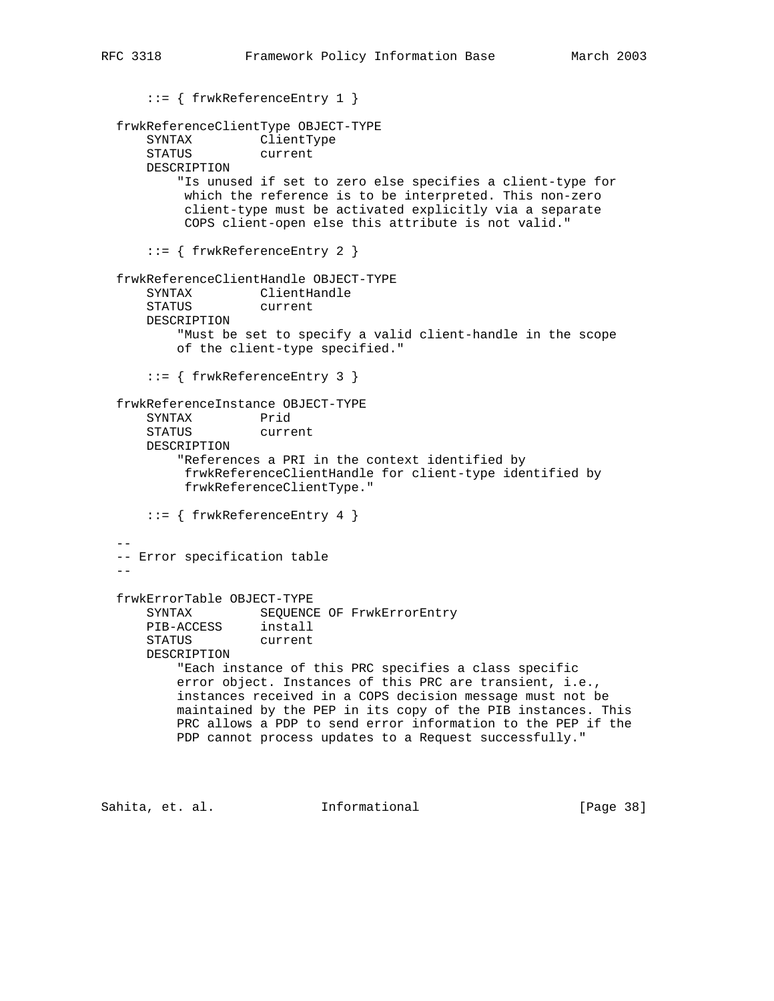```
 ::= { frwkReferenceEntry 1 }
  frwkReferenceClientType OBJECT-TYPE
      SYNTAX ClientType
      STATUS current
      DESCRIPTION
          "Is unused if set to zero else specifies a client-type for
           which the reference is to be interpreted. This non-zero
           client-type must be activated explicitly via a separate
           COPS client-open else this attribute is not valid."
      ::= { frwkReferenceEntry 2 }
  frwkReferenceClientHandle OBJECT-TYPE
      SYNTAX ClientHandle
      STATUS current
      DESCRIPTION
          "Must be set to specify a valid client-handle in the scope
          of the client-type specified."
      ::= { frwkReferenceEntry 3 }
  frwkReferenceInstance OBJECT-TYPE
      SYNTAX Prid
      STATUS current
      DESCRIPTION
          "References a PRI in the context identified by
           frwkReferenceClientHandle for client-type identified by
           frwkReferenceClientType."
      ::= { frwkReferenceEntry 4 }
- -- Error specification table
- frwkErrorTable OBJECT-TYPE
     SYNTAX SEQUENCE OF FrwkErrorEntry
 PIB-ACCESS install
 STATUS current
      DESCRIPTION
          "Each instance of this PRC specifies a class specific
          error object. Instances of this PRC are transient, i.e.,
          instances received in a COPS decision message must not be
          maintained by the PEP in its copy of the PIB instances. This
          PRC allows a PDP to send error information to the PEP if the
          PDP cannot process updates to a Request successfully."
```
Sahita, et. al. **Informational** [Page 38]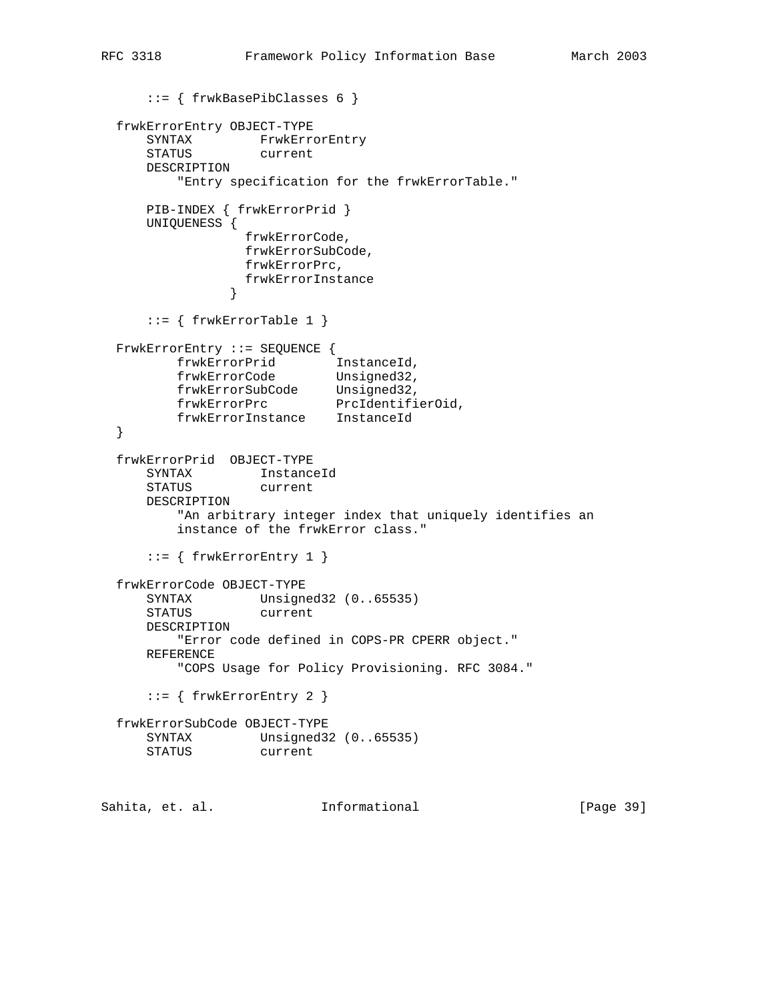```
 ::= { frwkBasePibClasses 6 }
  frwkErrorEntry OBJECT-TYPE
 SYNTAX FrwkErrorEntry
 STATUS current
     DESCRIPTION
         "Entry specification for the frwkErrorTable."
      PIB-INDEX { frwkErrorPrid }
      UNIQUENESS {
                frwkErrorCode,
                frwkErrorSubCode,
                frwkErrorPrc,
              frwkErrorInstance<br>}
 }
     ::= { frwkErrorTable 1 }
  FrwkErrorEntry ::= SEQUENCE {
 frwkErrorPrid InstanceId,
 frwkErrorCode Unsigned32,
 frwkErrorSubCode Unsigned32,
frwkErrorPrc PrcIdentifierOid,
 frwkErrorInstance InstanceId
  }
  frwkErrorPrid OBJECT-TYPE
 SYNTAX InstanceId
 STATUS current
     DESCRIPTION
         "An arbitrary integer index that uniquely identifies an
         instance of the frwkError class."
     ::= { frwkErrorEntry 1 }
  frwkErrorCode OBJECT-TYPE
 SYNTAX Unsigned32 (0..65535)
 STATUS current
     DESCRIPTION
         "Error code defined in COPS-PR CPERR object."
     REFERENCE
         "COPS Usage for Policy Provisioning. RFC 3084."
     ::= { frwkErrorEntry 2 }
  frwkErrorSubCode OBJECT-TYPE
 SYNTAX Unsigned32 (0..65535)
 STATUS current
Sahita, et. al. 1nformational 1999 [Page 39]
```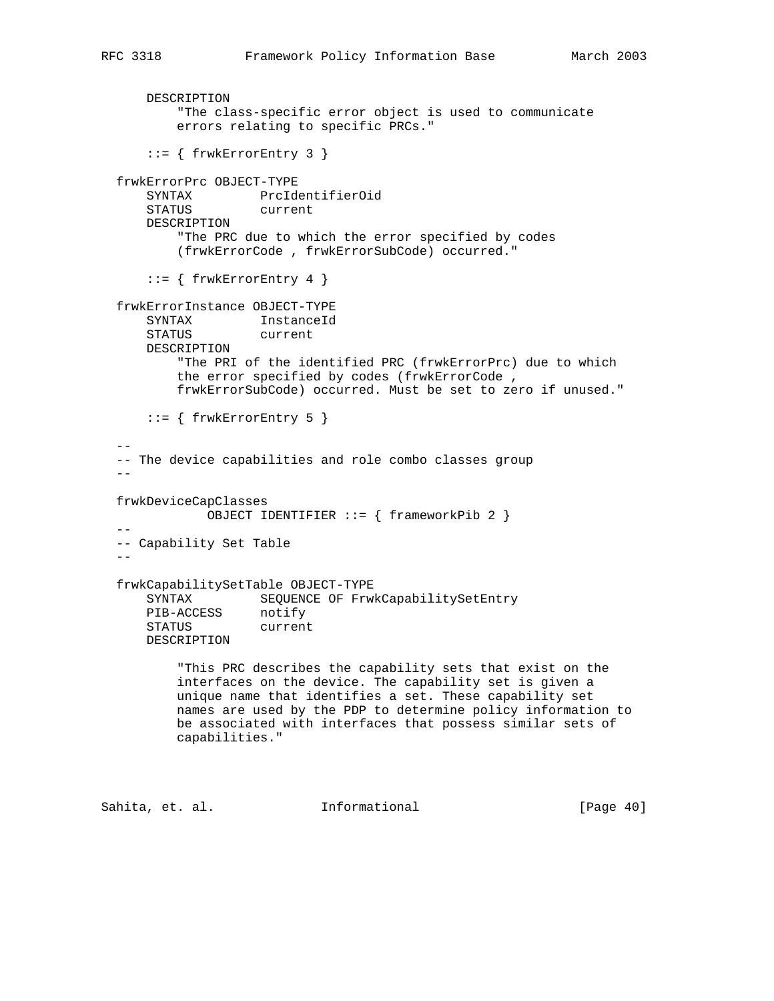```
 DESCRIPTION
          "The class-specific error object is used to communicate
          errors relating to specific PRCs."
     ::= { frwkErrorEntry 3 }
  frwkErrorPrc OBJECT-TYPE
 SYNTAX PrcIdentifierOid
 STATUS current
      DESCRIPTION
          "The PRC due to which the error specified by codes
          (frwkErrorCode , frwkErrorSubCode) occurred."
     ::= { frwkErrorEntry 4 }
  frwkErrorInstance OBJECT-TYPE
      SYNTAX InstanceId
      STATUS current
      DESCRIPTION
          "The PRI of the identified PRC (frwkErrorPrc) due to which
          the error specified by codes (frwkErrorCode ,
          frwkErrorSubCode) occurred. Must be set to zero if unused."
     ::= { frwkErrorEntry 5 }
- -- The device capabilities and role combo classes group
- frwkDeviceCapClasses
              OBJECT IDENTIFIER ::= { frameworkPib 2 }
- -- Capability Set Table
- frwkCapabilitySetTable OBJECT-TYPE
      SYNTAX SEQUENCE OF FrwkCapabilitySetEntry
 PIB-ACCESS notify
 STATUS current
      DESCRIPTION
          "This PRC describes the capability sets that exist on the
          interfaces on the device. The capability set is given a
          unique name that identifies a set. These capability set
          names are used by the PDP to determine policy information to
          be associated with interfaces that possess similar sets of
          capabilities."
Sahita, et. al. Informational [Page 40]
```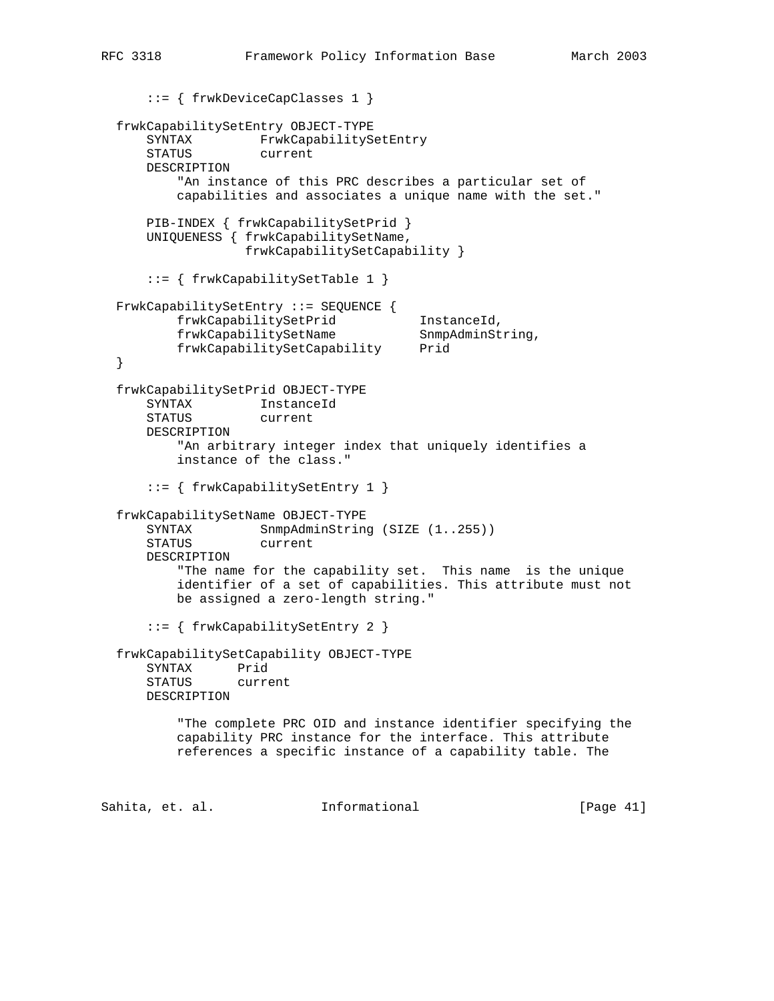```
 ::= { frwkDeviceCapClasses 1 }
  frwkCapabilitySetEntry OBJECT-TYPE
     SYNTAX FrwkCapabilitySetEntry
      STATUS current
      DESCRIPTION
          "An instance of this PRC describes a particular set of
          capabilities and associates a unique name with the set."
      PIB-INDEX { frwkCapabilitySetPrid }
      UNIQUENESS { frwkCapabilitySetName,
                  frwkCapabilitySetCapability }
      ::= { frwkCapabilitySetTable 1 }
  FrwkCapabilitySetEntry ::= SEQUENCE {
          frwkCapabilitySetPrid InstanceId,
         frwkCapabilitySetName SnmpAdminString,
          frwkCapabilitySetCapability Prid
  }
  frwkCapabilitySetPrid OBJECT-TYPE
 SYNTAX InstanceId
 STATUS current
      DESCRIPTION
          "An arbitrary integer index that uniquely identifies a
          instance of the class."
      ::= { frwkCapabilitySetEntry 1 }
  frwkCapabilitySetName OBJECT-TYPE
     SYNTAX SnmpAdminString (SIZE (1..255))
      STATUS current
      DESCRIPTION
          "The name for the capability set. This name is the unique
          identifier of a set of capabilities. This attribute must not
          be assigned a zero-length string."
      ::= { frwkCapabilitySetEntry 2 }
  frwkCapabilitySetCapability OBJECT-TYPE
      SYNTAX Prid
      STATUS current
      DESCRIPTION
          "The complete PRC OID and instance identifier specifying the
          capability PRC instance for the interface. This attribute
          references a specific instance of a capability table. The
```
Sahita, et. al. **Informational** [Page 41]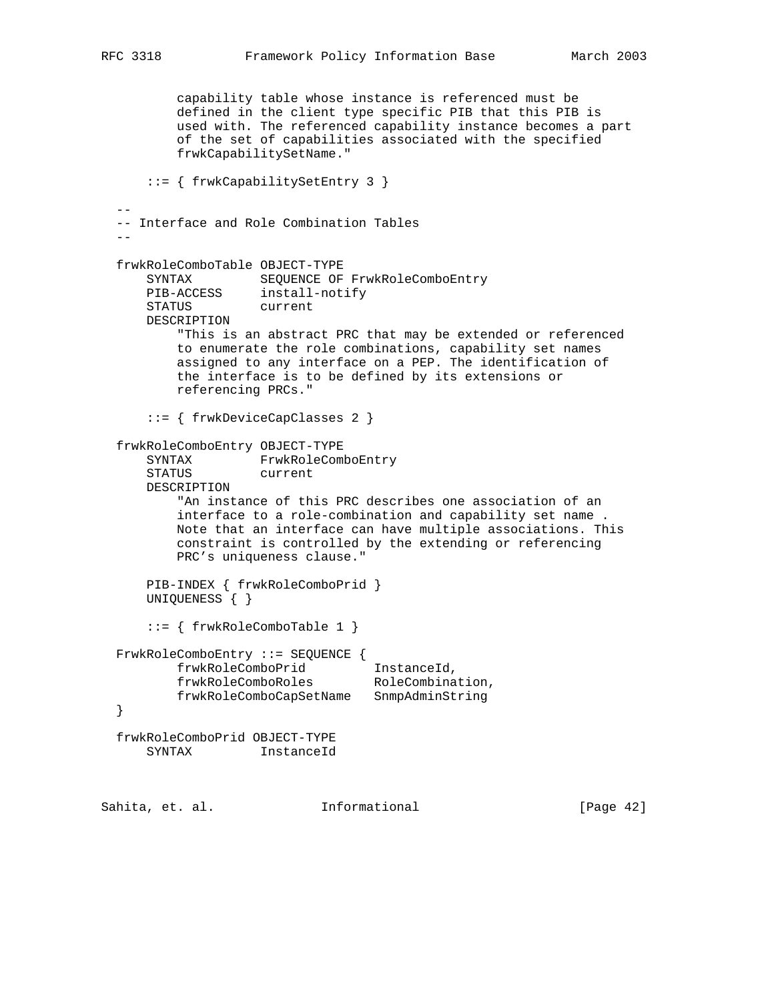```
 capability table whose instance is referenced must be
          defined in the client type specific PIB that this PIB is
          used with. The referenced capability instance becomes a part
          of the set of capabilities associated with the specified
          frwkCapabilitySetName."
      ::= { frwkCapabilitySetEntry 3 }
- -- Interface and Role Combination Tables
- frwkRoleComboTable OBJECT-TYPE
 SYNTAX SEQUENCE OF FrwkRoleComboEntry
 PIB-ACCESS install-notify
 STATUS current
      DESCRIPTION
          "This is an abstract PRC that may be extended or referenced
          to enumerate the role combinations, capability set names
          assigned to any interface on a PEP. The identification of
          the interface is to be defined by its extensions or
          referencing PRCs."
      ::= { frwkDeviceCapClasses 2 }
  frwkRoleComboEntry OBJECT-TYPE
      SYNTAX FrwkRoleComboEntry
      STATUS current
      DESCRIPTION
          "An instance of this PRC describes one association of an
          interface to a role-combination and capability set name .
          Note that an interface can have multiple associations. This
          constraint is controlled by the extending or referencing
          PRC's uniqueness clause."
      PIB-INDEX { frwkRoleComboPrid }
      UNIQUENESS { }
      ::= { frwkRoleComboTable 1 }
  FrwkRoleComboEntry ::= SEQUENCE {
 frwkRoleComboPrid InstanceId,
frwkRoleComboRoles RoleCombination,
          frwkRoleComboCapSetName SnmpAdminString
  }
  frwkRoleComboPrid OBJECT-TYPE
      SYNTAX InstanceId
```
Sahita, et. al. **Informational** [Page 42]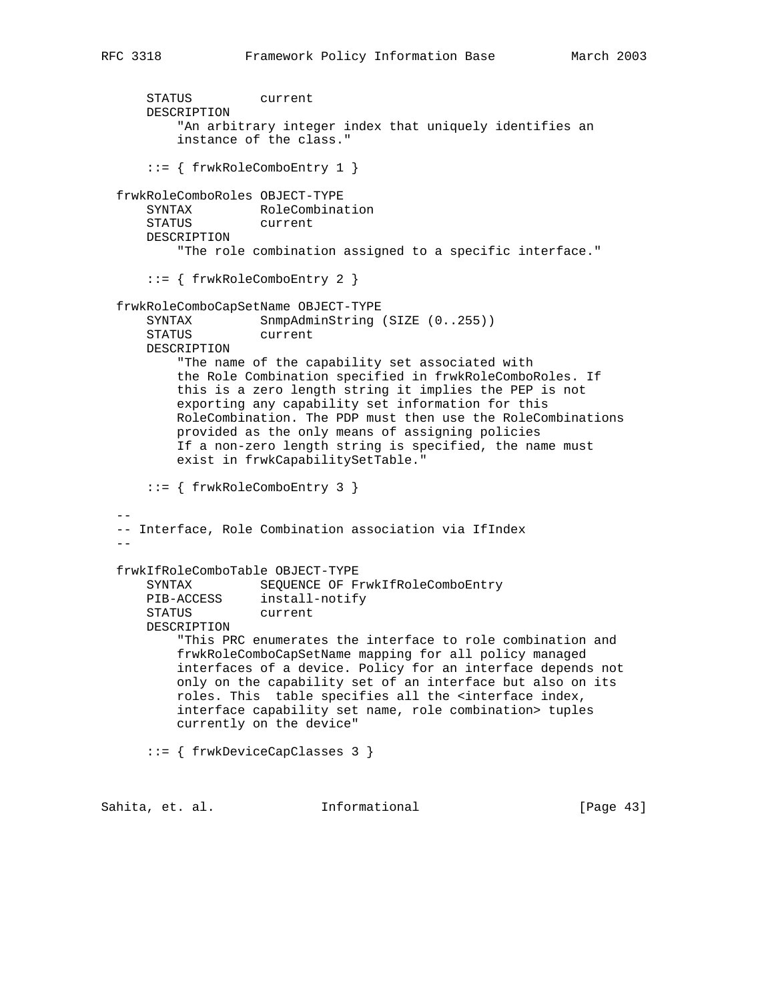```
 STATUS current
      DESCRIPTION
           "An arbitrary integer index that uniquely identifies an
          instance of the class."
       ::= { frwkRoleComboEntry 1 }
  frwkRoleComboRoles OBJECT-TYPE
      SYNTAX RoleCombination
      STATUS current
      DESCRIPTION
           "The role combination assigned to a specific interface."
       ::= { frwkRoleComboEntry 2 }
  frwkRoleComboCapSetName OBJECT-TYPE
     SYNTAX SnmpAdminString (SIZE (0..255))
      STATUS current
      DESCRIPTION
          "The name of the capability set associated with
          the Role Combination specified in frwkRoleComboRoles. If
          this is a zero length string it implies the PEP is not
          exporting any capability set information for this
          RoleCombination. The PDP must then use the RoleCombinations
          provided as the only means of assigning policies
          If a non-zero length string is specified, the name must
          exist in frwkCapabilitySetTable."
       ::= { frwkRoleComboEntry 3 }
- -- Interface, Role Combination association via IfIndex
- frwkIfRoleComboTable OBJECT-TYPE
     SYNTAX SEQUENCE OF FrwkIfRoleComboEntry<br>PIB-ACCESS install-notify
 PIB-ACCESS install-notify
 STATUS current
      DESCRIPTION
          "This PRC enumerates the interface to role combination and
          frwkRoleComboCapSetName mapping for all policy managed
          interfaces of a device. Policy for an interface depends not
          only on the capability set of an interface but also on its
          roles. This table specifies all the <interface index,
          interface capability set name, role combination> tuples
          currently on the device"
       ::= { frwkDeviceCapClasses 3 }
Sahita, et. al.             Informational               [Page 43]
```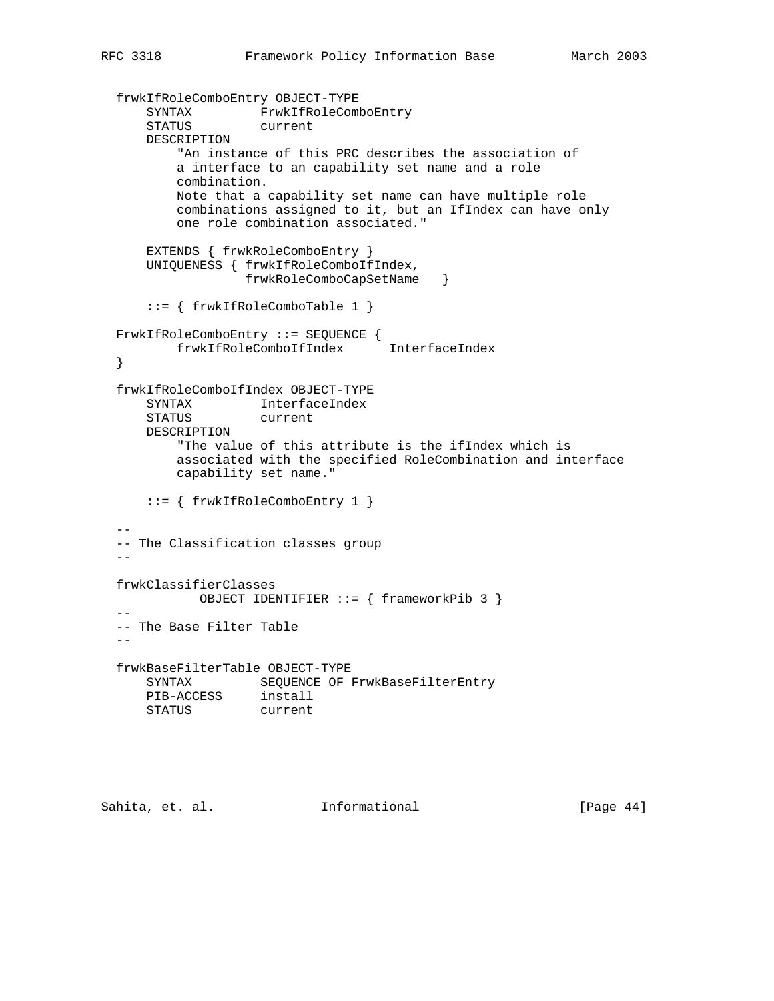```
 frwkIfRoleComboEntry OBJECT-TYPE
 SYNTAX FrwkIfRoleComboEntry
 STATUS current
      DESCRIPTION
          "An instance of this PRC describes the association of
          a interface to an capability set name and a role
         combination.
         Note that a capability set name can have multiple role
          combinations assigned to it, but an IfIndex can have only
          one role combination associated."
      EXTENDS { frwkRoleComboEntry }
      UNIQUENESS { frwkIfRoleComboIfIndex,
                  frwkRoleComboCapSetName }
      ::= { frwkIfRoleComboTable 1 }
  FrwkIfRoleComboEntry ::= SEQUENCE {
        frwkIfRoleComboIfIndex InterfaceIndex
  }
  frwkIfRoleComboIfIndex OBJECT-TYPE
 SYNTAX InterfaceIndex
 STATUS current
      DESCRIPTION
          "The value of this attribute is the ifIndex which is
          associated with the specified RoleCombination and interface
          capability set name."
      ::= { frwkIfRoleComboEntry 1 }
- -- The Classification classes group
  --
  frwkClassifierClasses
           OBJECT IDENTIFIER ::= { frameworkPib 3 }
- -- The Base Filter Table
- frwkBaseFilterTable OBJECT-TYPE
     SYNTAX SEQUENCE OF FrwkBaseFilterEntry
 PIB-ACCESS install
 STATUS current
```
Sahita, et. al. 1nformational 1999 [Page 44]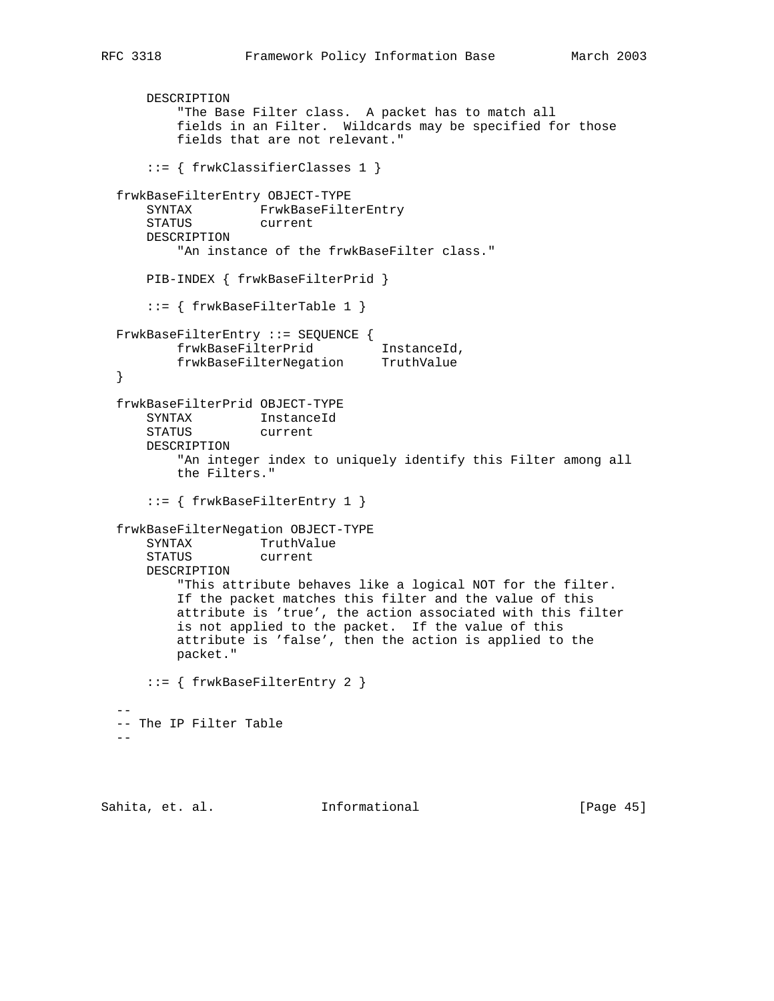```
 DESCRIPTION
          "The Base Filter class. A packet has to match all
          fields in an Filter. Wildcards may be specified for those
          fields that are not relevant."
      ::= { frwkClassifierClasses 1 }
  frwkBaseFilterEntry OBJECT-TYPE
      SYNTAX FrwkBaseFilterEntry
      STATUS current
      DESCRIPTION
         "An instance of the frwkBaseFilter class."
      PIB-INDEX { frwkBaseFilterPrid }
      ::= { frwkBaseFilterTable 1 }
  FrwkBaseFilterEntry ::= SEQUENCE {
 frwkBaseFilterPrid InstanceId,
 frwkBaseFilterNegation TruthValue
  }
  frwkBaseFilterPrid OBJECT-TYPE
      SYNTAX InstanceId
      STATUS current
      DESCRIPTION
          "An integer index to uniquely identify this Filter among all
          the Filters."
      ::= { frwkBaseFilterEntry 1 }
  frwkBaseFilterNegation OBJECT-TYPE
      SYNTAX TruthValue
      STATUS current
      DESCRIPTION
          "This attribute behaves like a logical NOT for the filter.
          If the packet matches this filter and the value of this
          attribute is 'true', the action associated with this filter
          is not applied to the packet. If the value of this
          attribute is 'false', then the action is applied to the
          packet."
      ::= { frwkBaseFilterEntry 2 }
- -- The IP Filter Table
 -
```
Sahita, et. al. 10. Informational 1. [Page 45]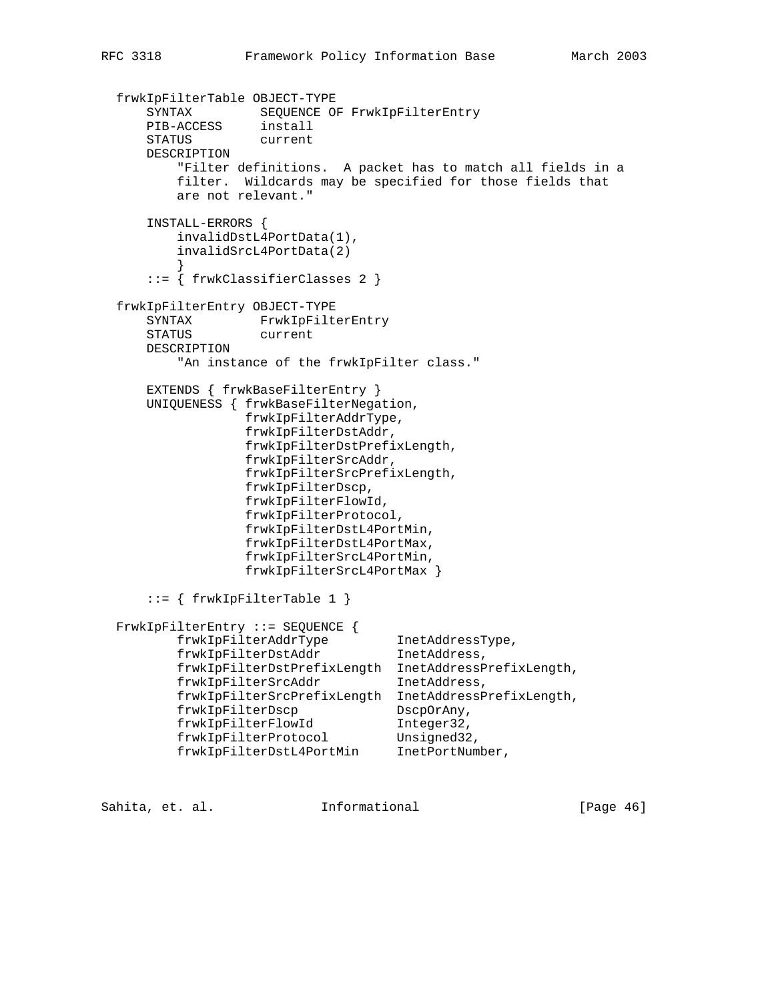```
 frwkIpFilterTable OBJECT-TYPE
 SYNTAX SEQUENCE OF FrwkIpFilterEntry
 PIB-ACCESS install
 STATUS current
      DESCRIPTION
          "Filter definitions. A packet has to match all fields in a
         filter. Wildcards may be specified for those fields that
         are not relevant."
      INSTALL-ERRORS {
         invalidDstL4PortData(1),
         invalidSrcL4PortData(2)
 }
      ::= { frwkClassifierClasses 2 }
  frwkIpFilterEntry OBJECT-TYPE
      SYNTAX FrwkIpFilterEntry
      STATUS current
      DESCRIPTION
         "An instance of the frwkIpFilter class."
      EXTENDS { frwkBaseFilterEntry }
      UNIQUENESS { frwkBaseFilterNegation,
                  frwkIpFilterAddrType,
                  frwkIpFilterDstAddr,
                  frwkIpFilterDstPrefixLength,
                  frwkIpFilterSrcAddr,
                  frwkIpFilterSrcPrefixLength,
                  frwkIpFilterDscp,
                  frwkIpFilterFlowId,
                  frwkIpFilterProtocol,
                  frwkIpFilterDstL4PortMin,
                  frwkIpFilterDstL4PortMax,
                  frwkIpFilterSrcL4PortMin,
                  frwkIpFilterSrcL4PortMax }
      ::= { frwkIpFilterTable 1 }
  FrwkIpFilterEntry ::= SEQUENCE {
 frwkIpFilterAddrType InetAddressType,
 frwkIpFilterDstAddr InetAddress,
 frwkIpFilterDstPrefixLength InetAddressPrefixLength,
        frwkIpFilterSrcAddr InetAddress,
         frwkIpFilterSrcPrefixLength InetAddressPrefixLength,
 frwkIpFilterDscp DscpOrAny,
 frwkIpFilterFlowId Integer32,
frwkIpFilterProtocol Unsigned32,
 frwkIpFilterDstL4PortMin InetPortNumber,
```
Sahita, et. al. **Informational** [Page 46]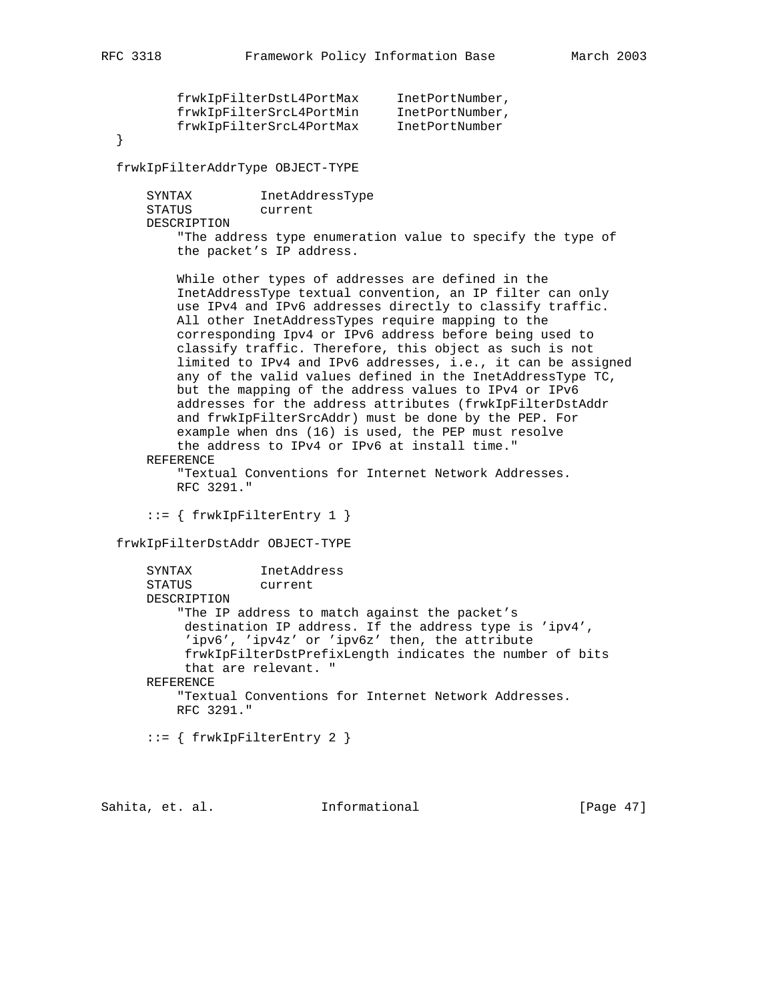| frwkIpFilterDstL4PortMax | InetPortNumber, |
|--------------------------|-----------------|
| frwkIpFilterSrcL4PortMin | InetPortNumber, |
| frwkIpFilterSrcL4PortMax | InetPortNumber  |
|                          |                 |

}

frwkIpFilterAddrType OBJECT-TYPE

 SYNTAX InetAddressType STATUS current DESCRIPTION "The address type enumeration value to specify the type of the packet's IP address.

 While other types of addresses are defined in the InetAddressType textual convention, an IP filter can only use IPv4 and IPv6 addresses directly to classify traffic. All other InetAddressTypes require mapping to the corresponding Ipv4 or IPv6 address before being used to classify traffic. Therefore, this object as such is not limited to IPv4 and IPv6 addresses, i.e., it can be assigned any of the valid values defined in the InetAddressType TC, but the mapping of the address values to IPv4 or IPv6 addresses for the address attributes (frwkIpFilterDstAddr and frwkIpFilterSrcAddr) must be done by the PEP. For example when dns (16) is used, the PEP must resolve the address to IPv4 or IPv6 at install time."

REFERENCE

 "Textual Conventions for Internet Network Addresses. RFC 3291."

::= { frwkIpFilterEntry 1 }

frwkIpFilterDstAddr OBJECT-TYPE

```
 SYNTAX InetAddress
 STATUS current
 DESCRIPTION
     "The IP address to match against the packet's
      destination IP address. If the address type is 'ipv4',
      'ipv6', 'ipv4z' or 'ipv6z' then, the attribute
      frwkIpFilterDstPrefixLength indicates the number of bits
      that are relevant. "
 REFERENCE
     "Textual Conventions for Internet Network Addresses.
     RFC 3291."
```
::= { frwkIpFilterEntry 2 }

Sahita, et. al. **Informational** [Page 47]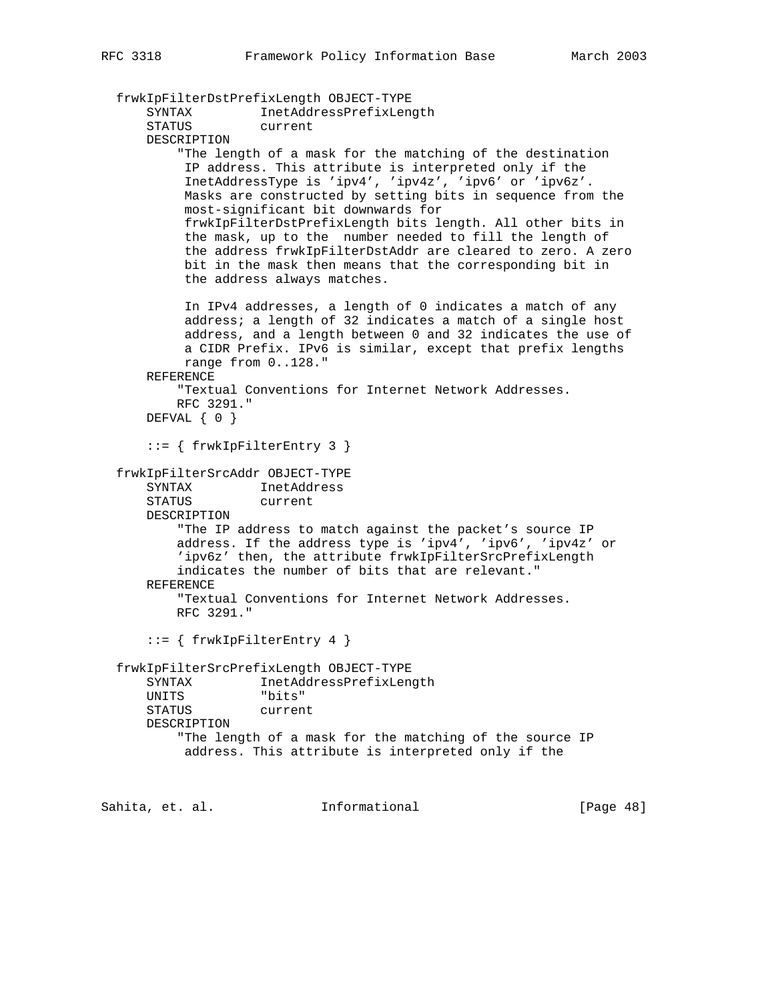```
 frwkIpFilterDstPrefixLength OBJECT-TYPE
 SYNTAX InetAddressPrefixLength
 STATUS current
      DESCRIPTION
           "The length of a mask for the matching of the destination
           IP address. This attribute is interpreted only if the
           InetAddressType is 'ipv4', 'ipv4z', 'ipv6' or 'ipv6z'.
           Masks are constructed by setting bits in sequence from the
           most-significant bit downwards for
           frwkIpFilterDstPrefixLength bits length. All other bits in
           the mask, up to the number needed to fill the length of
           the address frwkIpFilterDstAddr are cleared to zero. A zero
           bit in the mask then means that the corresponding bit in
           the address always matches.
           In IPv4 addresses, a length of 0 indicates a match of any
           address; a length of 32 indicates a match of a single host
           address, and a length between 0 and 32 indicates the use of
           a CIDR Prefix. IPv6 is similar, except that prefix lengths
           range from 0..128."
      REFERENCE
          "Textual Conventions for Internet Network Addresses.
          RFC 3291."
      DEFVAL { 0 }
      ::= { frwkIpFilterEntry 3 }
  frwkIpFilterSrcAddr OBJECT-TYPE
     SYNTAX InetAddress
      STATUS current
      DESCRIPTION
          "The IP address to match against the packet's source IP
          address. If the address type is 'ipv4', 'ipv6', 'ipv4z' or
          'ipv6z' then, the attribute frwkIpFilterSrcPrefixLength
          indicates the number of bits that are relevant."
      REFERENCE
          "Textual Conventions for Internet Network Addresses.
          RFC 3291."
     ::= { frwkIpFilterEntry 4 }
  frwkIpFilterSrcPrefixLength OBJECT-TYPE
      SYNTAX InetAddressPrefixLength
      UNITS "bits"
      STATUS current
      DESCRIPTION
          "The length of a mask for the matching of the source IP
           address. This attribute is interpreted only if the
Sahita, et. al. Informational [Page 48]
```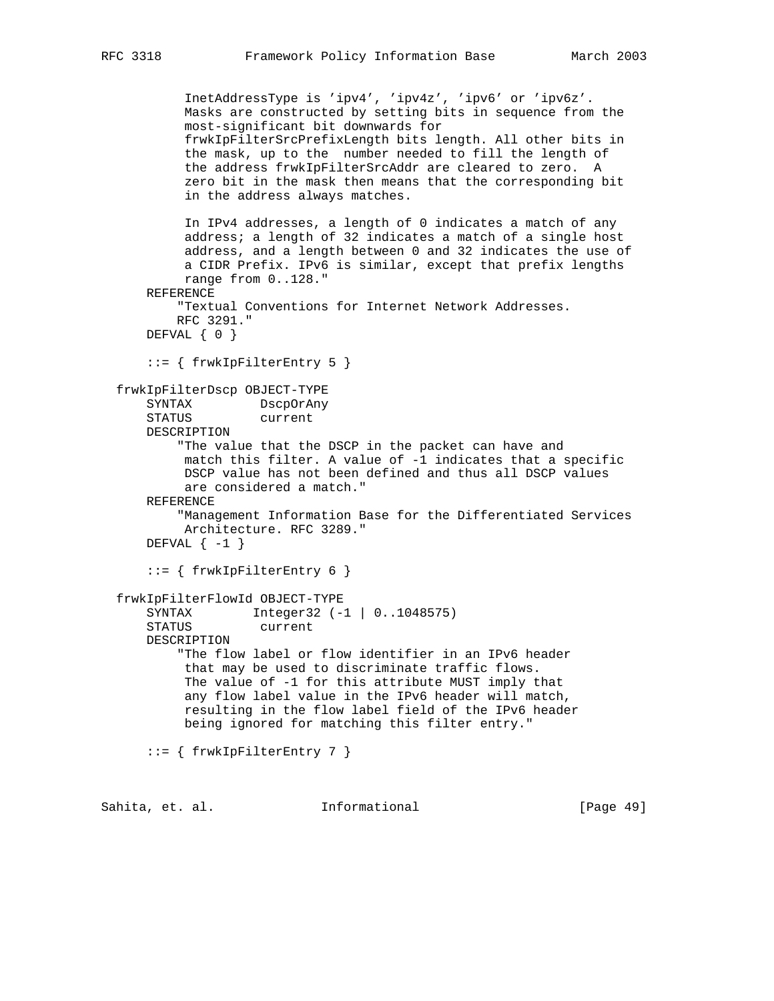```
 InetAddressType is 'ipv4', 'ipv4z', 'ipv6' or 'ipv6z'.
          Masks are constructed by setting bits in sequence from the
          most-significant bit downwards for
          frwkIpFilterSrcPrefixLength bits length. All other bits in
          the mask, up to the number needed to fill the length of
          the address frwkIpFilterSrcAddr are cleared to zero. A
          zero bit in the mask then means that the corresponding bit
          in the address always matches.
          In IPv4 addresses, a length of 0 indicates a match of any
          address; a length of 32 indicates a match of a single host
          address, and a length between 0 and 32 indicates the use of
          a CIDR Prefix. IPv6 is similar, except that prefix lengths
          range from 0..128."
    REFERENCE
         "Textual Conventions for Internet Network Addresses.
        RFC 3291."
    DEFVAL { 0 }
     ::= { frwkIpFilterEntry 5 }
 frwkIpFilterDscp OBJECT-TYPE
    SYNTAX DscpOrAny
    STATUS current
    DESCRIPTION
         "The value that the DSCP in the packet can have and
          match this filter. A value of -1 indicates that a specific
         DSCP value has not been defined and thus all DSCP values
          are considered a match."
    REFERENCE
         "Management Information Base for the Differentiated Services
         Architecture. RFC 3289."
    DEFVAL \{-1\} ::= { frwkIpFilterEntry 6 }
 frwkIpFilterFlowId OBJECT-TYPE
     SYNTAX Integer32 (-1 | 0..1048575)
     STATUS current
     DESCRIPTION
         "The flow label or flow identifier in an IPv6 header
          that may be used to discriminate traffic flows.
         The value of -1 for this attribute MUST imply that
          any flow label value in the IPv6 header will match,
          resulting in the flow label field of the IPv6 header
          being ignored for matching this filter entry."
     ::= { frwkIpFilterEntry 7 }
```
Sahita, et. al. **Informational** [Page 49]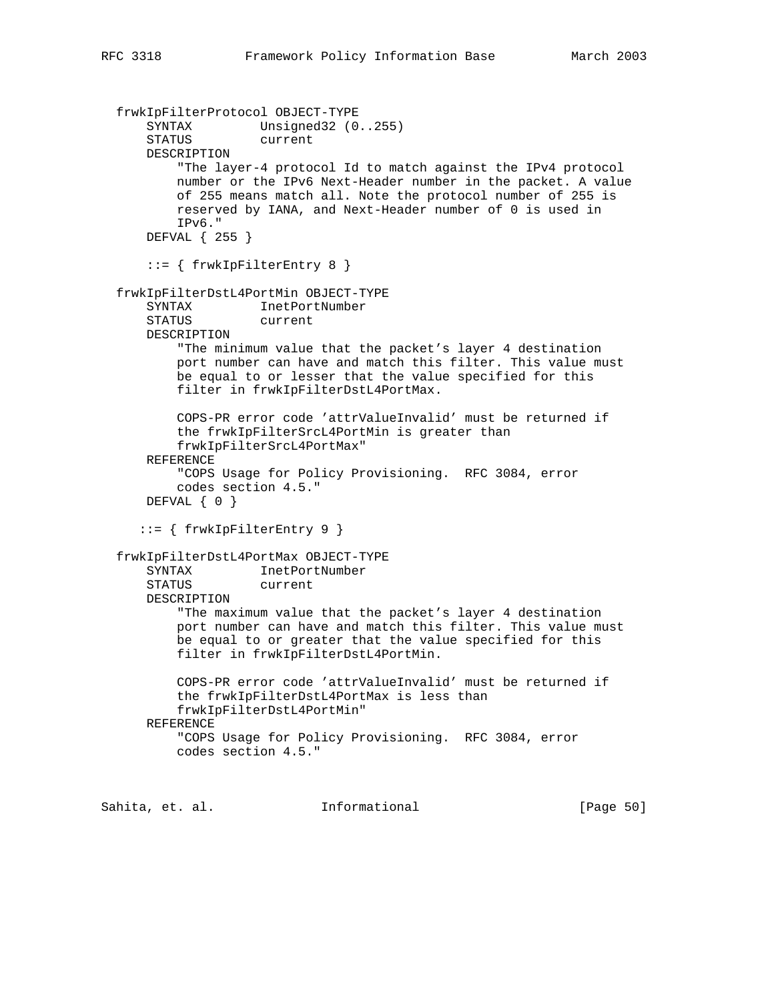```
 frwkIpFilterProtocol OBJECT-TYPE
     SYNTAX Unsigned32 (0..255)
      STATUS current
      DESCRIPTION
          "The layer-4 protocol Id to match against the IPv4 protocol
          number or the IPv6 Next-Header number in the packet. A value
          of 255 means match all. Note the protocol number of 255 is
          reserved by IANA, and Next-Header number of 0 is used in
          IPv6."
      DEFVAL { 255 }
      ::= { frwkIpFilterEntry 8 }
  frwkIpFilterDstL4PortMin OBJECT-TYPE
      SYNTAX InetPortNumber
      STATUS current
      DESCRIPTION
          "The minimum value that the packet's layer 4 destination
          port number can have and match this filter. This value must
          be equal to or lesser that the value specified for this
          filter in frwkIpFilterDstL4PortMax.
          COPS-PR error code 'attrValueInvalid' must be returned if
          the frwkIpFilterSrcL4PortMin is greater than
          frwkIpFilterSrcL4PortMax"
      REFERENCE
          "COPS Usage for Policy Provisioning. RFC 3084, error
          codes section 4.5."
      DEFVAL { 0 }
      ::= { frwkIpFilterEntry 9 }
  frwkIpFilterDstL4PortMax OBJECT-TYPE
      SYNTAX InetPortNumber
      STATUS current
      DESCRIPTION
          "The maximum value that the packet's layer 4 destination
          port number can have and match this filter. This value must
          be equal to or greater that the value specified for this
          filter in frwkIpFilterDstL4PortMin.
          COPS-PR error code 'attrValueInvalid' must be returned if
          the frwkIpFilterDstL4PortMax is less than
          frwkIpFilterDstL4PortMin"
      REFERENCE
          "COPS Usage for Policy Provisioning. RFC 3084, error
          codes section 4.5."
Sahita, et. al. Informational [Page 50]
```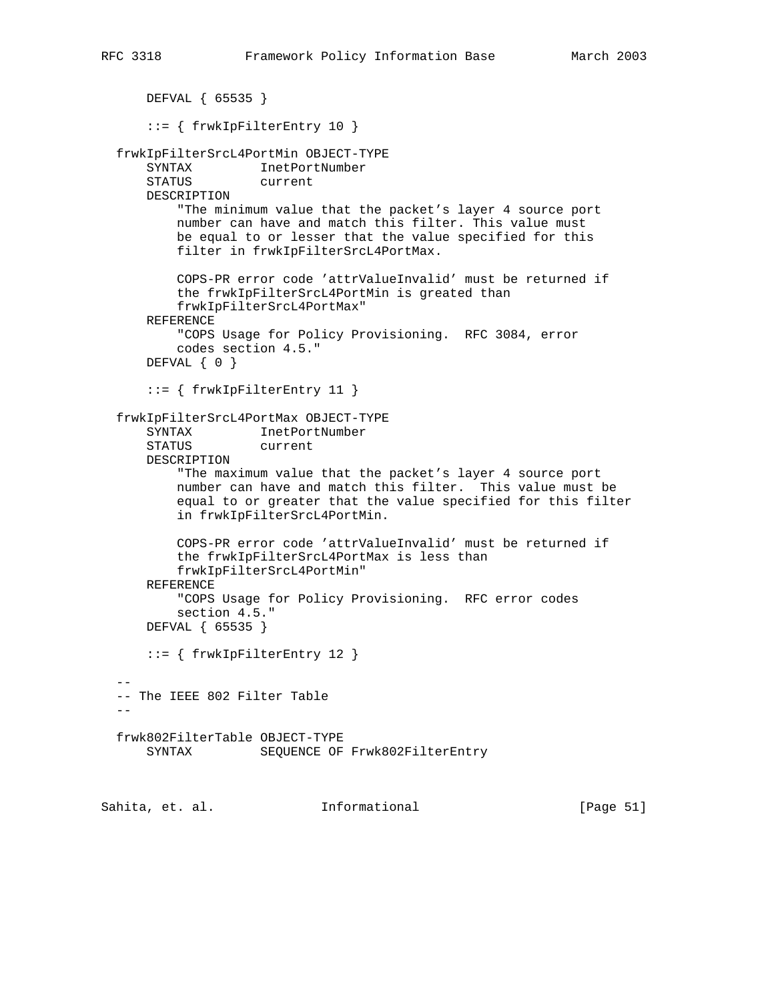```
 DEFVAL { 65535 }
      ::= { frwkIpFilterEntry 10 }
  frwkIpFilterSrcL4PortMin OBJECT-TYPE
      SYNTAX InetPortNumber
      STATUS current
      DESCRIPTION
          "The minimum value that the packet's layer 4 source port
          number can have and match this filter. This value must
          be equal to or lesser that the value specified for this
          filter in frwkIpFilterSrcL4PortMax.
          COPS-PR error code 'attrValueInvalid' must be returned if
          the frwkIpFilterSrcL4PortMin is greated than
          frwkIpFilterSrcL4PortMax"
      REFERENCE
          "COPS Usage for Policy Provisioning. RFC 3084, error
          codes section 4.5."
     DEFVAL \{ 0 \} ::= { frwkIpFilterEntry 11 }
  frwkIpFilterSrcL4PortMax OBJECT-TYPE
 SYNTAX InetPortNumber
 STATUS current
      DESCRIPTION
          "The maximum value that the packet's layer 4 source port
          number can have and match this filter. This value must be
          equal to or greater that the value specified for this filter
          in frwkIpFilterSrcL4PortMin.
          COPS-PR error code 'attrValueInvalid' must be returned if
          the frwkIpFilterSrcL4PortMax is less than
          frwkIpFilterSrcL4PortMin"
      REFERENCE
          "COPS Usage for Policy Provisioning. RFC error codes
          section 4.5."
      DEFVAL { 65535 }
      ::= { frwkIpFilterEntry 12 }
- -- The IEEE 802 Filter Table
 - frwk802FilterTable OBJECT-TYPE
     SYNTAX SEQUENCE OF Frwk802FilterEntry
```
Sahita, et. al. **Informational** [Page 51]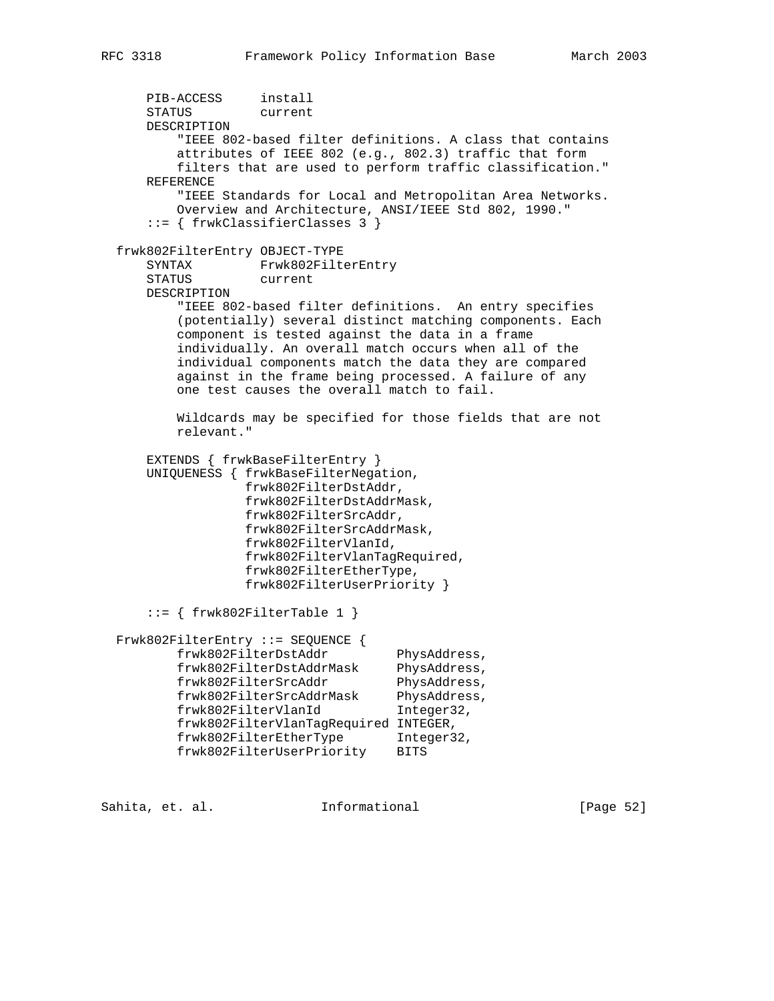```
 PIB-ACCESS install
 STATUS current
      DESCRIPTION
          "IEEE 802-based filter definitions. A class that contains
          attributes of IEEE 802 (e.g., 802.3) traffic that form
          filters that are used to perform traffic classification."
      REFERENCE
         "IEEE Standards for Local and Metropolitan Area Networks.
          Overview and Architecture, ANSI/IEEE Std 802, 1990."
      ::= { frwkClassifierClasses 3 }
  frwk802FilterEntry OBJECT-TYPE
      SYNTAX Frwk802FilterEntry
      STATUS current
      DESCRIPTION
          "IEEE 802-based filter definitions. An entry specifies
          (potentially) several distinct matching components. Each
          component is tested against the data in a frame
          individually. An overall match occurs when all of the
          individual components match the data they are compared
          against in the frame being processed. A failure of any
          one test causes the overall match to fail.
          Wildcards may be specified for those fields that are not
          relevant."
     EXTENDS { frwkBaseFilterEntry }
      UNIQUENESS { frwkBaseFilterNegation,
                  frwk802FilterDstAddr,
                  frwk802FilterDstAddrMask,
                  frwk802FilterSrcAddr,
                  frwk802FilterSrcAddrMask,
                  frwk802FilterVlanId,
                  frwk802FilterVlanTagRequired,
                  frwk802FilterEtherType,
                  frwk802FilterUserPriority }
     ::= { frwk802FilterTable 1 }
  Frwk802FilterEntry ::= SEQUENCE {
frwk802FilterDstAddr PhysAddress,
 frwk802FilterDstAddrMask PhysAddress,
frwk802FilterSrcAddr PhysAddress,
 frwk802FilterSrcAddrMask PhysAddress,
 frwk802FilterVlanId Integer32,
          frwk802FilterVlanTagRequired INTEGER,
 frwk802FilterEtherType Integer32,
 frwk802FilterUserPriority BITS
```
Sahita, et. al. **Informational** [Page 52]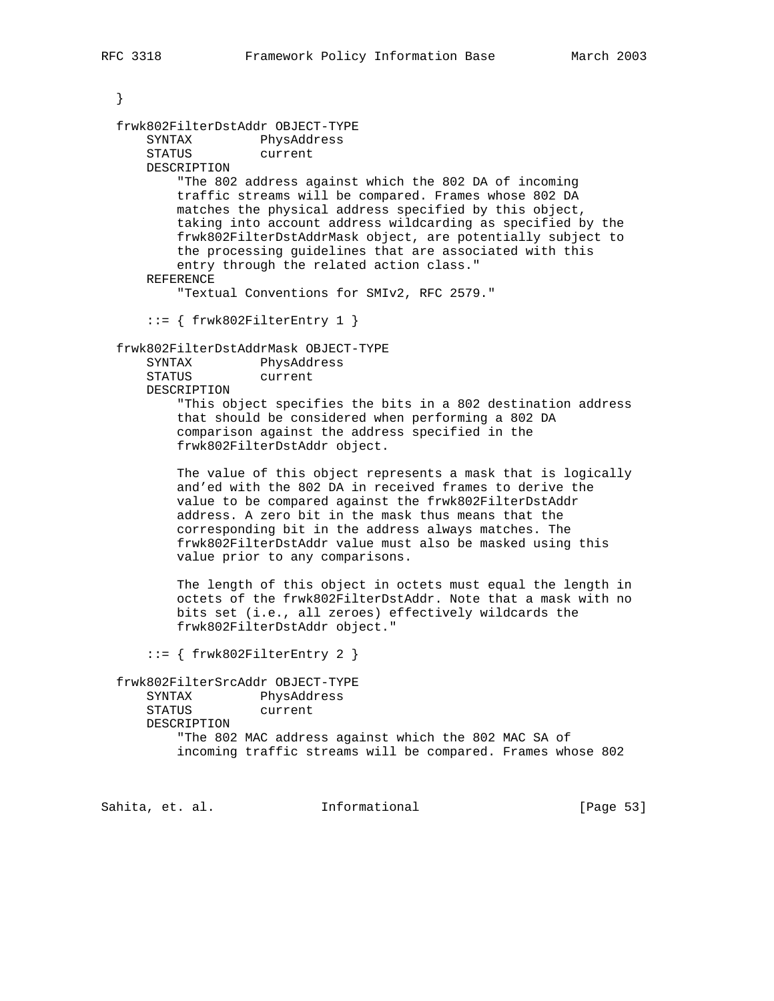```
 }
  frwk802FilterDstAddr OBJECT-TYPE
 SYNTAX PhysAddress
 STATUS current
      DESCRIPTION
          "The 802 address against which the 802 DA of incoming
          traffic streams will be compared. Frames whose 802 DA
          matches the physical address specified by this object,
          taking into account address wildcarding as specified by the
          frwk802FilterDstAddrMask object, are potentially subject to
          the processing guidelines that are associated with this
          entry through the related action class."
      REFERENCE
          "Textual Conventions for SMIv2, RFC 2579."
      ::= { frwk802FilterEntry 1 }
  frwk802FilterDstAddrMask OBJECT-TYPE
      SYNTAX PhysAddress
      STATUS current
      DESCRIPTION
          "This object specifies the bits in a 802 destination address
          that should be considered when performing a 802 DA
          comparison against the address specified in the
          frwk802FilterDstAddr object.
          The value of this object represents a mask that is logically
          and'ed with the 802 DA in received frames to derive the
          value to be compared against the frwk802FilterDstAddr
          address. A zero bit in the mask thus means that the
          corresponding bit in the address always matches. The
          frwk802FilterDstAddr value must also be masked using this
          value prior to any comparisons.
          The length of this object in octets must equal the length in
          octets of the frwk802FilterDstAddr. Note that a mask with no
          bits set (i.e., all zeroes) effectively wildcards the
          frwk802FilterDstAddr object."
       ::= { frwk802FilterEntry 2 }
  frwk802FilterSrcAddr OBJECT-TYPE
      SYNTAX PhysAddress
      STATUS current
      DESCRIPTION
          "The 802 MAC address against which the 802 MAC SA of
          incoming traffic streams will be compared. Frames whose 802
Sahita, et. al. Informational [Page 53]
```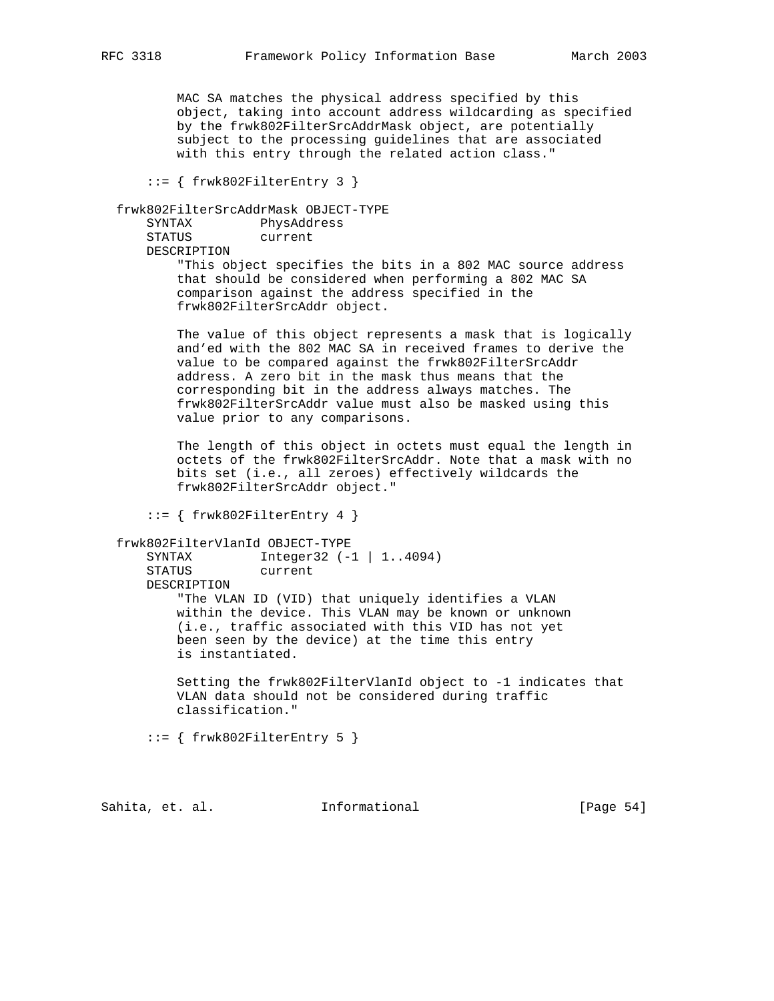MAC SA matches the physical address specified by this object, taking into account address wildcarding as specified by the frwk802FilterSrcAddrMask object, are potentially subject to the processing guidelines that are associated with this entry through the related action class."

::= { frwk802FilterEntry 3 }

```
 frwk802FilterSrcAddrMask OBJECT-TYPE
```

| SYNTAX      | PhysAddress |
|-------------|-------------|
| STATUS      | current     |
| DESCRIPTION |             |

 "This object specifies the bits in a 802 MAC source address that should be considered when performing a 802 MAC SA comparison against the address specified in the frwk802FilterSrcAddr object.

 The value of this object represents a mask that is logically and'ed with the 802 MAC SA in received frames to derive the value to be compared against the frwk802FilterSrcAddr address. A zero bit in the mask thus means that the corresponding bit in the address always matches. The frwk802FilterSrcAddr value must also be masked using this value prior to any comparisons.

 The length of this object in octets must equal the length in octets of the frwk802FilterSrcAddr. Note that a mask with no bits set (i.e., all zeroes) effectively wildcards the frwk802FilterSrcAddr object."

 $::=$  { frwk802FilterEntry 4 }

# frwk802FilterVlanId OBJECT-TYPE

 $Integer32 (-1 | 1..4094)$  STATUS current DESCRIPTION "The VLAN ID (VID) that uniquely identifies a VLAN within the device. This VLAN may be known or unknown (i.e., traffic associated with this VID has not yet been seen by the device) at the time this entry is instantiated.

 Setting the frwk802FilterVlanId object to -1 indicates that VLAN data should not be considered during traffic classification."

 $::=$  { frwk802FilterEntry 5 }

Sahita, et. al. **Informational** [Page 54]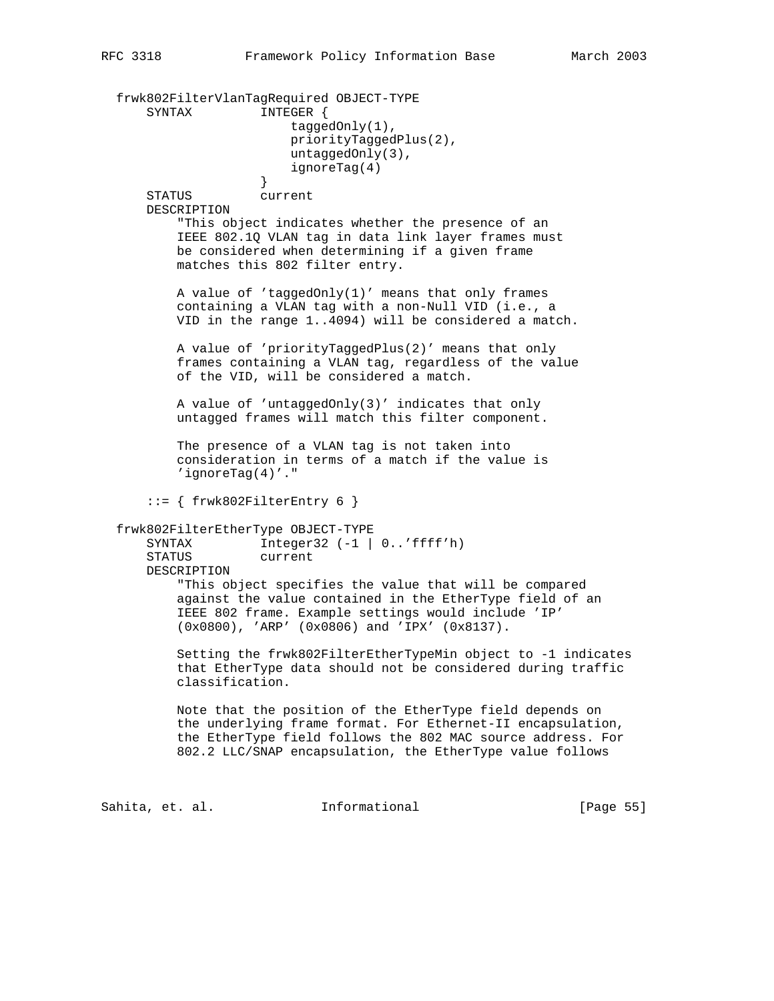frwk802FilterVlanTagRequired OBJECT-TYPE SYNTAX INTEGER { taggedOnly(1), priorityTaggedPlus(2), untaggedOnly(3), ignoreTag(4)<br>} } STATUS current DESCRIPTION "This object indicates whether the presence of an IEEE 802.1Q VLAN tag in data link layer frames must be considered when determining if a given frame matches this 802 filter entry. A value of 'taggedOnly(1)' means that only frames containing a VLAN tag with a non-Null VID (i.e., a VID in the range 1..4094) will be considered a match. A value of 'priorityTaggedPlus(2)' means that only frames containing a VLAN tag, regardless of the value of the VID, will be considered a match. A value of 'untaggedOnly(3)' indicates that only untagged frames will match this filter component. The presence of a VLAN tag is not taken into consideration in terms of a match if the value is 'ignoreTag(4)'."  $::=$  { frwk802FilterEntry 6 } frwk802FilterEtherType OBJECT-TYPE SYNTAX Integer32 (-1 | 0..'ffff'h) STATUS current DESCRIPTION "This object specifies the value that will be compared against the value contained in the EtherType field of an IEEE 802 frame. Example settings would include 'IP' (0x0800), 'ARP' (0x0806) and 'IPX' (0x8137). Setting the frwk802FilterEtherTypeMin object to -1 indicates that EtherType data should not be considered during traffic classification. Note that the position of the EtherType field depends on the underlying frame format. For Ethernet-II encapsulation, the EtherType field follows the 802 MAC source address. For 802.2 LLC/SNAP encapsulation, the EtherType value follows

Sahita, et. al. **Informational** [Page 55]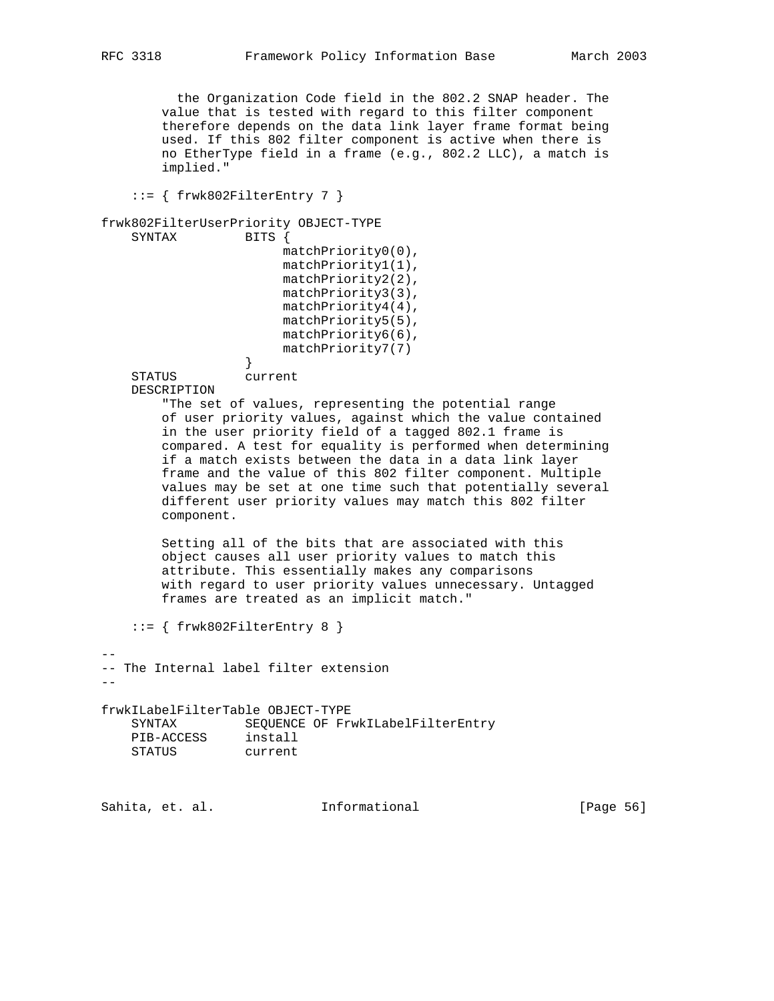the Organization Code field in the 802.2 SNAP header. The value that is tested with regard to this filter component therefore depends on the data link layer frame format being used. If this 802 filter component is active when there is no EtherType field in a frame (e.g., 802.2 LLC), a match is implied."

 $::=$  { frwk802FilterEntry 7 }

```
frwk802FilterUserPriority OBJECT-TYPE
```

```
 SYNTAX BITS {
                      matchPriority0(0),
                      matchPriority1(1),
                      matchPriority2(2),
                      matchPriority3(3),
                      matchPriority4(4),
                      matchPriority5(5),
                      matchPriority6(6),
                      matchPriority7(7)
 }
```
STATUS current

DESCRIPTION

 "The set of values, representing the potential range of user priority values, against which the value contained in the user priority field of a tagged 802.1 frame is compared. A test for equality is performed when determining if a match exists between the data in a data link layer frame and the value of this 802 filter component. Multiple values may be set at one time such that potentially several different user priority values may match this 802 filter component.

 Setting all of the bits that are associated with this object causes all user priority values to match this attribute. This essentially makes any comparisons with regard to user priority values unnecessary. Untagged frames are treated as an implicit match."

::= { frwk802FilterEntry 8 }

-- -- The Internal label filter extension

--

frwkILabelFilterTable OBJECT-TYPE SYNTAX SEQUENCE OF FrwkILabelFilterEntry PIB-ACCESS install STATUS current

Sahita, et. al. **Informational** [Page 56]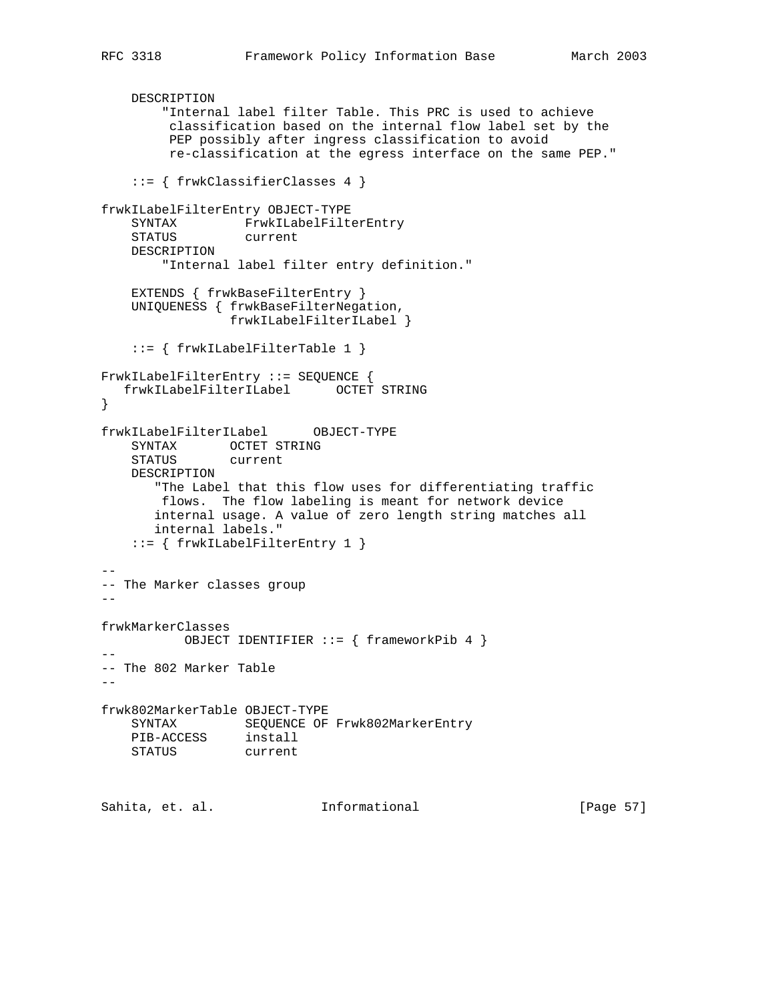```
 DESCRIPTION
        "Internal label filter Table. This PRC is used to achieve
         classification based on the internal flow label set by the
         PEP possibly after ingress classification to avoid
         re-classification at the egress interface on the same PEP."
     ::= { frwkClassifierClasses 4 }
frwkILabelFilterEntry OBJECT-TYPE
    SYNTAX FrwkILabelFilterEntry
    STATUS current
    DESCRIPTION
        "Internal label filter entry definition."
   EXTENDS { frwkBaseFilterEntry }
    UNIQUENESS { frwkBaseFilterNegation,
                 frwkILabelFilterILabel }
    ::= { frwkILabelFilterTable 1 }
FrwkILabelFilterEntry ::= SEQUENCE {
   frwkILabelFilterILabel OCTET STRING
}
frwkILabelFilterILabel OBJECT-TYPE
 SYNTAX OCTET STRING
 STATUS current
    DESCRIPTION
       "The Label that this flow uses for differentiating traffic
        flows. The flow labeling is meant for network device
       internal usage. A value of zero length string matches all
       internal labels."
    ::= { frwkILabelFilterEntry 1 }
--
-- The Marker classes group
--
frwkMarkerClasses
          OBJECT IDENTIFIER ::= { frameworkPib 4 }
--
-- The 802 Marker Table
--
frwk802MarkerTable OBJECT-TYPE
    SYNTAX SEQUENCE OF Frwk802MarkerEntry
 PIB-ACCESS install
 STATUS current
Sahita, et. al. Informational [Page 57]
```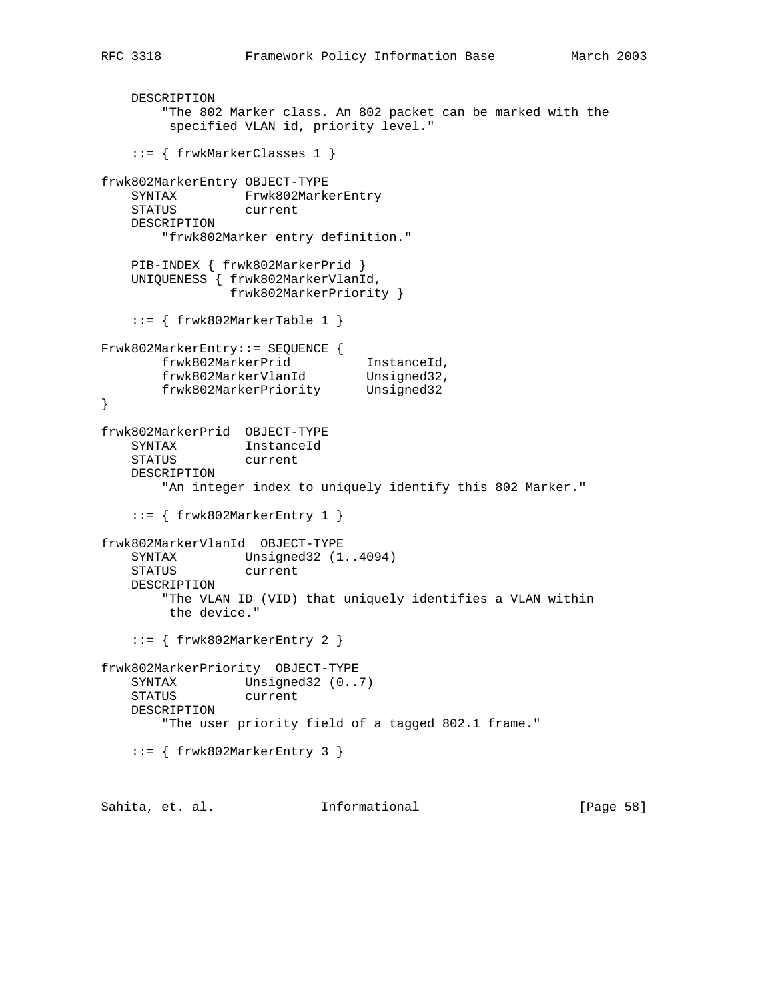```
 DESCRIPTION
        "The 802 Marker class. An 802 packet can be marked with the
         specified VLAN id, priority level."
    ::= { frwkMarkerClasses 1 }
frwk802MarkerEntry OBJECT-TYPE
   SYNTAX Frwk802MarkerEntry
    STATUS current
    DESCRIPTION
        "frwk802Marker entry definition."
    PIB-INDEX { frwk802MarkerPrid }
    UNIQUENESS { frwk802MarkerVlanId,
                frwk802MarkerPriority }
   ::= { frwk802MarkerTable 1 }
Frwk802MarkerEntry::= SEQUENCE {
 frwk802MarkerPrid InstanceId,
 frwk802MarkerVlanId Unsigned32,
 frwk802MarkerPriority Unsigned32
}
frwk802MarkerPrid OBJECT-TYPE
 SYNTAX InstanceId
 STATUS current
    DESCRIPTION
       "An integer index to uniquely identify this 802 Marker."
    ::= { frwk802MarkerEntry 1 }
frwk802MarkerVlanId OBJECT-TYPE
   SYNTAX Unsigned32 (1..4094)
    STATUS current
    DESCRIPTION
        "The VLAN ID (VID) that uniquely identifies a VLAN within
        the device."
    ::= { frwk802MarkerEntry 2 }
frwk802MarkerPriority OBJECT-TYPE
   SYNTAX Unsigned32 (0..7)
    STATUS current
    DESCRIPTION
        "The user priority field of a tagged 802.1 frame."
    ::= { frwk802MarkerEntry 3 }
Sahita, et. al. Informational [Page 58]
```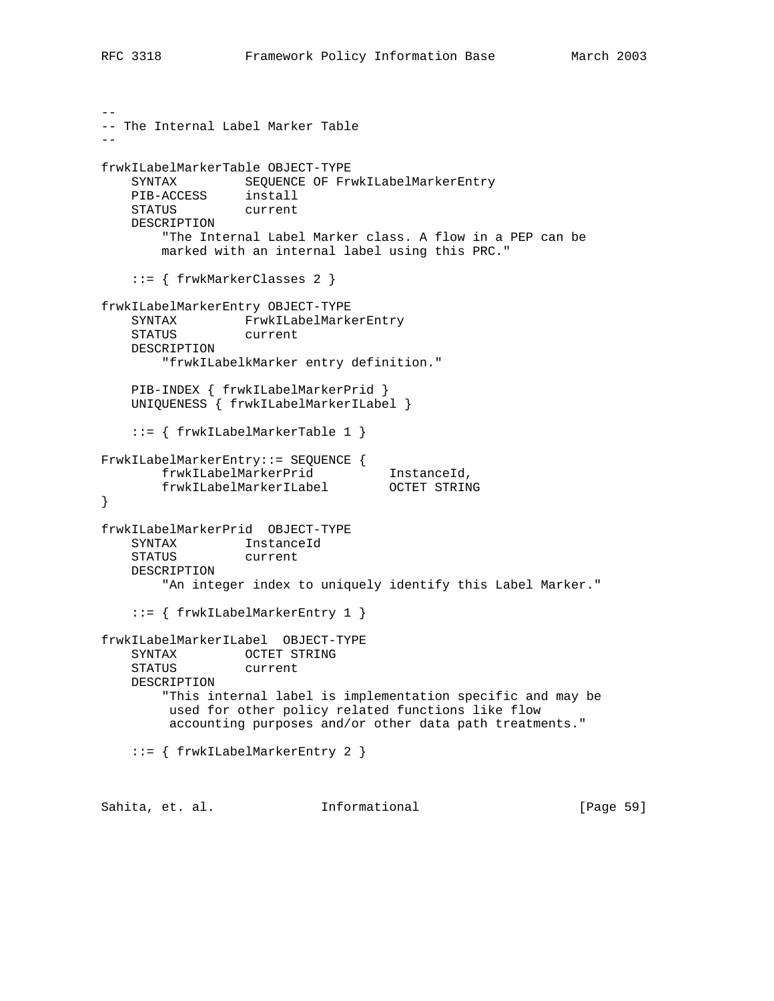```
--
-- The Internal Label Marker Table
--
frwkILabelMarkerTable OBJECT-TYPE
    SYNTAX SEQUENCE OF FrwkILabelMarkerEntry
 PIB-ACCESS install
 STATUS current
    DESCRIPTION
        "The Internal Label Marker class. A flow in a PEP can be
        marked with an internal label using this PRC."
    ::= { frwkMarkerClasses 2 }
frwkILabelMarkerEntry OBJECT-TYPE
    SYNTAX FrwkILabelMarkerEntry
    STATUS current
    DESCRIPTION
        "frwkILabelkMarker entry definition."
    PIB-INDEX { frwkILabelMarkerPrid }
    UNIQUENESS { frwkILabelMarkerILabel }
    ::= { frwkILabelMarkerTable 1 }
FrwkILabelMarkerEntry::= SEQUENCE {
 frwkILabelMarkerPrid InstanceId,
 frwkILabelMarkerILabel OCTET STRING
}
frwkILabelMarkerPrid OBJECT-TYPE
    SYNTAX InstanceId
    STATUS current
    DESCRIPTION
       "An integer index to uniquely identify this Label Marker."
    ::= { frwkILabelMarkerEntry 1 }
frwkILabelMarkerILabel OBJECT-TYPE
    SYNTAX OCTET STRING
    STATUS current
    DESCRIPTION
        "This internal label is implementation specific and may be
        used for other policy related functions like flow
         accounting purposes and/or other data path treatments."
    ::= { frwkILabelMarkerEntry 2 }
Sahita, et. al. Informational [Page 59]
```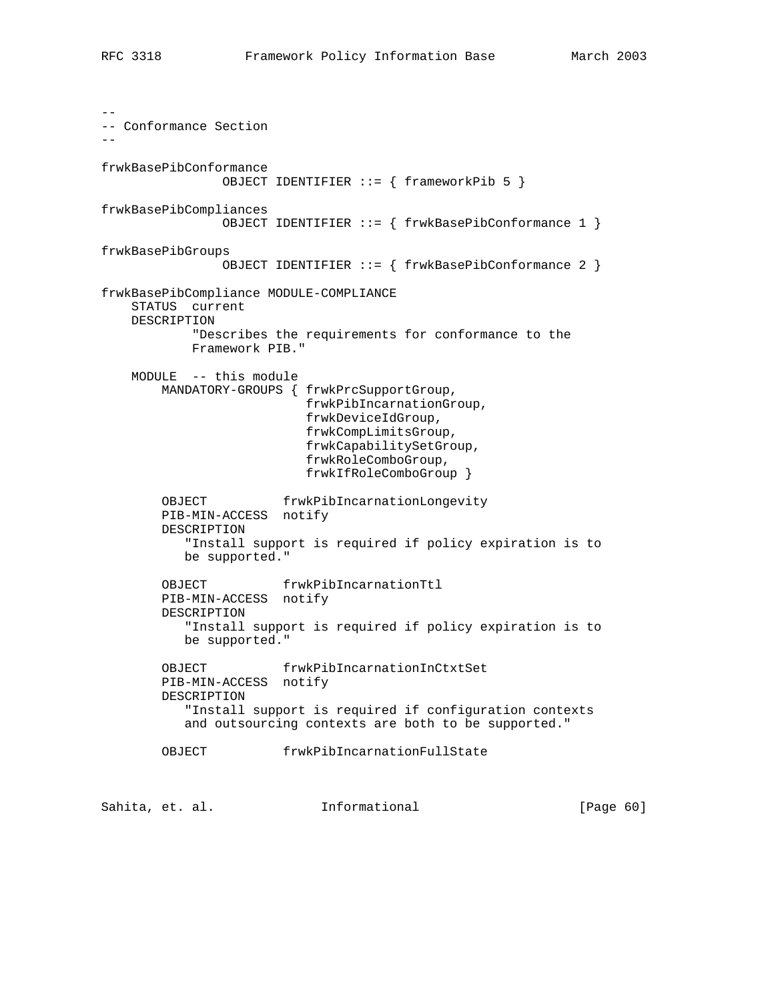-- -- Conformance Section - frwkBasePibConformance OBJECT IDENTIFIER ::= { frameworkPib 5 } frwkBasePibCompliances OBJECT IDENTIFIER ::= { frwkBasePibConformance 1 } frwkBasePibGroups OBJECT IDENTIFIER ::= { frwkBasePibConformance 2 } frwkBasePibCompliance MODULE-COMPLIANCE STATUS current DESCRIPTION "Describes the requirements for conformance to the Framework PIB." MODULE -- this module MANDATORY-GROUPS { frwkPrcSupportGroup, frwkPibIncarnationGroup, frwkDeviceIdGroup, frwkCompLimitsGroup, frwkCapabilitySetGroup, frwkRoleComboGroup, frwkIfRoleComboGroup } OBJECT frwkPibIncarnationLongevity PIB-MIN-ACCESS notify DESCRIPTION "Install support is required if policy expiration is to be supported." OBJECT frwkPibIncarnationTtl PIB-MIN-ACCESS notify DESCRIPTION "Install support is required if policy expiration is to be supported." OBJECT frwkPibIncarnationInCtxtSet PIB-MIN-ACCESS notify DESCRIPTION "Install support is required if configuration contexts and outsourcing contexts are both to be supported." OBJECT frwkPibIncarnationFullState

Sahita, et. al. **Informational** [Page 60]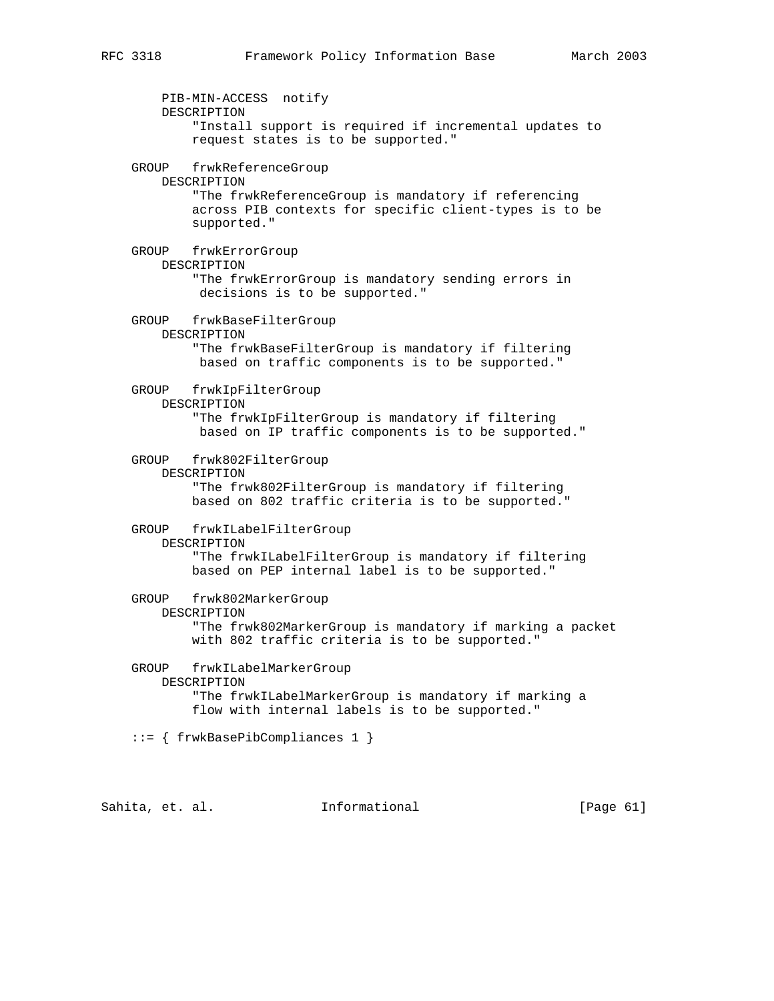PIB-MIN-ACCESS notify DESCRIPTION "Install support is required if incremental updates to request states is to be supported." GROUP frwkReferenceGroup DESCRIPTION "The frwkReferenceGroup is mandatory if referencing across PIB contexts for specific client-types is to be supported." GROUP frwkErrorGroup DESCRIPTION "The frwkErrorGroup is mandatory sending errors in decisions is to be supported." GROUP frwkBaseFilterGroup DESCRIPTION "The frwkBaseFilterGroup is mandatory if filtering based on traffic components is to be supported." GROUP frwkIpFilterGroup DESCRIPTION "The frwkIpFilterGroup is mandatory if filtering based on IP traffic components is to be supported." GROUP frwk802FilterGroup DESCRIPTION "The frwk802FilterGroup is mandatory if filtering based on 802 traffic criteria is to be supported." GROUP frwkILabelFilterGroup DESCRIPTION "The frwkILabelFilterGroup is mandatory if filtering based on PEP internal label is to be supported." GROUP frwk802MarkerGroup DESCRIPTION "The frwk802MarkerGroup is mandatory if marking a packet with 802 traffic criteria is to be supported." GROUP frwkILabelMarkerGroup DESCRIPTION "The frwkILabelMarkerGroup is mandatory if marking a flow with internal labels is to be supported." ::= { frwkBasePibCompliances 1 }

Sahita, et. al. Informational [Page 61]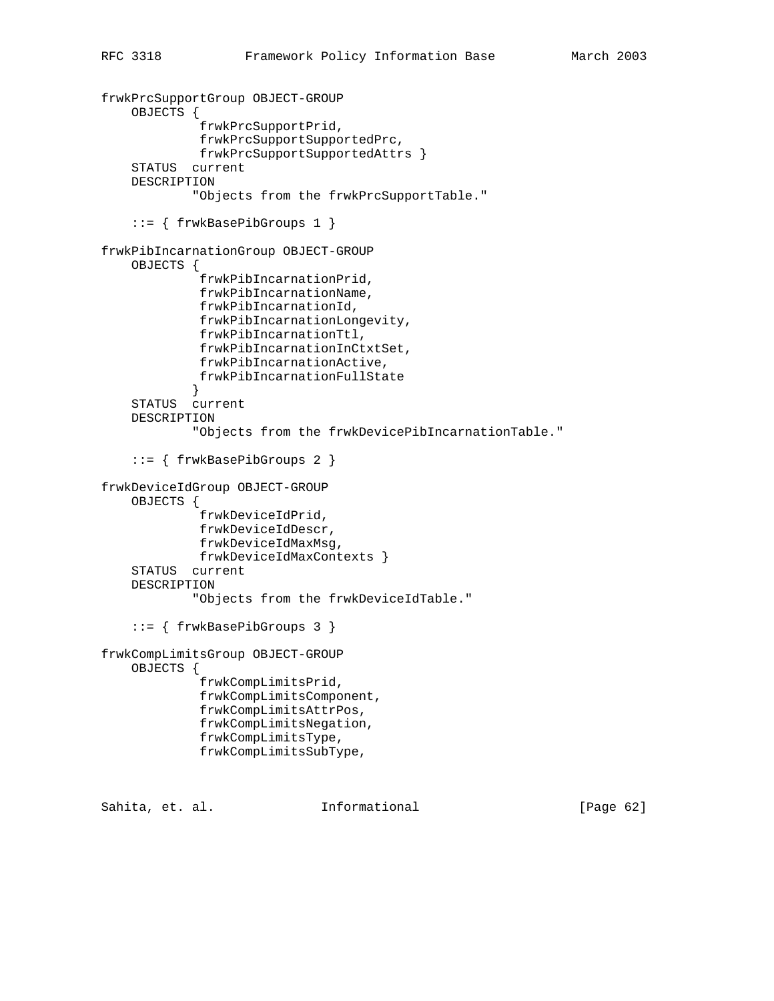```
frwkPrcSupportGroup OBJECT-GROUP
     OBJECTS {
              frwkPrcSupportPrid,
              frwkPrcSupportSupportedPrc,
              frwkPrcSupportSupportedAttrs }
     STATUS current
     DESCRIPTION
             "Objects from the frwkPrcSupportTable."
     ::= { frwkBasePibGroups 1 }
frwkPibIncarnationGroup OBJECT-GROUP
     OBJECTS {
              frwkPibIncarnationPrid,
              frwkPibIncarnationName,
              frwkPibIncarnationId,
              frwkPibIncarnationLongevity,
              frwkPibIncarnationTtl,
              frwkPibIncarnationInCtxtSet,
              frwkPibIncarnationActive,
              frwkPibIncarnationFullState
 }
     STATUS current
     DESCRIPTION
             "Objects from the frwkDevicePibIncarnationTable."
     ::= { frwkBasePibGroups 2 }
frwkDeviceIdGroup OBJECT-GROUP
     OBJECTS {
              frwkDeviceIdPrid,
              frwkDeviceIdDescr,
              frwkDeviceIdMaxMsg,
             frwkDeviceIdMaxContexts }
     STATUS current
     DESCRIPTION
             "Objects from the frwkDeviceIdTable."
     ::= { frwkBasePibGroups 3 }
frwkCompLimitsGroup OBJECT-GROUP
     OBJECTS {
              frwkCompLimitsPrid,
              frwkCompLimitsComponent,
              frwkCompLimitsAttrPos,
              frwkCompLimitsNegation,
              frwkCompLimitsType,
              frwkCompLimitsSubType,
```
Sahita, et. al. **Informational** [Page 62]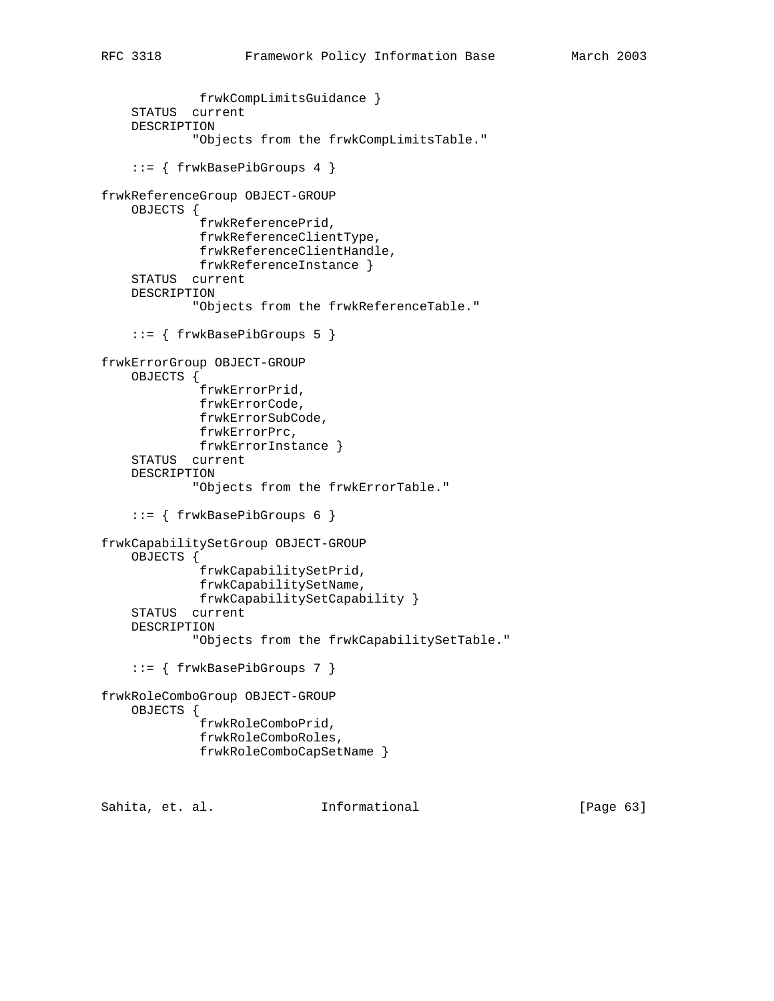```
 frwkCompLimitsGuidance }
     STATUS current
     DESCRIPTION
             "Objects from the frwkCompLimitsTable."
     ::= { frwkBasePibGroups 4 }
frwkReferenceGroup OBJECT-GROUP
     OBJECTS {
              frwkReferencePrid,
              frwkReferenceClientType,
              frwkReferenceClientHandle,
             frwkReferenceInstance }
     STATUS current
    DESCRIPTION
             "Objects from the frwkReferenceTable."
     ::= { frwkBasePibGroups 5 }
frwkErrorGroup OBJECT-GROUP
    OBJECTS {
              frwkErrorPrid,
             frwkErrorCode,
             frwkErrorSubCode,
             frwkErrorPrc,
             frwkErrorInstance }
     STATUS current
     DESCRIPTION
             "Objects from the frwkErrorTable."
     ::= { frwkBasePibGroups 6 }
frwkCapabilitySetGroup OBJECT-GROUP
     OBJECTS {
              frwkCapabilitySetPrid,
              frwkCapabilitySetName,
              frwkCapabilitySetCapability }
     STATUS current
    DESCRIPTION
             "Objects from the frwkCapabilitySetTable."
     ::= { frwkBasePibGroups 7 }
frwkRoleComboGroup OBJECT-GROUP
     OBJECTS {
              frwkRoleComboPrid,
              frwkRoleComboRoles,
              frwkRoleComboCapSetName }
Sahita, et. al. Informational [Page 63]
```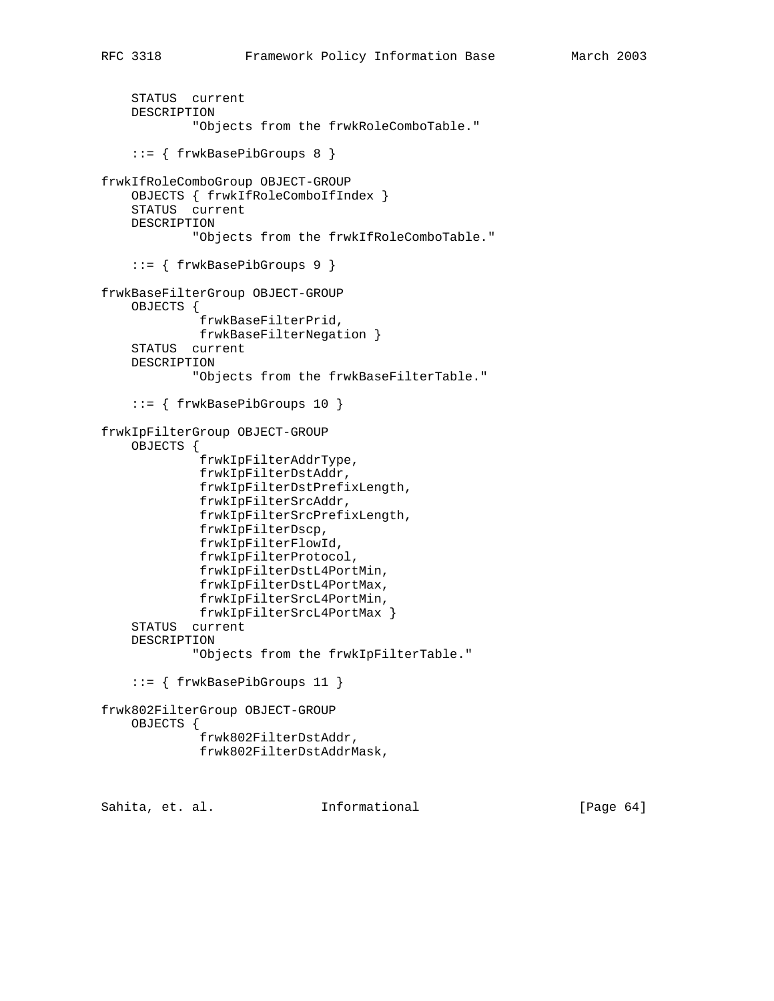```
 STATUS current
     DESCRIPTION
             "Objects from the frwkRoleComboTable."
     ::= { frwkBasePibGroups 8 }
frwkIfRoleComboGroup OBJECT-GROUP
     OBJECTS { frwkIfRoleComboIfIndex }
     STATUS current
     DESCRIPTION
             "Objects from the frwkIfRoleComboTable."
     ::= { frwkBasePibGroups 9 }
frwkBaseFilterGroup OBJECT-GROUP
     OBJECTS {
              frwkBaseFilterPrid,
              frwkBaseFilterNegation }
     STATUS current
     DESCRIPTION
             "Objects from the frwkBaseFilterTable."
```

```
 ::= { frwkBasePibGroups 10 }
frwkIpFilterGroup OBJECT-GROUP
```
frwkIpFilterDstAddr,

frwkIpFilterSrcAddr,

 frwkIpFilterDscp, frwkIpFilterFlowId, frwkIpFilterProtocol,

frwkIpFilterDstPrefixLength,

frwkIpFilterSrcPrefixLength,

```
 OBJECTS {
           frwkIpFilterAddrType,
```

```
 frwkIpFilterDstL4PortMin,
          frwkIpFilterDstL4PortMax,
          frwkIpFilterSrcL4PortMin,
          frwkIpFilterSrcL4PortMax }
 STATUS current
```

```
 DESCRIPTION
```

```
 "Objects from the frwkIpFilterTable."
```

```
 ::= { frwkBasePibGroups 11 }
```

```
frwk802FilterGroup OBJECT-GROUP
     OBJECTS {
              frwk802FilterDstAddr,
              frwk802FilterDstAddrMask,
```
Sahita, et. al. **Informational** [Page 64]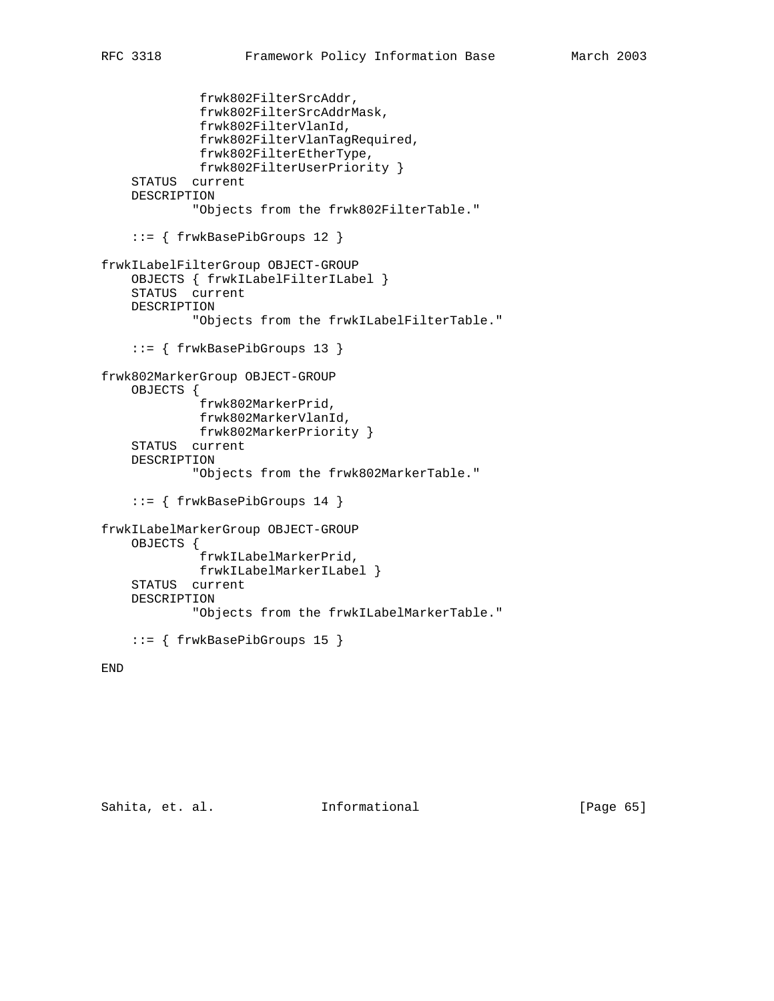```
 frwk802FilterSrcAddr,
              frwk802FilterSrcAddrMask,
              frwk802FilterVlanId,
              frwk802FilterVlanTagRequired,
              frwk802FilterEtherType,
              frwk802FilterUserPriority }
     STATUS current
    DESCRIPTION
             "Objects from the frwk802FilterTable."
     ::= { frwkBasePibGroups 12 }
frwkILabelFilterGroup OBJECT-GROUP
     OBJECTS { frwkILabelFilterILabel }
     STATUS current
     DESCRIPTION
             "Objects from the frwkILabelFilterTable."
     ::= { frwkBasePibGroups 13 }
frwk802MarkerGroup OBJECT-GROUP
     OBJECTS {
              frwk802MarkerPrid,
              frwk802MarkerVlanId,
             frwk802MarkerPriority }
     STATUS current
     DESCRIPTION
             "Objects from the frwk802MarkerTable."
     ::= { frwkBasePibGroups 14 }
frwkILabelMarkerGroup OBJECT-GROUP
     OBJECTS {
              frwkILabelMarkerPrid,
             frwkILabelMarkerILabel }
     STATUS current
     DESCRIPTION
             "Objects from the frwkILabelMarkerTable."
     ::= { frwkBasePibGroups 15 }
```

```
END
```
Sahita, et. al. 1nformational 1999 [Page 65]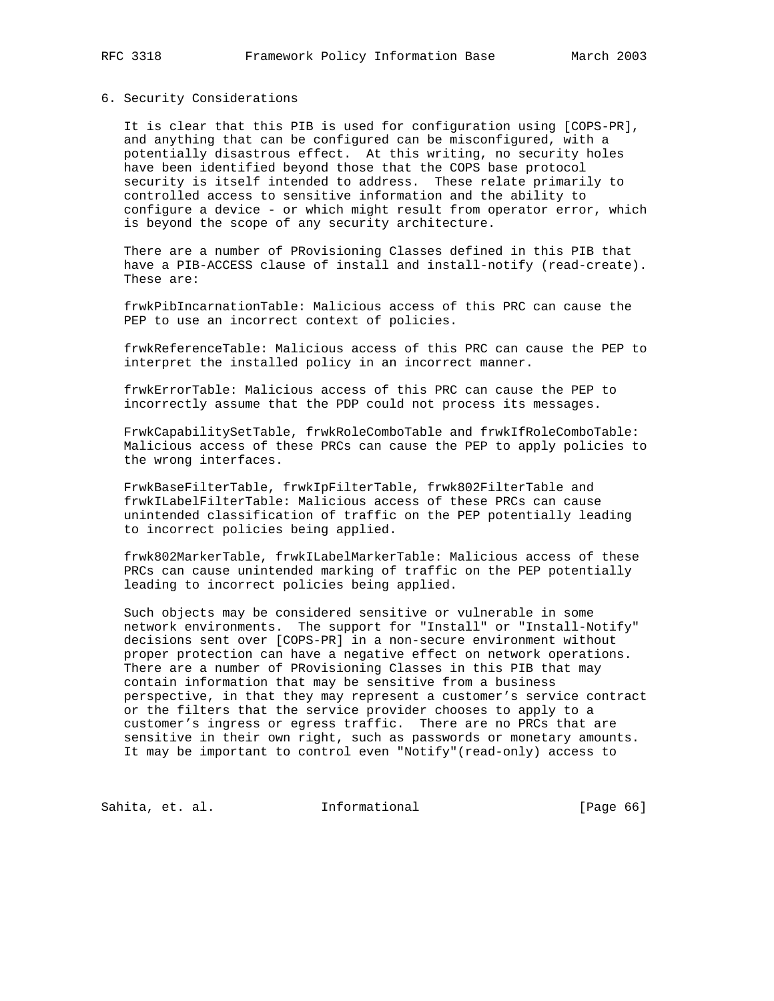#### 6. Security Considerations

 It is clear that this PIB is used for configuration using [COPS-PR], and anything that can be configured can be misconfigured, with a potentially disastrous effect. At this writing, no security holes have been identified beyond those that the COPS base protocol security is itself intended to address. These relate primarily to controlled access to sensitive information and the ability to configure a device - or which might result from operator error, which is beyond the scope of any security architecture.

 There are a number of PRovisioning Classes defined in this PIB that have a PIB-ACCESS clause of install and install-notify (read-create). These are:

 frwkPibIncarnationTable: Malicious access of this PRC can cause the PEP to use an incorrect context of policies.

 frwkReferenceTable: Malicious access of this PRC can cause the PEP to interpret the installed policy in an incorrect manner.

 frwkErrorTable: Malicious access of this PRC can cause the PEP to incorrectly assume that the PDP could not process its messages.

 FrwkCapabilitySetTable, frwkRoleComboTable and frwkIfRoleComboTable: Malicious access of these PRCs can cause the PEP to apply policies to the wrong interfaces.

 FrwkBaseFilterTable, frwkIpFilterTable, frwk802FilterTable and frwkILabelFilterTable: Malicious access of these PRCs can cause unintended classification of traffic on the PEP potentially leading to incorrect policies being applied.

 frwk802MarkerTable, frwkILabelMarkerTable: Malicious access of these PRCs can cause unintended marking of traffic on the PEP potentially leading to incorrect policies being applied.

 Such objects may be considered sensitive or vulnerable in some network environments. The support for "Install" or "Install-Notify" decisions sent over [COPS-PR] in a non-secure environment without proper protection can have a negative effect on network operations. There are a number of PRovisioning Classes in this PIB that may contain information that may be sensitive from a business perspective, in that they may represent a customer's service contract or the filters that the service provider chooses to apply to a customer's ingress or egress traffic. There are no PRCs that are sensitive in their own right, such as passwords or monetary amounts. It may be important to control even "Notify"(read-only) access to

Sahita, et. al. 1nformational [Page 66]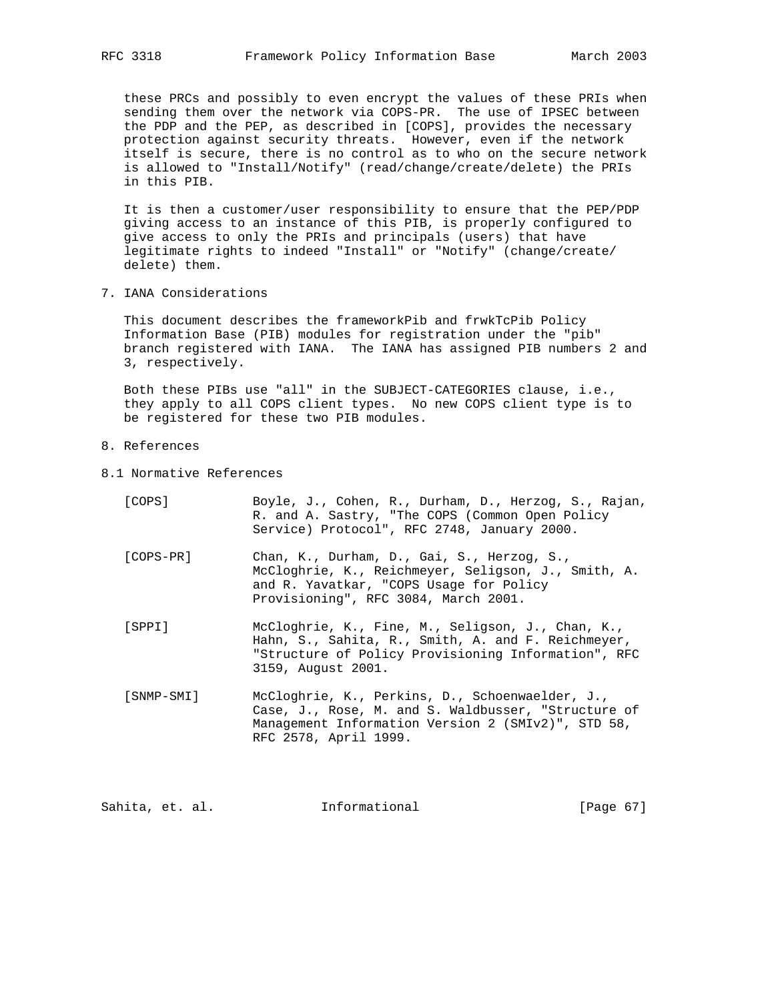these PRCs and possibly to even encrypt the values of these PRIs when sending them over the network via COPS-PR. The use of IPSEC between the PDP and the PEP, as described in [COPS], provides the necessary protection against security threats. However, even if the network itself is secure, there is no control as to who on the secure network is allowed to "Install/Notify" (read/change/create/delete) the PRIs in this PIB.

 It is then a customer/user responsibility to ensure that the PEP/PDP giving access to an instance of this PIB, is properly configured to give access to only the PRIs and principals (users) that have legitimate rights to indeed "Install" or "Notify" (change/create/ delete) them.

7. IANA Considerations

 This document describes the frameworkPib and frwkTcPib Policy Information Base (PIB) modules for registration under the "pib" branch registered with IANA. The IANA has assigned PIB numbers 2 and 3, respectively.

 Both these PIBs use "all" in the SUBJECT-CATEGORIES clause, i.e., they apply to all COPS client types. No new COPS client type is to be registered for these two PIB modules.

- 8. References
- 8.1 Normative References

| [COPS]     | Boyle, J., Cohen, R., Durham, D., Herzog, S., Rajan,<br>R. and A. Sastry, "The COPS (Common Open Policy<br>Service) Protocol", RFC 2748, January 2000.                                |
|------------|---------------------------------------------------------------------------------------------------------------------------------------------------------------------------------------|
| [COPS-PR]  | Chan, K., Durham, D., Gai, S., Herzog, S.,<br>McCloghrie, K., Reichmeyer, Seligson, J., Smith, A.<br>and R. Yavatkar, "COPS Usage for Policy<br>Provisioning", RFC 3084, March 2001.  |
| [SPPI]     | McCloghrie, K., Fine, M., Seligson, J., Chan, K.,<br>Hahn, S., Sahita, R., Smith, A. and F. Reichmeyer,<br>"Structure of Policy Provisioning Information", RFC<br>3159, August 2001.  |
| [SNMP-SMI] | McCloghrie, K., Perkins, D., Schoenwaelder, J.,<br>Case, J., Rose, M. and S. Waldbusser, "Structure of<br>Management Information Version 2 (SMIv2)", STD 58,<br>RFC 2578, April 1999. |

Sahita, et. al. **Informational** [Page 67]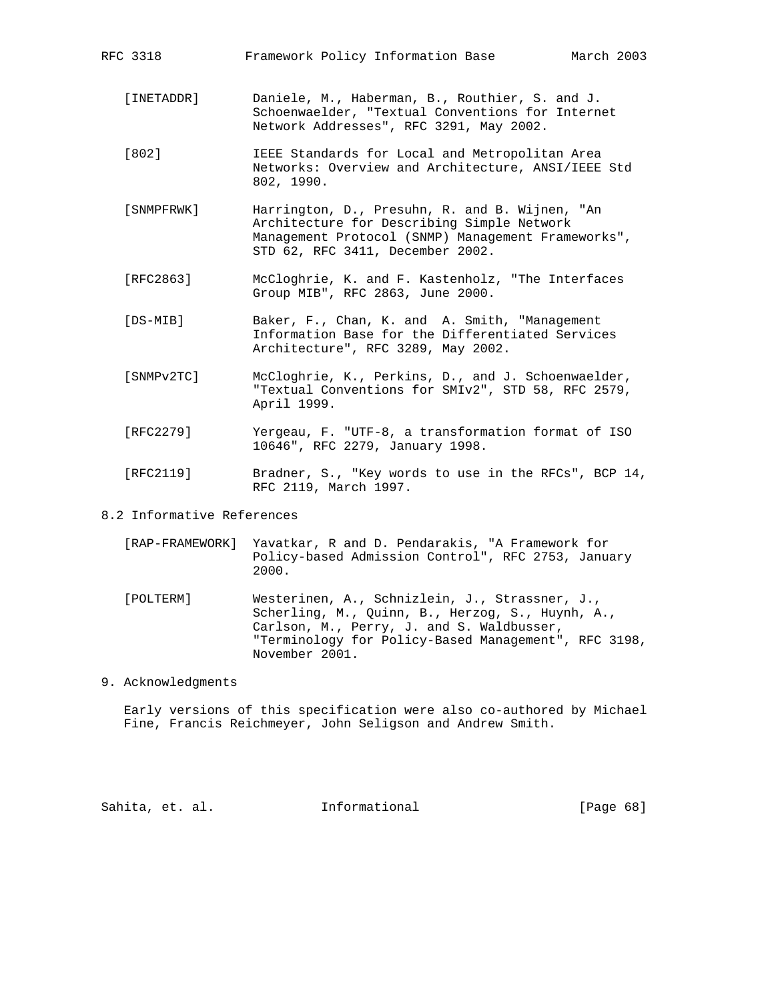| RFC 3318   | Framework Policy Information Base<br>March 2003                                                                                                                                        |
|------------|----------------------------------------------------------------------------------------------------------------------------------------------------------------------------------------|
| [INETADDR] | Daniele, M., Haberman, B., Routhier, S. and J.<br>Schoenwaelder, "Textual Conventions for Internet<br>Network Addresses", RFC 3291, May 2002.                                          |
| $[802]$    | IEEE Standards for Local and Metropolitan Area<br>Networks: Overview and Architecture, ANSI/IEEE Std<br>802, 1990.                                                                     |
| [SNMPFRWK] | Harrington, D., Presuhn, R. and B. Wijnen, "An<br>Architecture for Describing Simple Network<br>Management Protocol (SNMP) Management Frameworks",<br>STD 62, RFC 3411, December 2002. |
| [RFC2863]  | McCloghrie, K. and F. Kastenholz, "The Interfaces<br>Group MIB", RFC 2863, June 2000.                                                                                                  |
| [DS-MIB]   | Baker, F., Chan, K. and A. Smith, "Management<br>Information Base for the Differentiated Services<br>Architecture", RFC 3289, May 2002.                                                |
| SNMPv2TC1  | McCloghrie, K., Perkins, D., and J. Schoenwaelder,<br>"Textual Conventions for SMIv2", STD 58, RFC 2579,<br>April 1999.                                                                |
| [RFC2279]  | Yergeau, F. "UTF-8, a transformation format of ISO<br>10646", RFC 2279, January 1998.                                                                                                  |

 [RFC2119] Bradner, S., "Key words to use in the RFCs", BCP 14, RFC 2119, March 1997.

# 8.2 Informative References

| [RAP-FRAMEWORK] Yavatkar, R and D. Pendarakis, "A Framework for |
|-----------------------------------------------------------------|
| Policy-based Admission Control", RFC 2753, January<br>2000.     |

- [POLTERM] Westerinen, A., Schnizlein, J., Strassner, J., Scherling, M., Quinn, B., Herzog, S., Huynh, A., Carlson, M., Perry, J. and S. Waldbusser, "Terminology for Policy-Based Management", RFC 3198, November 2001.
- 9. Acknowledgments

 Early versions of this specification were also co-authored by Michael Fine, Francis Reichmeyer, John Seligson and Andrew Smith.

Sahita, et. al. **Informational** [Page 68]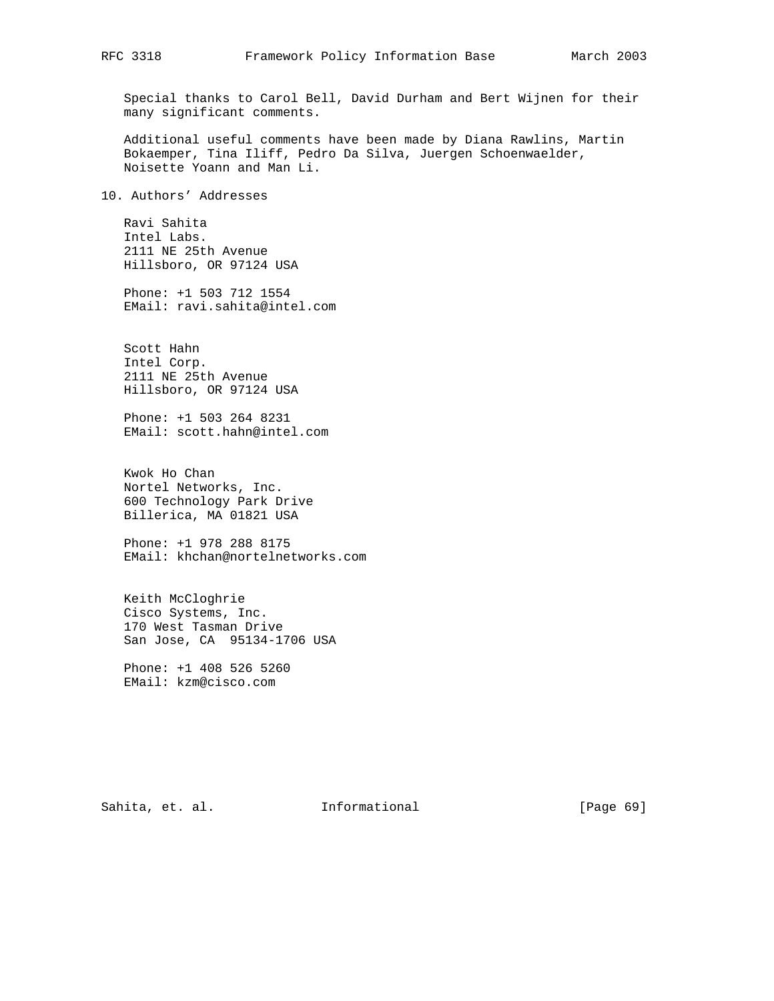Special thanks to Carol Bell, David Durham and Bert Wijnen for their many significant comments.

 Additional useful comments have been made by Diana Rawlins, Martin Bokaemper, Tina Iliff, Pedro Da Silva, Juergen Schoenwaelder, Noisette Yoann and Man Li.

10. Authors' Addresses

 Ravi Sahita Intel Labs. 2111 NE 25th Avenue Hillsboro, OR 97124 USA

 Phone: +1 503 712 1554 EMail: ravi.sahita@intel.com

 Scott Hahn Intel Corp. 2111 NE 25th Avenue Hillsboro, OR 97124 USA

 Phone: +1 503 264 8231 EMail: scott.hahn@intel.com

 Kwok Ho Chan Nortel Networks, Inc. 600 Technology Park Drive Billerica, MA 01821 USA

 Phone: +1 978 288 8175 EMail: khchan@nortelnetworks.com

 Keith McCloghrie Cisco Systems, Inc. 170 West Tasman Drive San Jose, CA 95134-1706 USA

 Phone: +1 408 526 5260 EMail: kzm@cisco.com

Sahita, et. al. 1nformational [Page 69]